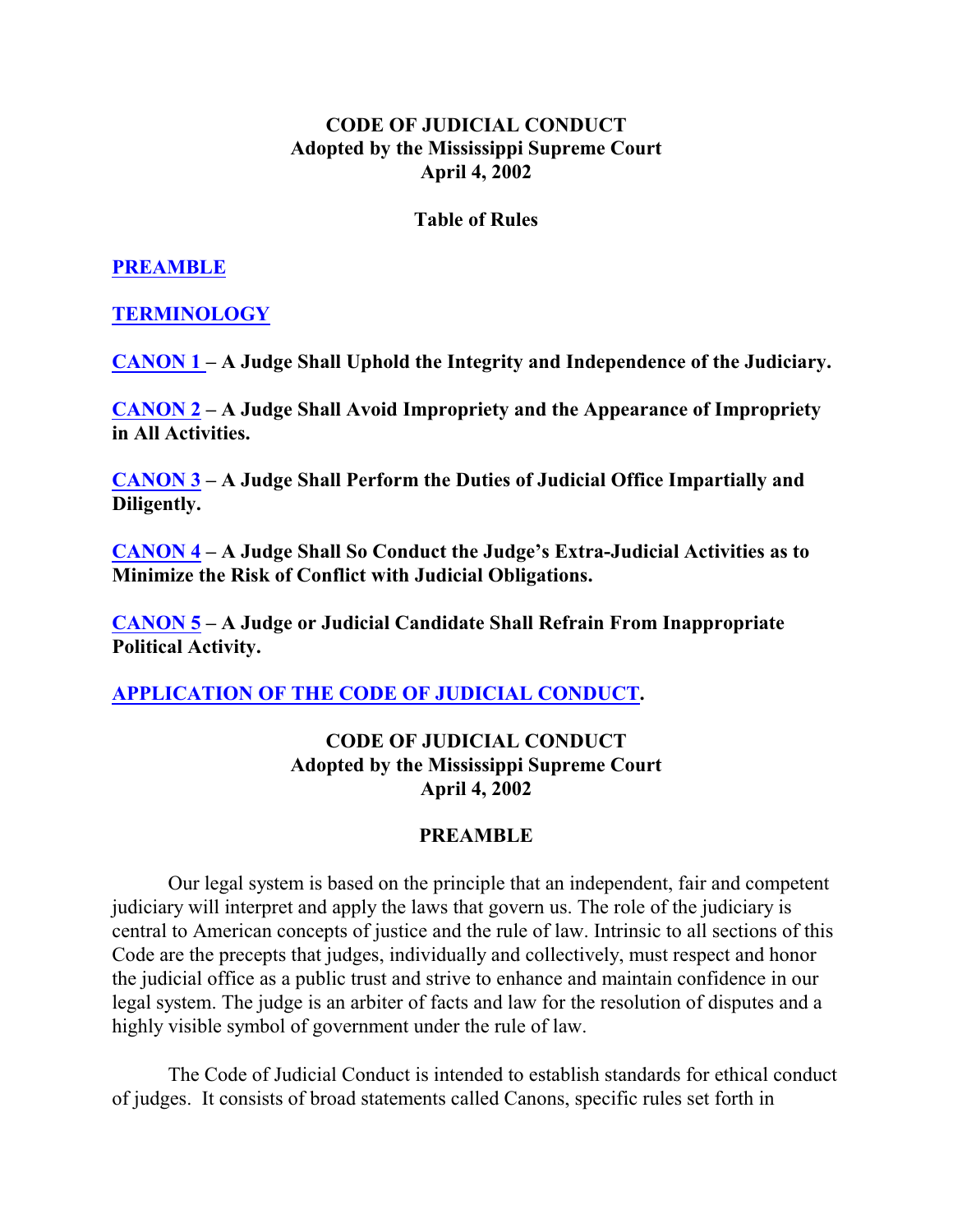# **CODE OF JUDICIAL CONDUCT Adopted by the Mississippi Supreme Court April 4, 2002**

# **Table of Rules**

# **[PREAMBLE](#page-0-0)**

**[TERMINOLOGY](#page-1-0)**

**[CANON 1](#page-5-0) – A Judge Shall Uphold the Integrity and Independence of the Judiciary.**

**[CANON 2](#page-6-0) – A Judge Shall Avoid Impropriety and the Appearance of Impropriety in All Activities.**

**[CANON 3](#page-8-0) – A Judge Shall Perform the Duties of Judicial Office Impartially and Diligently.**

**[CANON 4](#page-19-0) – A Judge Shall So Conduct the Judge's Extra-Judicial Activities as to Minimize the Risk of Conflict with Judicial Obligations.**

**[CANON 5](#page-28-0) – A Judge or Judicial Candidate Shall Refrain From Inappropriate Political Activity.**

# **[APPLICATION OF THE CODE OF JUDICIAL CONDUCT](#page-40-0).**

# **CODE OF JUDICIAL CONDUCT Adopted by the Mississippi Supreme Court April 4, 2002**

# <span id="page-0-0"></span>**PREAMBLE**

Our legal system is based on the principle that an independent, fair and competent judiciary will interpret and apply the laws that govern us. The role of the judiciary is central to American concepts of justice and the rule of law. Intrinsic to all sections of this Code are the precepts that judges, individually and collectively, must respect and honor the judicial office as a public trust and strive to enhance and maintain confidence in our legal system. The judge is an arbiter of facts and law for the resolution of disputes and a highly visible symbol of government under the rule of law.

The Code of Judicial Conduct is intended to establish standards for ethical conduct of judges. It consists of broad statements called Canons, specific rules set forth in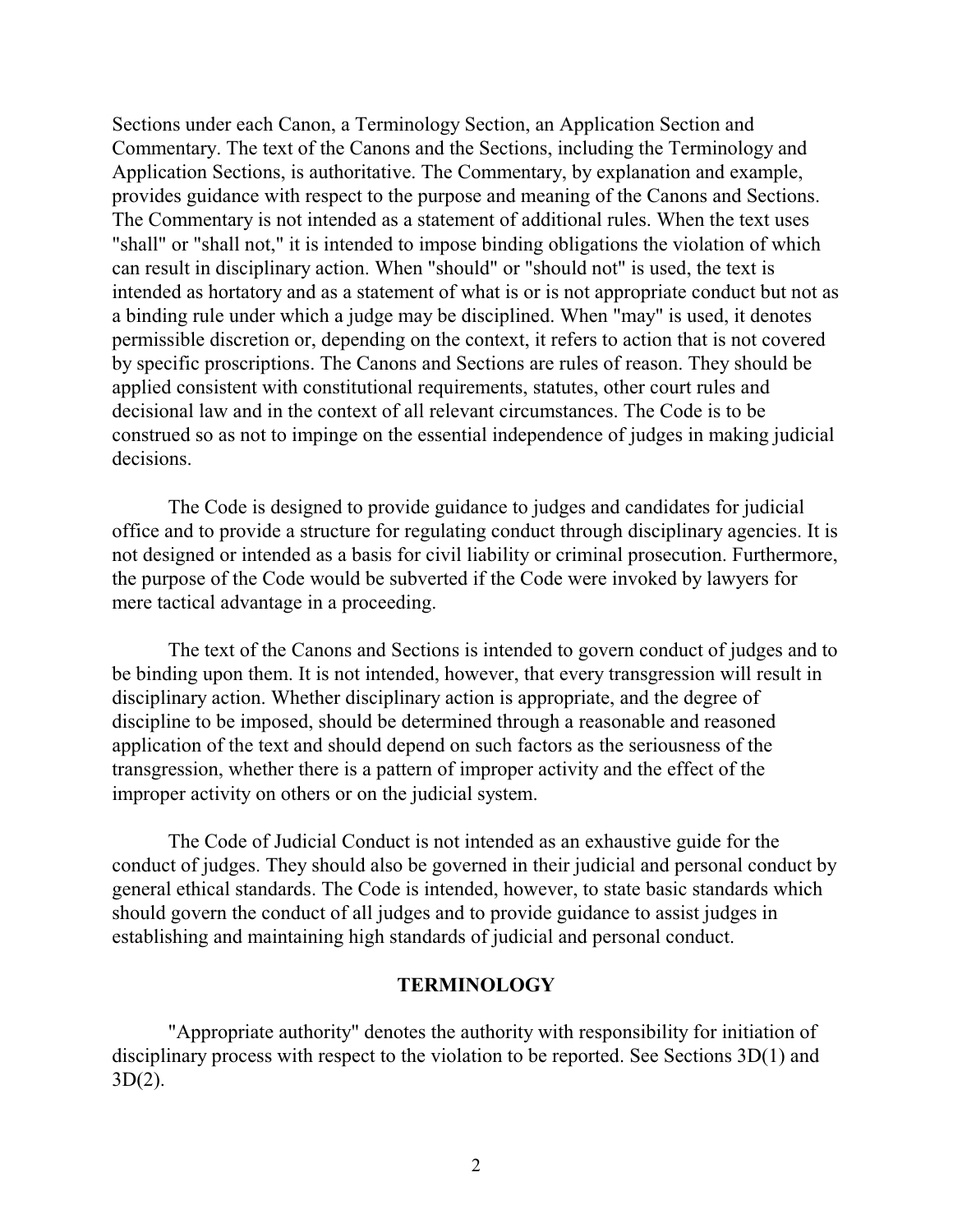Sections under each Canon, a Terminology Section, an Application Section and Commentary. The text of the Canons and the Sections, including the Terminology and Application Sections, is authoritative. The Commentary, by explanation and example, provides guidance with respect to the purpose and meaning of the Canons and Sections. The Commentary is not intended as a statement of additional rules. When the text uses "shall" or "shall not," it is intended to impose binding obligations the violation of which can result in disciplinary action. When "should" or "should not" is used, the text is intended as hortatory and as a statement of what is or is not appropriate conduct but not as a binding rule under which a judge may be disciplined. When "may" is used, it denotes permissible discretion or, depending on the context, it refers to action that is not covered by specific proscriptions. The Canons and Sections are rules of reason. They should be applied consistent with constitutional requirements, statutes, other court rules and decisional law and in the context of all relevant circumstances. The Code is to be construed so as not to impinge on the essential independence of judges in making judicial decisions.

The Code is designed to provide guidance to judges and candidates for judicial office and to provide a structure for regulating conduct through disciplinary agencies. It is not designed or intended as a basis for civil liability or criminal prosecution. Furthermore, the purpose of the Code would be subverted if the Code were invoked by lawyers for mere tactical advantage in a proceeding.

The text of the Canons and Sections is intended to govern conduct of judges and to be binding upon them. It is not intended, however, that every transgression will result in disciplinary action. Whether disciplinary action is appropriate, and the degree of discipline to be imposed, should be determined through a reasonable and reasoned application of the text and should depend on such factors as the seriousness of the transgression, whether there is a pattern of improper activity and the effect of the improper activity on others or on the judicial system.

The Code of Judicial Conduct is not intended as an exhaustive guide for the conduct of judges. They should also be governed in their judicial and personal conduct by general ethical standards. The Code is intended, however, to state basic standards which should govern the conduct of all judges and to provide guidance to assist judges in establishing and maintaining high standards of judicial and personal conduct.

# <span id="page-1-0"></span>**TERMINOLOGY**

"Appropriate authority" denotes the authority with responsibility for initiation of disciplinary process with respect to the violation to be reported. See Sections 3D(1) and 3D(2).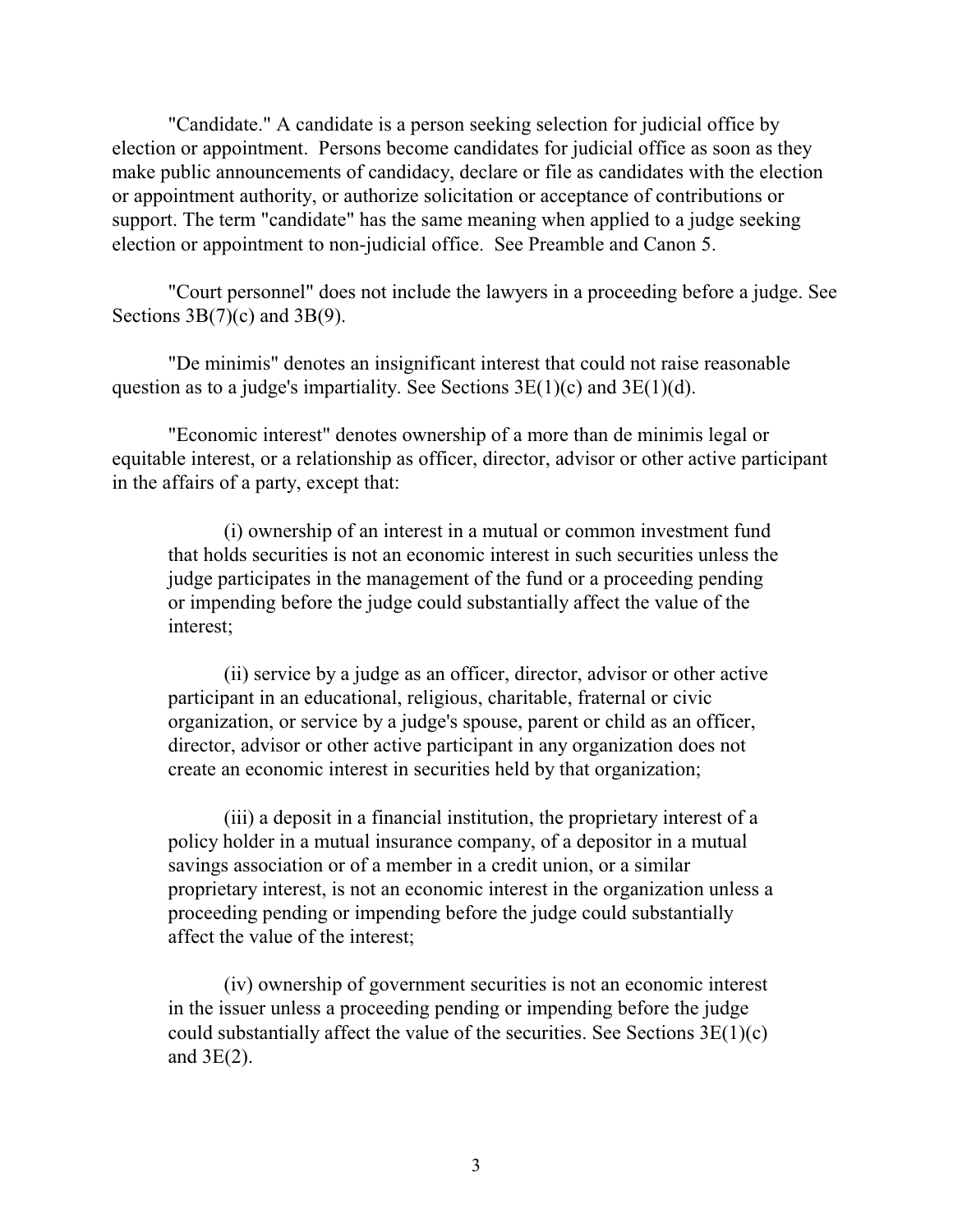"Candidate." A candidate is a person seeking selection for judicial office by election or appointment. Persons become candidates for judicial office as soon as they make public announcements of candidacy, declare or file as candidates with the election or appointment authority, or authorize solicitation or acceptance of contributions or support. The term "candidate" has the same meaning when applied to a judge seeking election or appointment to non-judicial office. See Preamble and Canon 5.

"Court personnel" does not include the lawyers in a proceeding before a judge. See Sections  $3B(7)(c)$  and  $3B(9)$ .

"De minimis" denotes an insignificant interest that could not raise reasonable question as to a judge's impartiality. See Sections  $3E(1)(c)$  and  $3E(1)(d)$ .

"Economic interest" denotes ownership of a more than de minimis legal or equitable interest, or a relationship as officer, director, advisor or other active participant in the affairs of a party, except that:

(i) ownership of an interest in a mutual or common investment fund that holds securities is not an economic interest in such securities unless the judge participates in the management of the fund or a proceeding pending or impending before the judge could substantially affect the value of the interest;

(ii) service by a judge as an officer, director, advisor or other active participant in an educational, religious, charitable, fraternal or civic organization, or service by a judge's spouse, parent or child as an officer, director, advisor or other active participant in any organization does not create an economic interest in securities held by that organization;

(iii) a deposit in a financial institution, the proprietary interest of a policy holder in a mutual insurance company, of a depositor in a mutual savings association or of a member in a credit union, or a similar proprietary interest, is not an economic interest in the organization unless a proceeding pending or impending before the judge could substantially affect the value of the interest;

(iv) ownership of government securities is not an economic interest in the issuer unless a proceeding pending or impending before the judge could substantially affect the value of the securities. See Sections  $3E(1)(c)$ and 3E(2).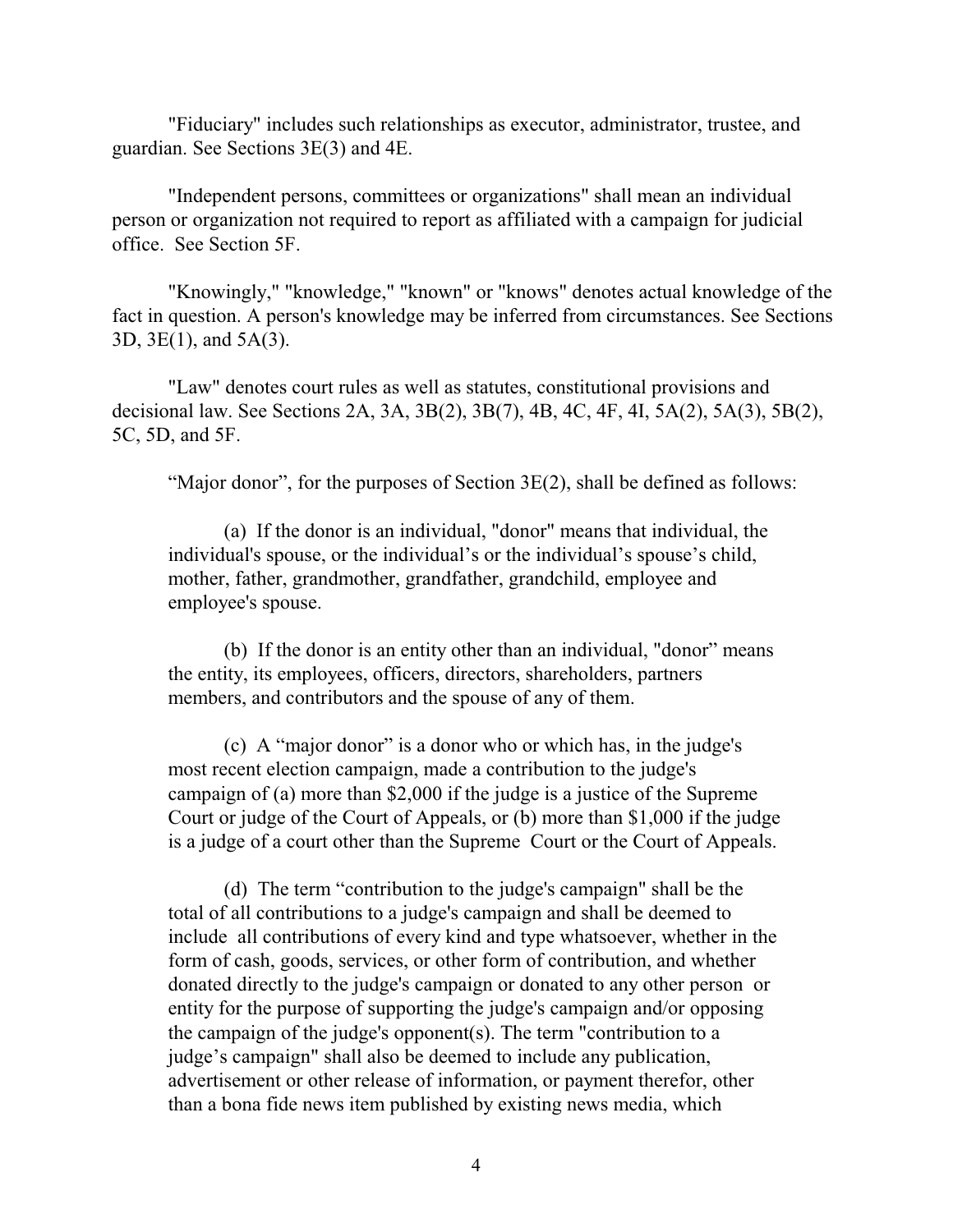"Fiduciary" includes such relationships as executor, administrator, trustee, and guardian. See Sections 3E(3) and 4E.

"Independent persons, committees or organizations" shall mean an individual person or organization not required to report as affiliated with a campaign for judicial office. See Section 5F.

"Knowingly," "knowledge," "known" or "knows" denotes actual knowledge of the fact in question. A person's knowledge may be inferred from circumstances. See Sections 3D, 3E(1), and 5A(3).

"Law" denotes court rules as well as statutes, constitutional provisions and decisional law. See Sections 2A, 3A, 3B(2), 3B(7), 4B, 4C, 4F, 4I, 5A(2), 5A(3), 5B(2), 5C, 5D, and 5F.

"Major donor", for the purposes of Section 3E(2), shall be defined as follows:

(a) If the donor is an individual, "donor" means that individual, the individual's spouse, or the individual's or the individual's spouse's child, mother, father, grandmother, grandfather, grandchild, employee and employee's spouse.

(b) If the donor is an entity other than an individual, "donor" means the entity, its employees, officers, directors, shareholders, partners members, and contributors and the spouse of any of them.

(c) A "major donor" is a donor who or which has, in the judge's most recent election campaign, made a contribution to the judge's campaign of (a) more than \$2,000 if the judge is a justice of the Supreme Court or judge of the Court of Appeals, or (b) more than \$1,000 if the judge is a judge of a court other than the Supreme Court or the Court of Appeals.

(d) The term "contribution to the judge's campaign" shall be the total of all contributions to a judge's campaign and shall be deemed to include all contributions of every kind and type whatsoever, whether in the form of cash, goods, services, or other form of contribution, and whether donated directly to the judge's campaign or donated to any other person or entity for the purpose of supporting the judge's campaign and/or opposing the campaign of the judge's opponent(s). The term "contribution to a judge's campaign" shall also be deemed to include any publication, advertisement or other release of information, or payment therefor, other than a bona fide news item published by existing news media, which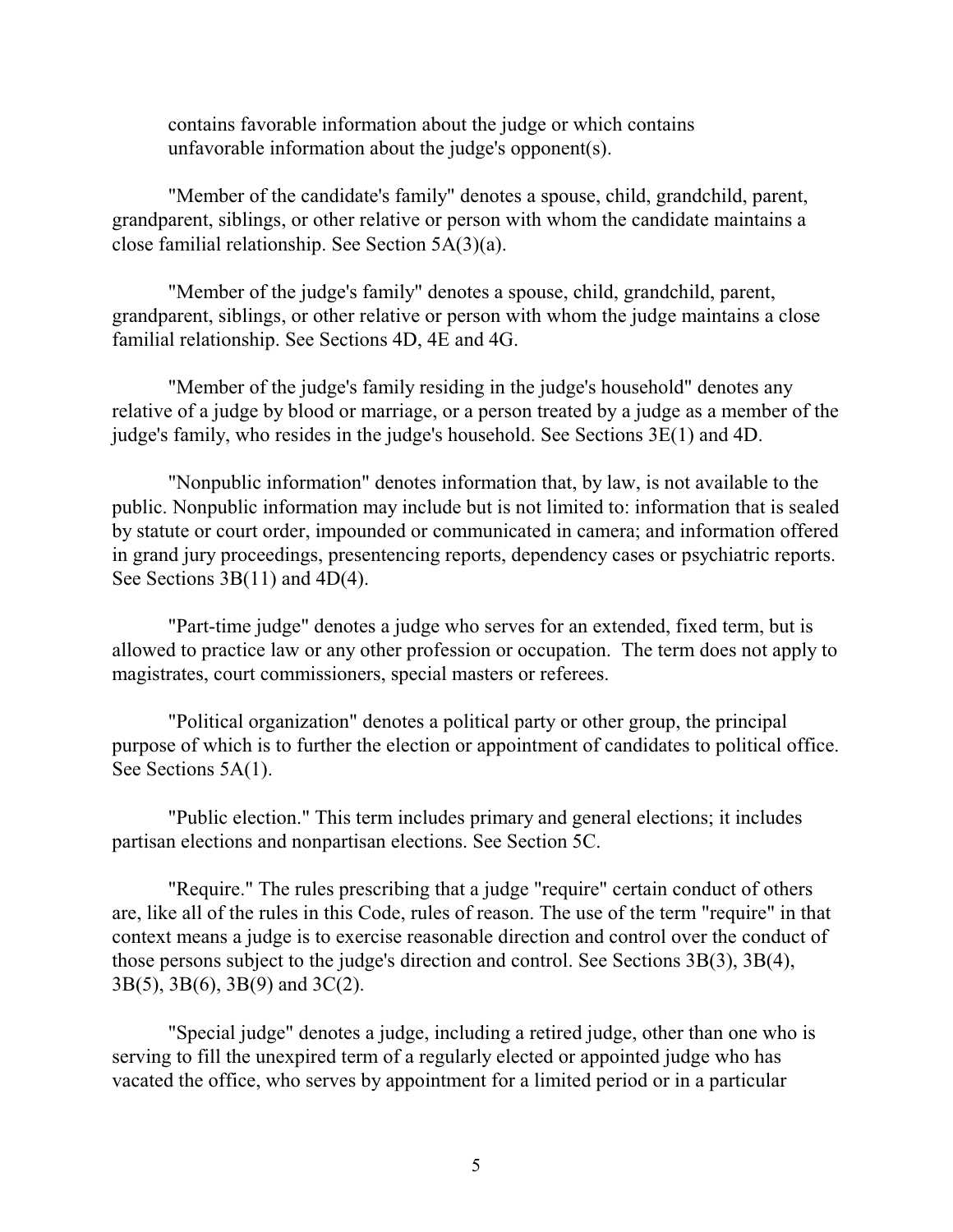contains favorable information about the judge or which contains unfavorable information about the judge's opponent(s).

"Member of the candidate's family" denotes a spouse, child, grandchild, parent, grandparent, siblings, or other relative or person with whom the candidate maintains a close familial relationship. See Section 5A(3)(a).

"Member of the judge's family" denotes a spouse, child, grandchild, parent, grandparent, siblings, or other relative or person with whom the judge maintains a close familial relationship. See Sections 4D, 4E and 4G.

"Member of the judge's family residing in the judge's household" denotes any relative of a judge by blood or marriage, or a person treated by a judge as a member of the judge's family, who resides in the judge's household. See Sections 3E(1) and 4D.

"Nonpublic information" denotes information that, by law, is not available to the public. Nonpublic information may include but is not limited to: information that is sealed by statute or court order, impounded or communicated in camera; and information offered in grand jury proceedings, presentencing reports, dependency cases or psychiatric reports. See Sections 3B(11) and 4D(4).

"Part-time judge" denotes a judge who serves for an extended, fixed term, but is allowed to practice law or any other profession or occupation. The term does not apply to magistrates, court commissioners, special masters or referees.

"Political organization" denotes a political party or other group, the principal purpose of which is to further the election or appointment of candidates to political office. See Sections 5A(1).

"Public election." This term includes primary and general elections; it includes partisan elections and nonpartisan elections. See Section 5C.

"Require." The rules prescribing that a judge "require" certain conduct of others are, like all of the rules in this Code, rules of reason. The use of the term "require" in that context means a judge is to exercise reasonable direction and control over the conduct of those persons subject to the judge's direction and control. See Sections 3B(3), 3B(4), 3B(5), 3B(6), 3B(9) and 3C(2).

"Special judge" denotes a judge, including a retired judge, other than one who is serving to fill the unexpired term of a regularly elected or appointed judge who has vacated the office, who serves by appointment for a limited period or in a particular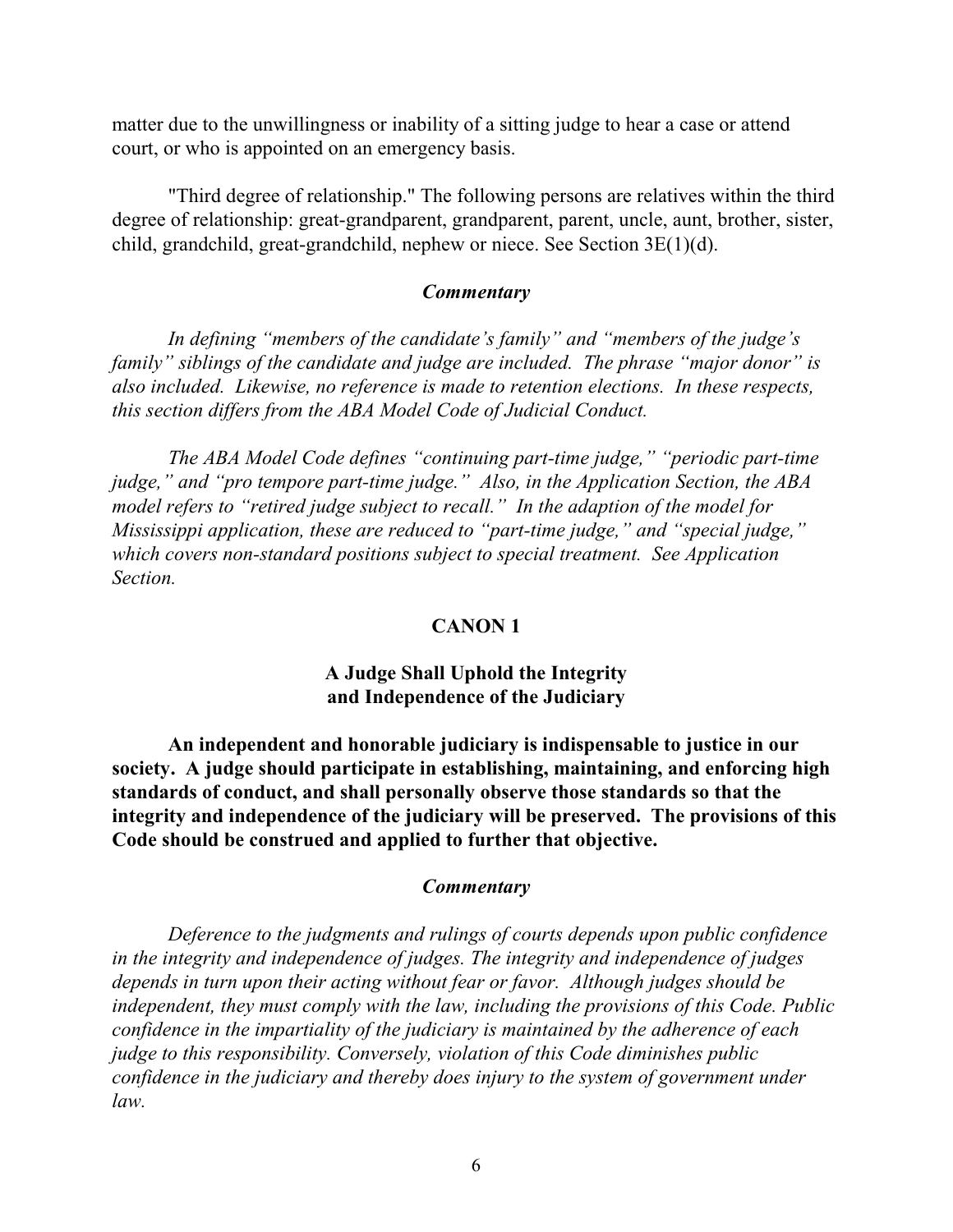matter due to the unwillingness or inability of a sitting judge to hear a case or attend court, or who is appointed on an emergency basis.

"Third degree of relationship." The following persons are relatives within the third degree of relationship: great-grandparent, grandparent, parent, uncle, aunt, brother, sister, child, grandchild, great-grandchild, nephew or niece. See Section 3E(1)(d).

### *Commentary*

*In defining "members of the candidate's family" and "members of the judge's family" siblings of the candidate and judge are included. The phrase "major donor" is also included. Likewise, no reference is made to retention elections. In these respects, this section differs from the ABA Model Code of Judicial Conduct.* 

*The ABA Model Code defines "continuing part-time judge," "periodic part-time judge," and "pro tempore part-time judge." Also, in the Application Section, the ABA model refers to "retired judge subject to recall." In the adaption of the model for Mississippi application, these are reduced to "part-time judge," and "special judge," which covers non-standard positions subject to special treatment. See Application Section.*

## <span id="page-5-0"></span>**CANON 1**

## **A Judge Shall Uphold the Integrity and Independence of the Judiciary**

**An independent and honorable judiciary is indispensable to justice in our society. A judge should participate in establishing, maintaining, and enforcing high standards of conduct, and shall personally observe those standards so that the integrity and independence of the judiciary will be preserved. The provisions of this Code should be construed and applied to further that objective.**

#### *Commentary*

*Deference to the judgments and rulings of courts depends upon public confidence in the integrity and independence of judges. The integrity and independence of judges depends in turn upon their acting without fear or favor. Although judges should be independent, they must comply with the law, including the provisions of this Code. Public confidence in the impartiality of the judiciary is maintained by the adherence of each judge to this responsibility. Conversely, violation of this Code diminishes public confidence in the judiciary and thereby does injury to the system of government under law.*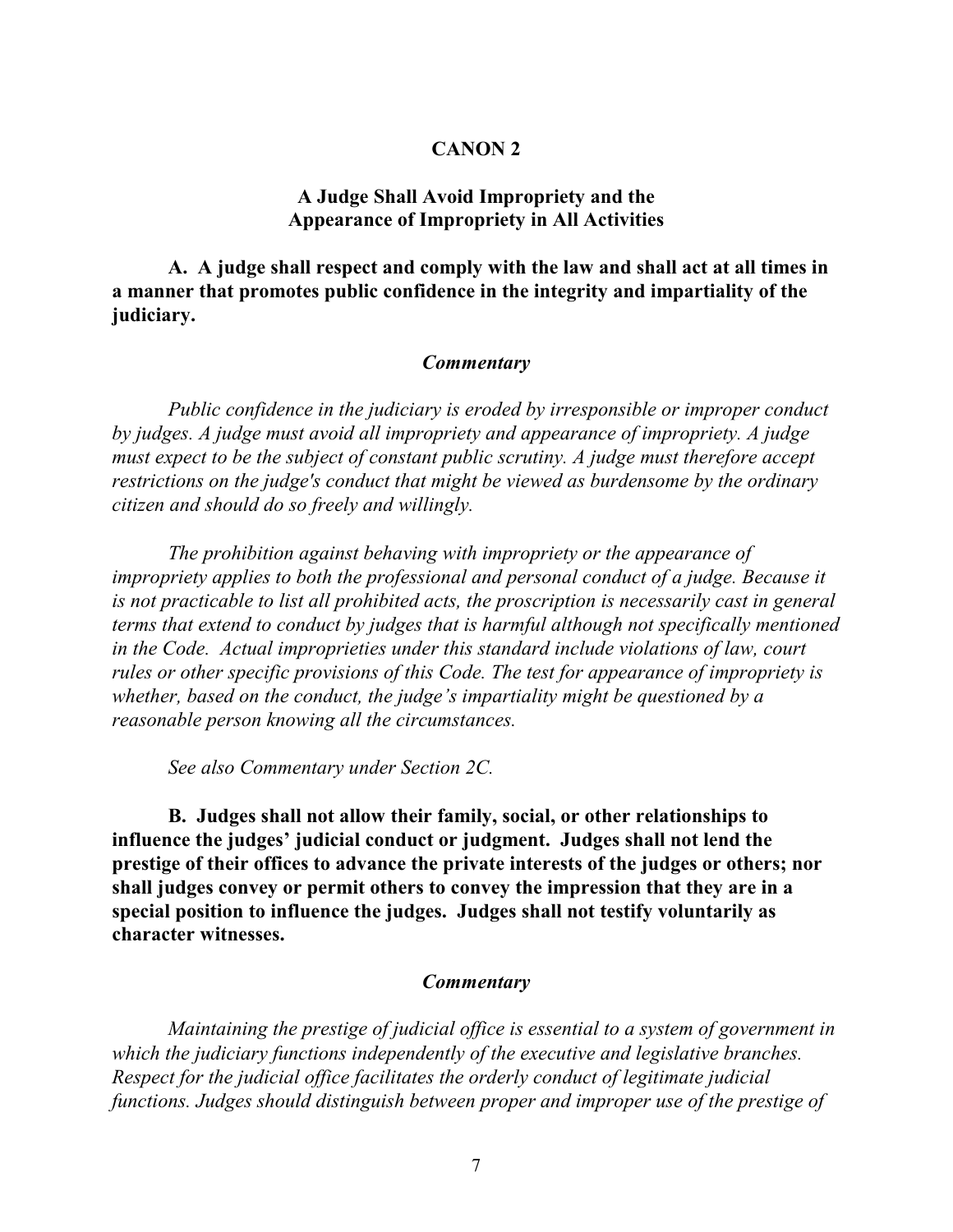### <span id="page-6-0"></span>**CANON 2**

# **A Judge Shall Avoid Impropriety and the Appearance of Impropriety in All Activities**

**A. A judge shall respect and comply with the law and shall act at all times in a manner that promotes public confidence in the integrity and impartiality of the judiciary.**

#### *Commentary*

*Public confidence in the judiciary is eroded by irresponsible or improper conduct by judges. A judge must avoid all impropriety and appearance of impropriety. A judge must expect to be the subject of constant public scrutiny. A judge must therefore accept restrictions on the judge's conduct that might be viewed as burdensome by the ordinary citizen and should do so freely and willingly.*

*The prohibition against behaving with impropriety or the appearance of impropriety applies to both the professional and personal conduct of a judge. Because it is not practicable to list all prohibited acts, the proscription is necessarily cast in general terms that extend to conduct by judges that is harmful although not specifically mentioned in the Code. Actual improprieties under this standard include violations of law, court rules or other specific provisions of this Code. The test for appearance of impropriety is whether, based on the conduct, the judge's impartiality might be questioned by a reasonable person knowing all the circumstances.*

*See also Commentary under Section 2C.*

**B. Judges shall not allow their family, social, or other relationships to influence the judges' judicial conduct or judgment. Judges shall not lend the prestige of their offices to advance the private interests of the judges or others; nor shall judges convey or permit others to convey the impression that they are in a special position to influence the judges. Judges shall not testify voluntarily as character witnesses.**

#### *Commentary*

*Maintaining the prestige of judicial office is essential to a system of government in which the judiciary functions independently of the executive and legislative branches. Respect for the judicial office facilitates the orderly conduct of legitimate judicial functions. Judges should distinguish between proper and improper use of the prestige of*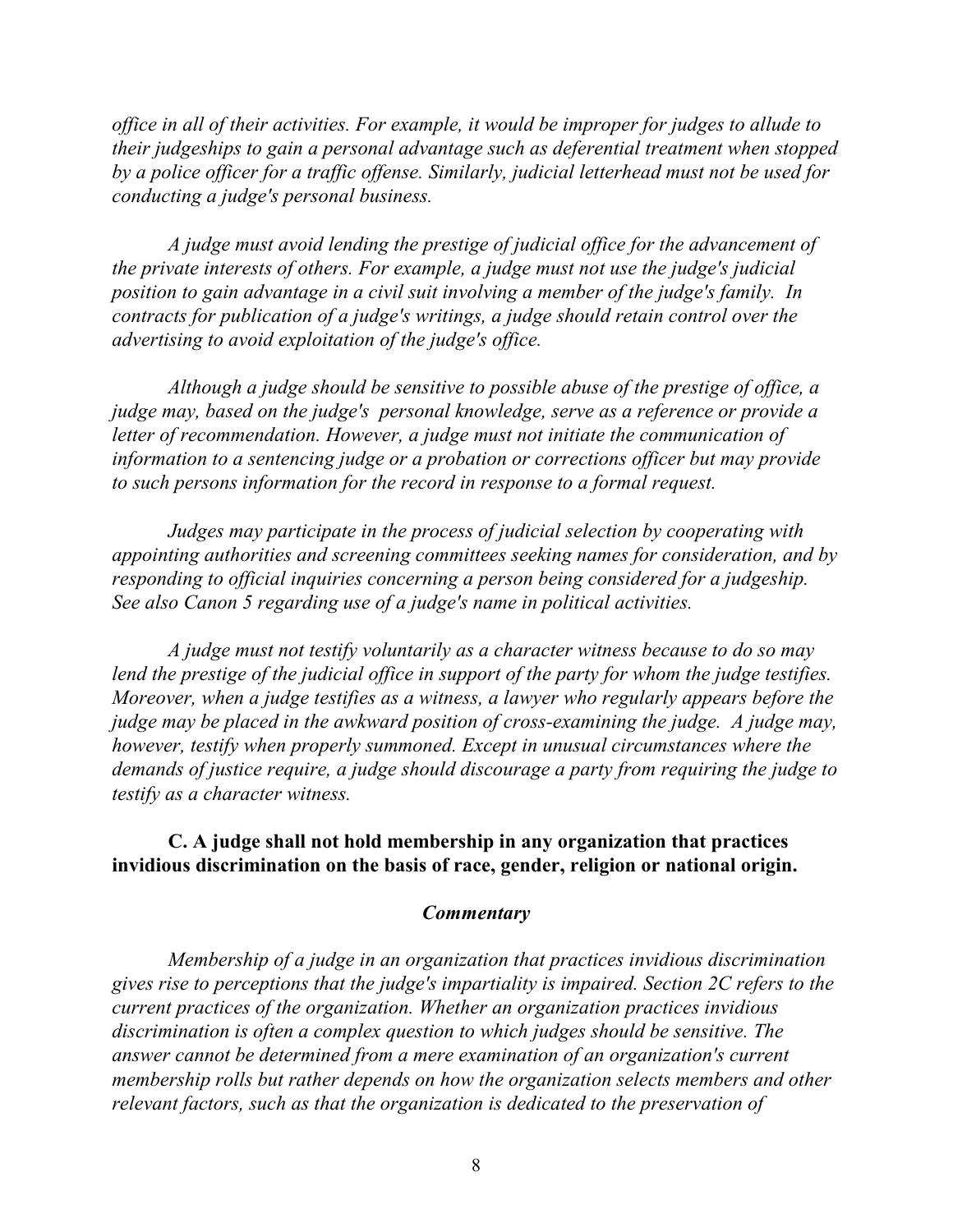*office in all of their activities. For example, it would be improper for judges to allude to their judgeships to gain a personal advantage such as deferential treatment when stopped by a police officer for a traffic offense. Similarly, judicial letterhead must not be used for conducting a judge's personal business.*

*A judge must avoid lending the prestige of judicial office for the advancement of the private interests of others. For example, a judge must not use the judge's judicial position to gain advantage in a civil suit involving a member of the judge's family. In contracts for publication of a judge's writings, a judge should retain control over the advertising to avoid exploitation of the judge's office.* 

*Although a judge should be sensitive to possible abuse of the prestige of office, a judge may, based on the judge's personal knowledge, serve as a reference or provide a letter of recommendation. However, a judge must not initiate the communication of information to a sentencing judge or a probation or corrections officer but may provide to such persons information for the record in response to a formal request.*

*Judges may participate in the process of judicial selection by cooperating with appointing authorities and screening committees seeking names for consideration, and by responding to official inquiries concerning a person being considered for a judgeship. See also Canon 5 regarding use of a judge's name in political activities.*

*A judge must not testify voluntarily as a character witness because to do so may lend the prestige of the judicial office in support of the party for whom the judge testifies. Moreover, when a judge testifies as a witness, a lawyer who regularly appears before the judge may be placed in the awkward position of cross-examining the judge. A judge may, however, testify when properly summoned. Except in unusual circumstances where the demands of justice require, a judge should discourage a party from requiring the judge to testify as a character witness.*

# **C. A judge shall not hold membership in any organization that practices invidious discrimination on the basis of race, gender, religion or national origin.**

# *Commentary*

*Membership of a judge in an organization that practices invidious discrimination gives rise to perceptions that the judge's impartiality is impaired. Section 2C refers to the current practices of the organization. Whether an organization practices invidious discrimination is often a complex question to which judges should be sensitive. The answer cannot be determined from a mere examination of an organization's current membership rolls but rather depends on how the organization selects members and other relevant factors, such as that the organization is dedicated to the preservation of*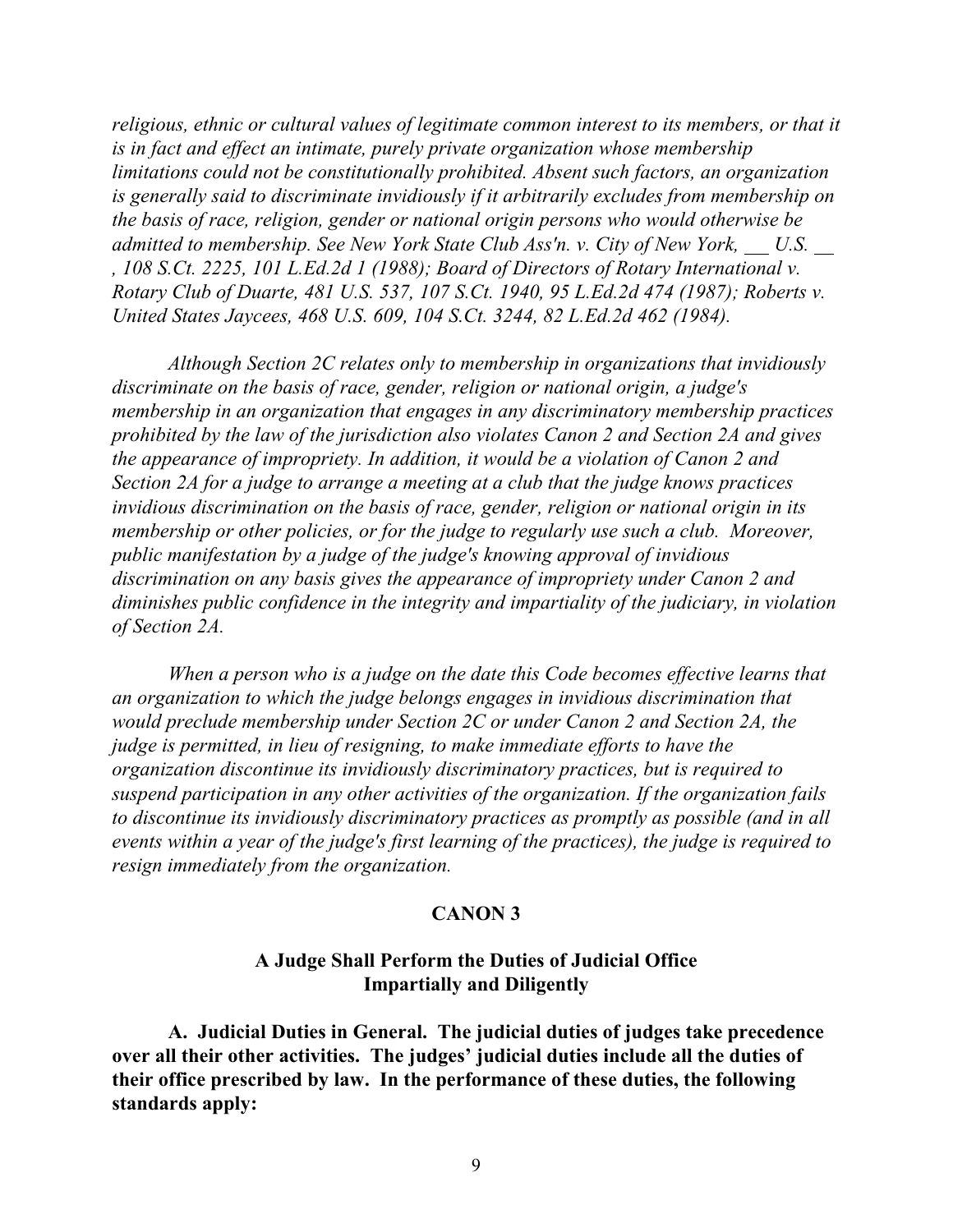*religious, ethnic or cultural values of legitimate common interest to its members, or that it is in fact and effect an intimate, purely private organization whose membership limitations could not be constitutionally prohibited. Absent such factors, an organization is generally said to discriminate invidiously if it arbitrarily excludes from membership on the basis of race, religion, gender or national origin persons who would otherwise be admitted to membership. See New York State Club Ass'n. v. City of New York, U.S. , 108 S.Ct. 2225, 101 L.Ed.2d 1 (1988); Board of Directors of Rotary International v. Rotary Club of Duarte, 481 U.S. 537, 107 S.Ct. 1940, 95 L.Ed.2d 474 (1987); Roberts v. United States Jaycees, 468 U.S. 609, 104 S.Ct. 3244, 82 L.Ed.2d 462 (1984).*

*Although Section 2C relates only to membership in organizations that invidiously discriminate on the basis of race, gender, religion or national origin, a judge's membership in an organization that engages in any discriminatory membership practices prohibited by the law of the jurisdiction also violates Canon 2 and Section 2A and gives the appearance of impropriety. In addition, it would be a violation of Canon 2 and Section 2A for a judge to arrange a meeting at a club that the judge knows practices invidious discrimination on the basis of race, gender, religion or national origin in its membership or other policies, or for the judge to regularly use such a club. Moreover, public manifestation by a judge of the judge's knowing approval of invidious discrimination on any basis gives the appearance of impropriety under Canon 2 and diminishes public confidence in the integrity and impartiality of the judiciary, in violation of Section 2A.*

*When a person who is a judge on the date this Code becomes effective learns that an organization to which the judge belongs engages in invidious discrimination that would preclude membership under Section 2C or under Canon 2 and Section 2A, the judge is permitted, in lieu of resigning, to make immediate efforts to have the organization discontinue its invidiously discriminatory practices, but is required to suspend participation in any other activities of the organization. If the organization fails to discontinue its invidiously discriminatory practices as promptly as possible (and in all events within a year of the judge's first learning of the practices), the judge is required to resign immediately from the organization.*

### <span id="page-8-0"></span>**CANON 3**

# **A Judge Shall Perform the Duties of Judicial Office Impartially and Diligently**

**A. Judicial Duties in General. The judicial duties of judges take precedence over all their other activities. The judges' judicial duties include all the duties of their office prescribed by law. In the performance of these duties, the following standards apply:**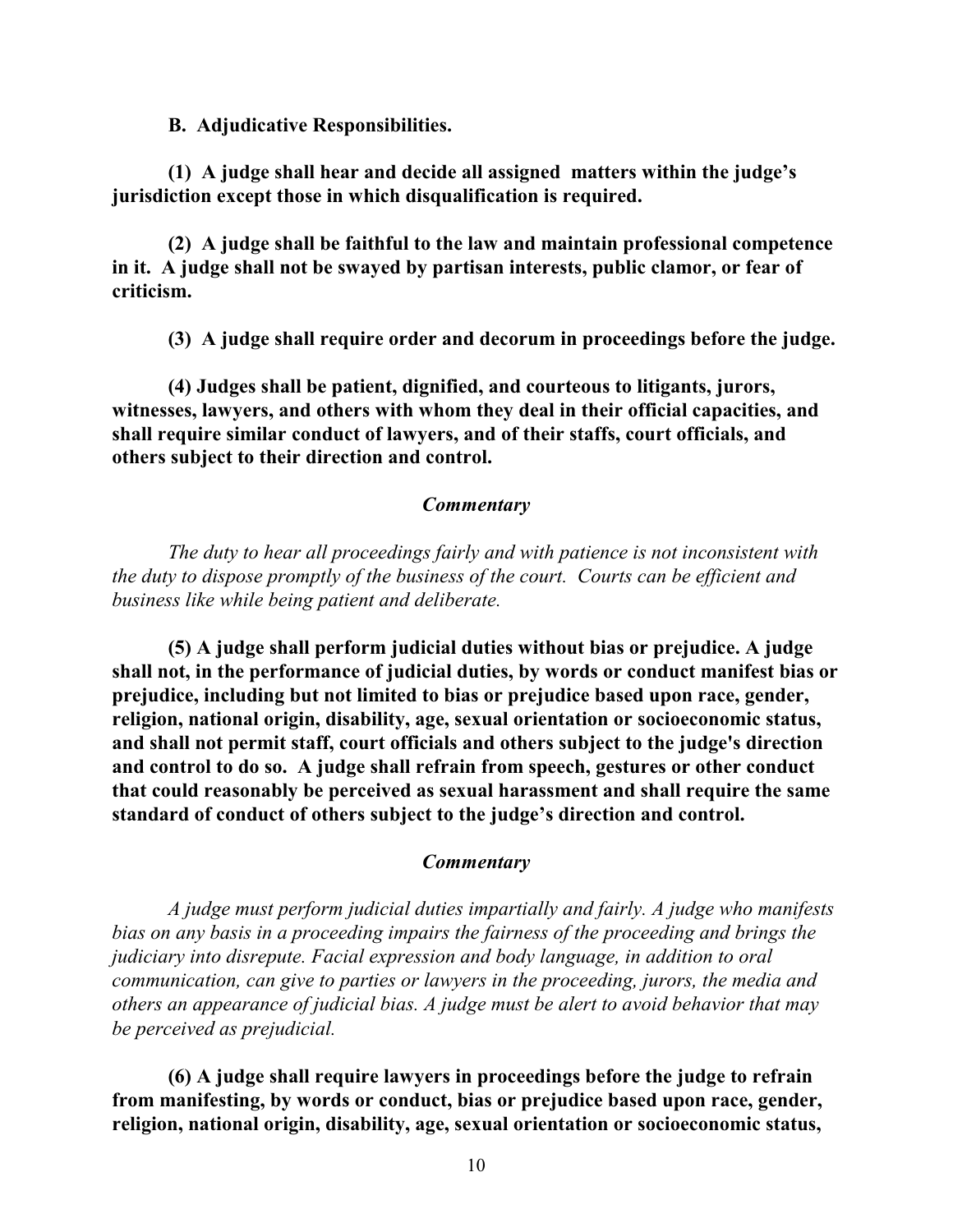**B. Adjudicative Responsibilities.**

**(1) A judge shall hear and decide all assigned matters within the judge's jurisdiction except those in which disqualification is required.**

**(2) A judge shall be faithful to the law and maintain professional competence in it. A judge shall not be swayed by partisan interests, public clamor, or fear of criticism.**

**(3) A judge shall require order and decorum in proceedings before the judge.**

**(4) Judges shall be patient, dignified, and courteous to litigants, jurors, witnesses, lawyers, and others with whom they deal in their official capacities, and shall require similar conduct of lawyers, and of their staffs, court officials, and others subject to their direction and control.**

## *Commentary*

*The duty to hear all proceedings fairly and with patience is not inconsistent with the duty to dispose promptly of the business of the court. Courts can be efficient and business like while being patient and deliberate.*

**(5) A judge shall perform judicial duties without bias or prejudice. A judge shall not, in the performance of judicial duties, by words or conduct manifest bias or prejudice, including but not limited to bias or prejudice based upon race, gender, religion, national origin, disability, age, sexual orientation or socioeconomic status, and shall not permit staff, court officials and others subject to the judge's direction and control to do so. A judge shall refrain from speech, gestures or other conduct that could reasonably be perceived as sexual harassment and shall require the same standard of conduct of others subject to the judge's direction and control.**

### *Commentary*

*A judge must perform judicial duties impartially and fairly. A judge who manifests bias on any basis in a proceeding impairs the fairness of the proceeding and brings the judiciary into disrepute. Facial expression and body language, in addition to oral communication, can give to parties or lawyers in the proceeding, jurors, the media and others an appearance of judicial bias. A judge must be alert to avoid behavior that may be perceived as prejudicial.*

**(6) A judge shall require lawyers in proceedings before the judge to refrain from manifesting, by words or conduct, bias or prejudice based upon race, gender, religion, national origin, disability, age, sexual orientation or socioeconomic status,**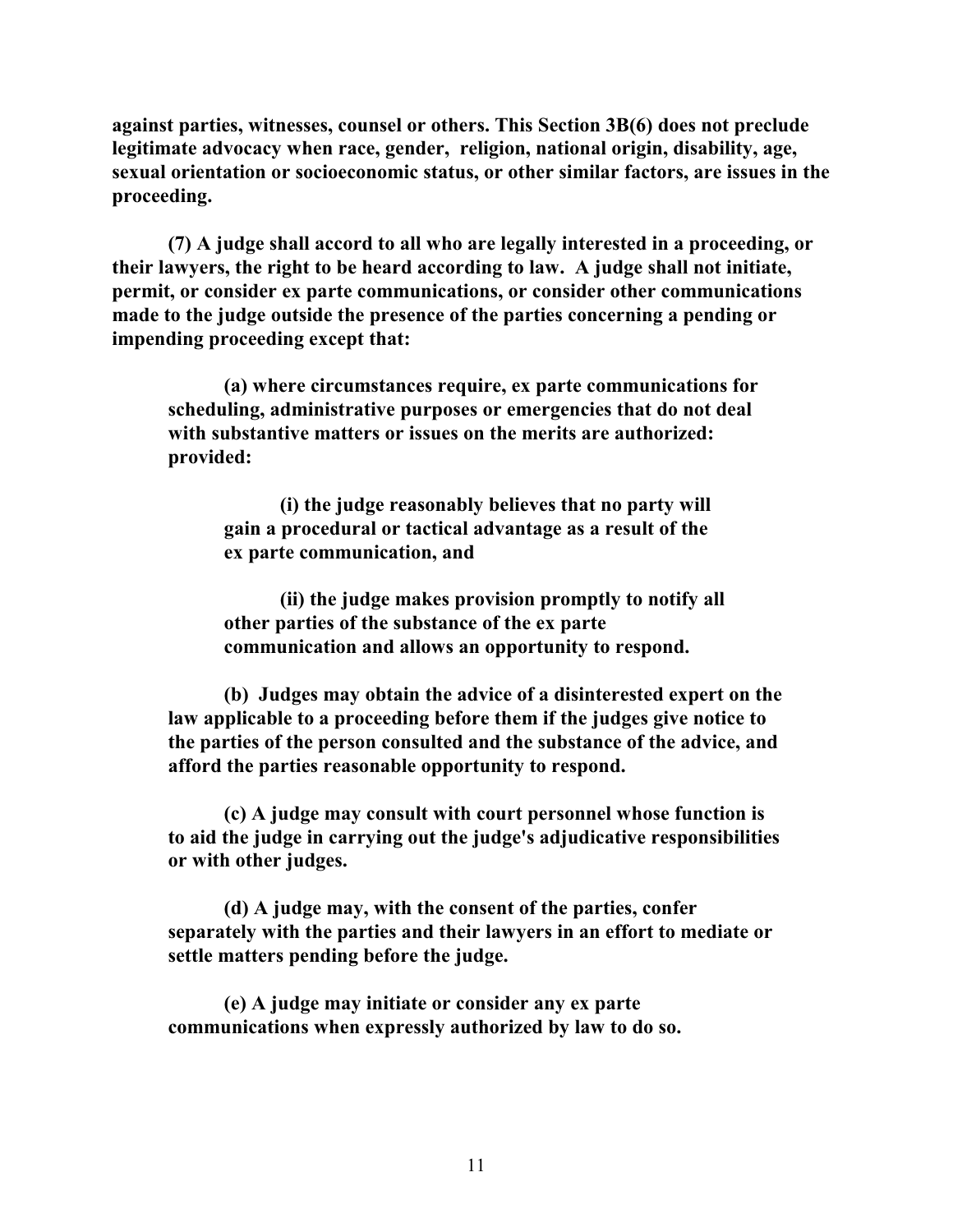**against parties, witnesses, counsel or others. This Section 3B(6) does not preclude legitimate advocacy when race, gender, religion, national origin, disability, age, sexual orientation or socioeconomic status, or other similar factors, are issues in the proceeding.**

**(7) A judge shall accord to all who are legally interested in a proceeding, or their lawyers, the right to be heard according to law. A judge shall not initiate, permit, or consider ex parte communications, or consider other communications made to the judge outside the presence of the parties concerning a pending or impending proceeding except that:**

**(a) where circumstances require, ex parte communications for scheduling, administrative purposes or emergencies that do not deal with substantive matters or issues on the merits are authorized: provided:**

**(i) the judge reasonably believes that no party will gain a procedural or tactical advantage as a result of the ex parte communication, and** 

**(ii) the judge makes provision promptly to notify all other parties of the substance of the ex parte communication and allows an opportunity to respond.**

**(b) Judges may obtain the advice of a disinterested expert on the law applicable to a proceeding before them if the judges give notice to the parties of the person consulted and the substance of the advice, and afford the parties reasonable opportunity to respond.**

**(c) A judge may consult with court personnel whose function is to aid the judge in carrying out the judge's adjudicative responsibilities or with other judges.**

**(d) A judge may, with the consent of the parties, confer separately with the parties and their lawyers in an effort to mediate or settle matters pending before the judge.**

**(e) A judge may initiate or consider any ex parte communications when expressly authorized by law to do so.**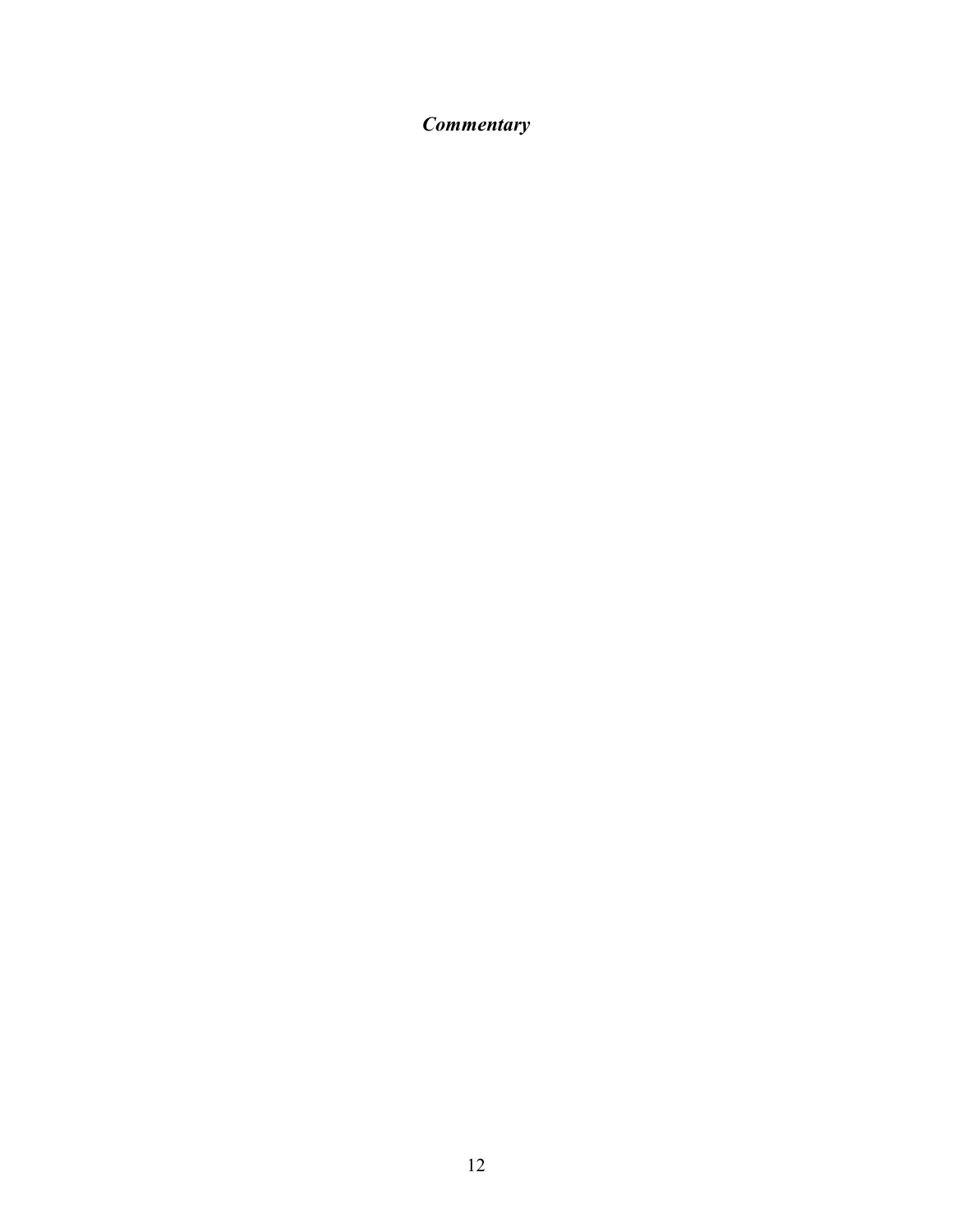*Commentary*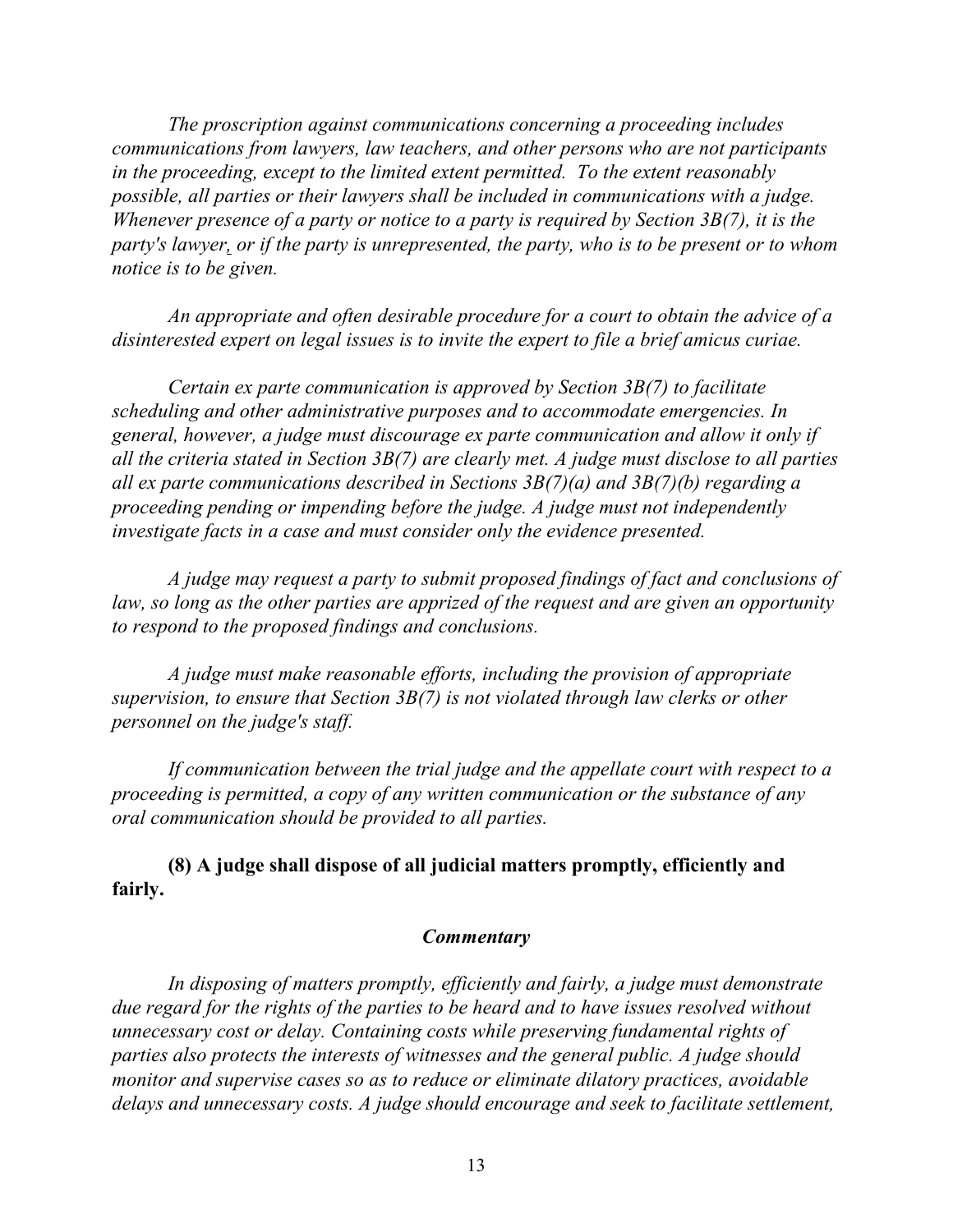*The proscription against communications concerning a proceeding includes communications from lawyers, law teachers, and other persons who are not participants in the proceeding, except to the limited extent permitted. To the extent reasonably possible, all parties or their lawyers shall be included in communications with a judge. Whenever presence of a party or notice to a party is required by Section 3B(7), it is the party's lawyer, or if the party is unrepresented, the party, who is to be present or to whom notice is to be given.*

*An appropriate and often desirable procedure for a court to obtain the advice of a disinterested expert on legal issues is to invite the expert to file a brief amicus curiae.*

*Certain ex parte communication is approved by Section 3B(7) to facilitate scheduling and other administrative purposes and to accommodate emergencies. In general, however, a judge must discourage ex parte communication and allow it only if all the criteria stated in Section 3B(7) are clearly met. A judge must disclose to all parties all ex parte communications described in Sections 3B(7)(a) and 3B(7)(b) regarding a proceeding pending or impending before the judge. A judge must not independently investigate facts in a case and must consider only the evidence presented.*

*A judge may request a party to submit proposed findings of fact and conclusions of law, so long as the other parties are apprized of the request and are given an opportunity to respond to the proposed findings and conclusions.*

*A judge must make reasonable efforts, including the provision of appropriate supervision, to ensure that Section 3B(7) is not violated through law clerks or other personnel on the judge's staff.*

*If communication between the trial judge and the appellate court with respect to a proceeding is permitted, a copy of any written communication or the substance of any oral communication should be provided to all parties.*

**(8) A judge shall dispose of all judicial matters promptly, efficiently and fairly.**

### *Commentary*

*In disposing of matters promptly, efficiently and fairly, a judge must demonstrate due regard for the rights of the parties to be heard and to have issues resolved without unnecessary cost or delay. Containing costs while preserving fundamental rights of parties also protects the interests of witnesses and the general public. A judge should monitor and supervise cases so as to reduce or eliminate dilatory practices, avoidable delays and unnecessary costs. A judge should encourage and seek to facilitate settlement,*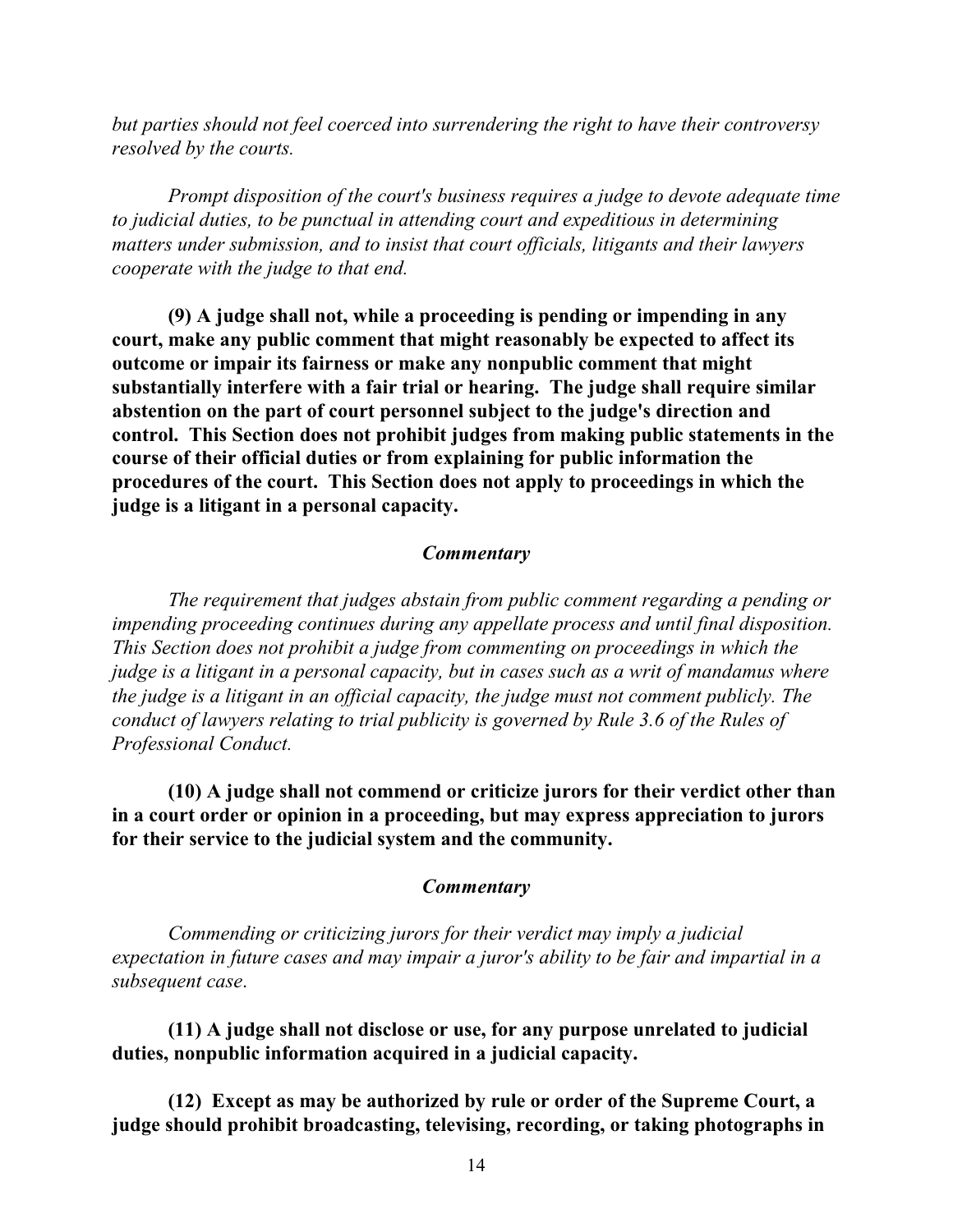*but parties should not feel coerced into surrendering the right to have their controversy resolved by the courts.*

*Prompt disposition of the court's business requires a judge to devote adequate time to judicial duties, to be punctual in attending court and expeditious in determining matters under submission, and to insist that court officials, litigants and their lawyers cooperate with the judge to that end.*

**(9) A judge shall not, while a proceeding is pending or impending in any court, make any public comment that might reasonably be expected to affect its outcome or impair its fairness or make any nonpublic comment that might substantially interfere with a fair trial or hearing. The judge shall require similar abstention on the part of court personnel subject to the judge's direction and control. This Section does not prohibit judges from making public statements in the course of their official duties or from explaining for public information the procedures of the court. This Section does not apply to proceedings in which the judge is a litigant in a personal capacity.**

### *Commentary*

*The requirement that judges abstain from public comment regarding a pending or impending proceeding continues during any appellate process and until final disposition. This Section does not prohibit a judge from commenting on proceedings in which the judge is a litigant in a personal capacity, but in cases such as a writ of mandamus where the judge is a litigant in an official capacity, the judge must not comment publicly. The conduct of lawyers relating to trial publicity is governed by Rule 3.6 of the Rules of Professional Conduct.*

**(10) A judge shall not commend or criticize jurors for their verdict other than in a court order or opinion in a proceeding, but may express appreciation to jurors for their service to the judicial system and the community.**

### *Commentary*

*Commending or criticizing jurors for their verdict may imply a judicial expectation in future cases and may impair a juror's ability to be fair and impartial in a subsequent case*.

**(11) A judge shall not disclose or use, for any purpose unrelated to judicial duties, nonpublic information acquired in a judicial capacity.**

**(12) Except as may be authorized by rule or order of the Supreme Court, a judge should prohibit broadcasting, televising, recording, or taking photographs in**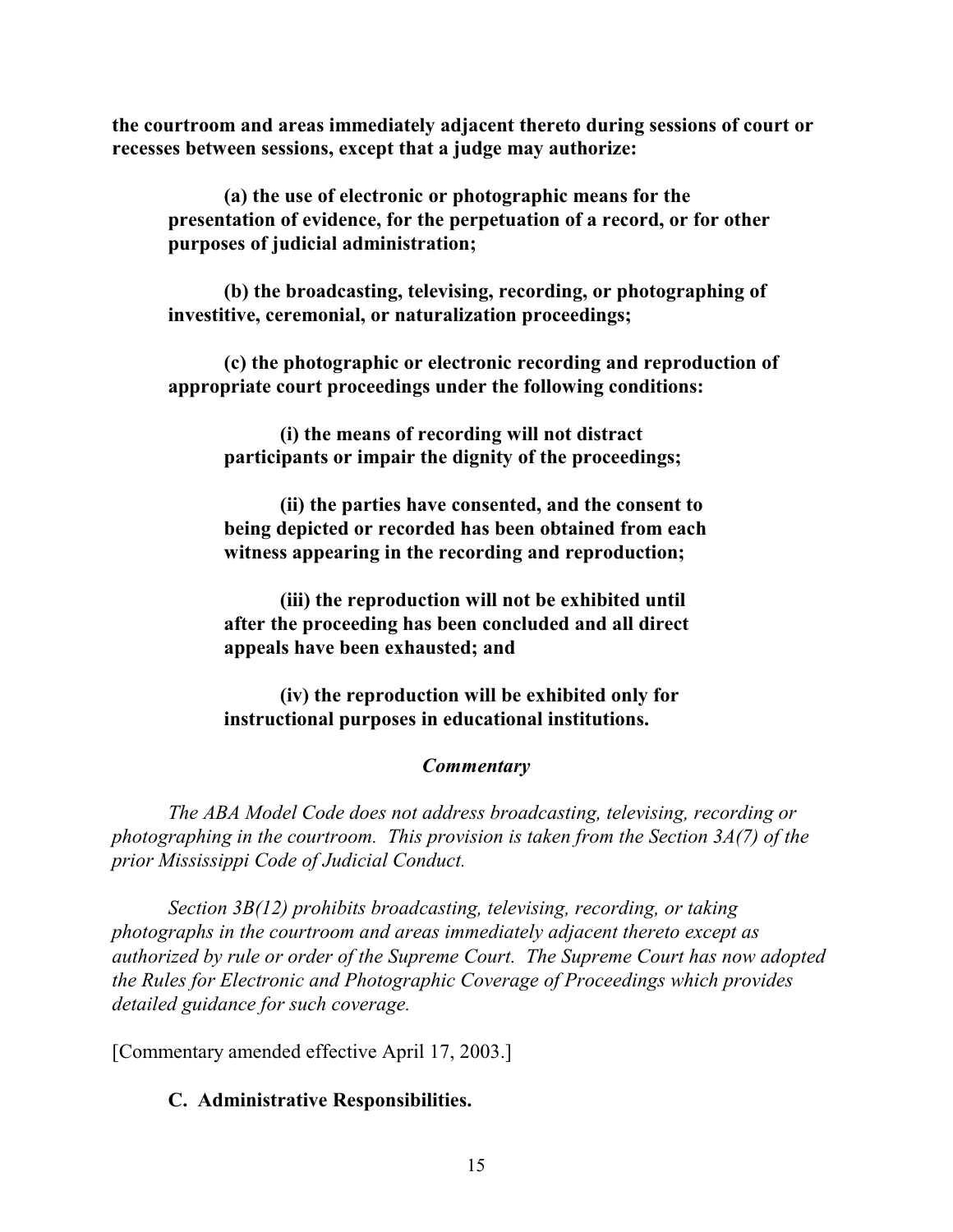**the courtroom and areas immediately adjacent thereto during sessions of court or recesses between sessions, except that a judge may authorize:** 

**(a) the use of electronic or photographic means for the presentation of evidence, for the perpetuation of a record, or for other purposes of judicial administration;**

**(b) the broadcasting, televising, recording, or photographing of investitive, ceremonial, or naturalization proceedings;**

**(c) the photographic or electronic recording and reproduction of appropriate court proceedings under the following conditions:**

**(i) the means of recording will not distract participants or impair the dignity of the proceedings;**

**(ii) the parties have consented, and the consent to being depicted or recorded has been obtained from each witness appearing in the recording and reproduction;**

**(iii) the reproduction will not be exhibited until after the proceeding has been concluded and all direct appeals have been exhausted; and** 

**(iv) the reproduction will be exhibited only for instructional purposes in educational institutions.**

# *Commentary*

*The ABA Model Code does not address broadcasting, televising, recording or photographing in the courtroom. This provision is taken from the Section 3A(7) of the prior Mississippi Code of Judicial Conduct.*

*Section 3B(12) prohibits broadcasting, televising, recording, or taking photographs in the courtroom and areas immediately adjacent thereto except as authorized by rule or order of the Supreme Court. The Supreme Court has now adopted the Rules for Electronic and Photographic Coverage of Proceedings which provides detailed guidance for such coverage.*

[Commentary amended effective April 17, 2003.]

# **C. Administrative Responsibilities.**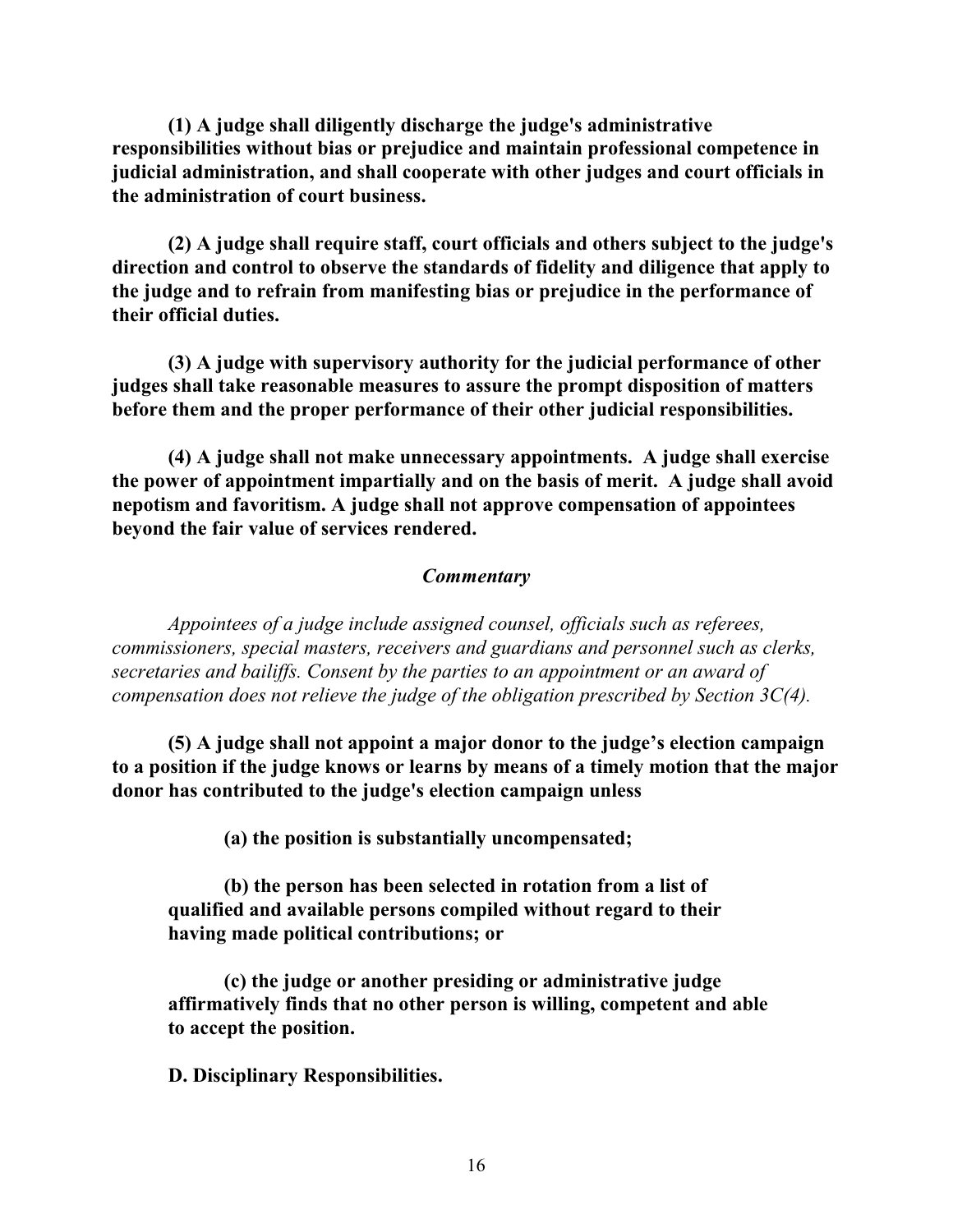**(1) A judge shall diligently discharge the judge's administrative responsibilities without bias or prejudice and maintain professional competence in judicial administration, and shall cooperate with other judges and court officials in the administration of court business.**

**(2) A judge shall require staff, court officials and others subject to the judge's direction and control to observe the standards of fidelity and diligence that apply to the judge and to refrain from manifesting bias or prejudice in the performance of their official duties.**

**(3) A judge with supervisory authority for the judicial performance of other judges shall take reasonable measures to assure the prompt disposition of matters before them and the proper performance of their other judicial responsibilities.**

**(4) A judge shall not make unnecessary appointments. A judge shall exercise the power of appointment impartially and on the basis of merit. A judge shall avoid nepotism and favoritism. A judge shall not approve compensation of appointees beyond the fair value of services rendered.**

## *Commentary*

*Appointees of a judge include assigned counsel, officials such as referees, commissioners, special masters, receivers and guardians and personnel such as clerks, secretaries and bailiffs. Consent by the parties to an appointment or an award of compensation does not relieve the judge of the obligation prescribed by Section 3C(4).*

**(5) A judge shall not appoint a major donor to the judge's election campaign to a position if the judge knows or learns by means of a timely motion that the major donor has contributed to the judge's election campaign unless** 

**(a) the position is substantially uncompensated;** 

**(b) the person has been selected in rotation from a list of qualified and available persons compiled without regard to their having made political contributions; or** 

**(c) the judge or another presiding or administrative judge affirmatively finds that no other person is willing, competent and able to accept the position.**

**D. Disciplinary Responsibilities.**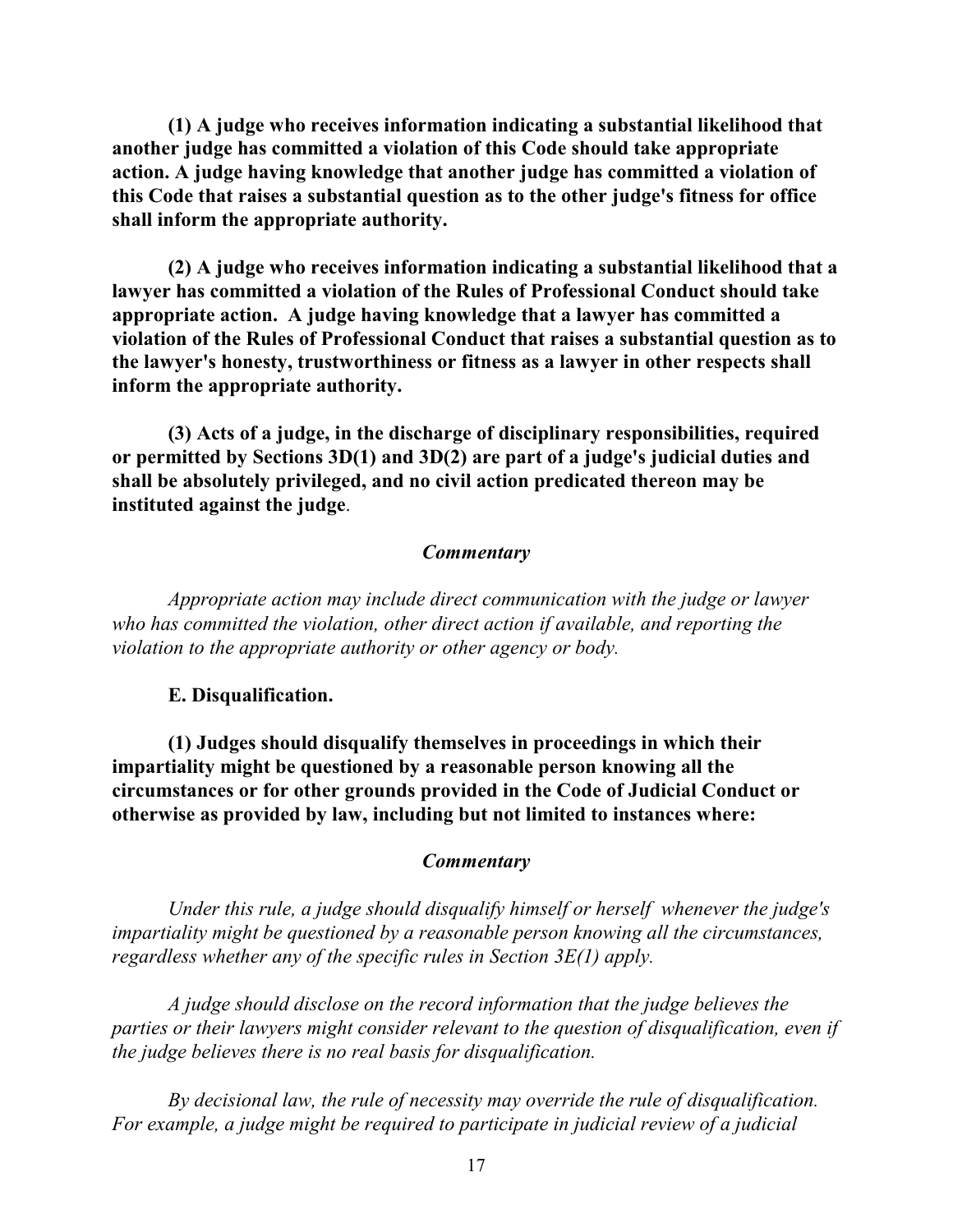**(1) A judge who receives information indicating a substantial likelihood that another judge has committed a violation of this Code should take appropriate action. A judge having knowledge that another judge has committed a violation of this Code that raises a substantial question as to the other judge's fitness for office shall inform the appropriate authority.**

**(2) A judge who receives information indicating a substantial likelihood that a lawyer has committed a violation of the Rules of Professional Conduct should take appropriate action. A judge having knowledge that a lawyer has committed a violation of the Rules of Professional Conduct that raises a substantial question as to the lawyer's honesty, trustworthiness or fitness as a lawyer in other respects shall inform the appropriate authority.**

**(3) Acts of a judge, in the discharge of disciplinary responsibilities, required or permitted by Sections 3D(1) and 3D(2) are part of a judge's judicial duties and shall be absolutely privileged, and no civil action predicated thereon may be instituted against the judge**.

### *Commentary*

*Appropriate action may include direct communication with the judge or lawyer who has committed the violation, other direct action if available, and reporting the violation to the appropriate authority or other agency or body.*

### **E. Disqualification.**

**(1) Judges should disqualify themselves in proceedings in which their impartiality might be questioned by a reasonable person knowing all the circumstances or for other grounds provided in the Code of Judicial Conduct or otherwise as provided by law, including but not limited to instances where:**

### *Commentary*

*Under this rule, a judge should disqualify himself or herself whenever the judge's impartiality might be questioned by a reasonable person knowing all the circumstances, regardless whether any of the specific rules in Section 3E(1) apply.* 

*A judge should disclose on the record information that the judge believes the parties or their lawyers might consider relevant to the question of disqualification, even if the judge believes there is no real basis for disqualification.*

*By decisional law, the rule of necessity may override the rule of disqualification. For example, a judge might be required to participate in judicial review of a judicial*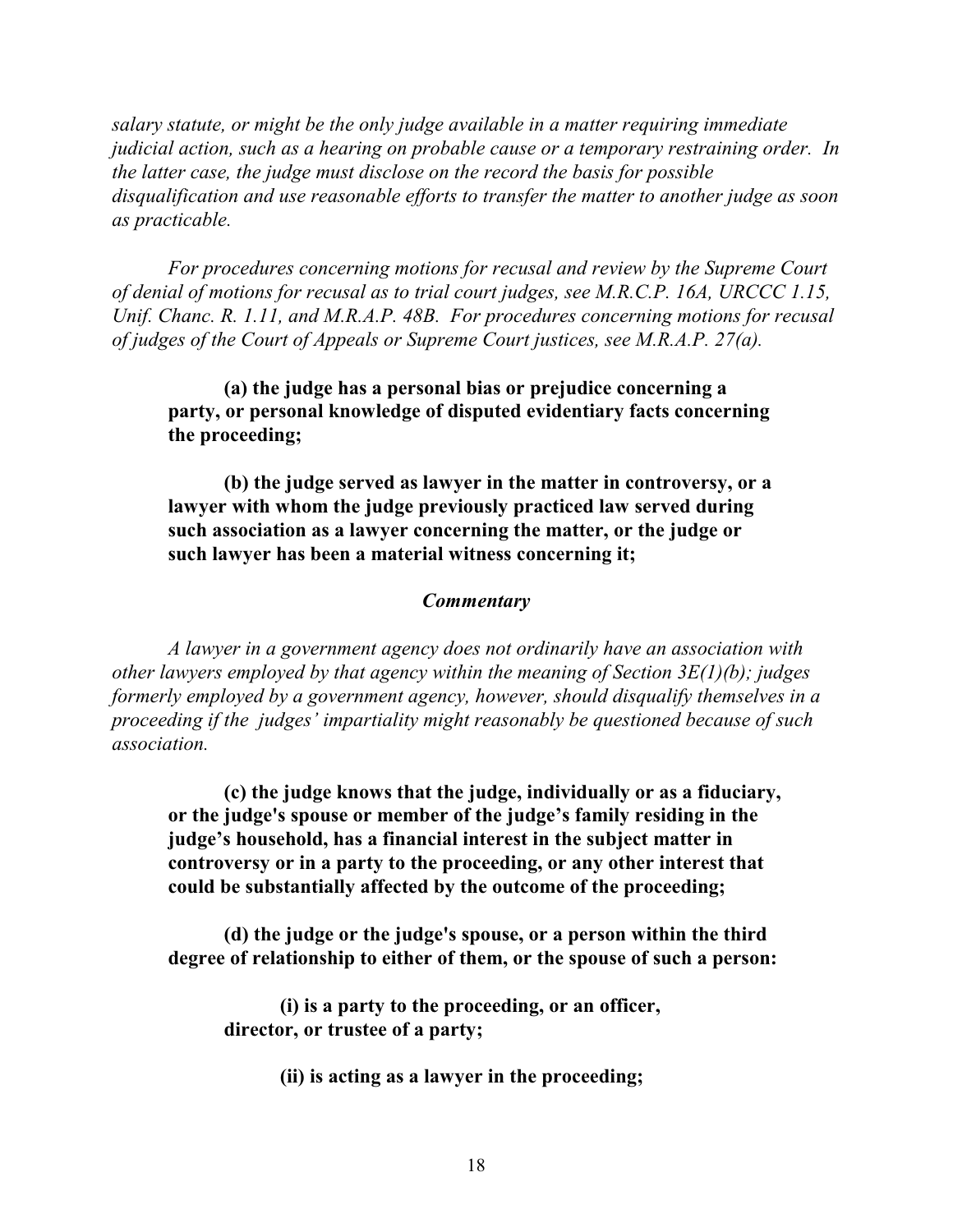*salary statute, or might be the only judge available in a matter requiring immediate judicial action, such as a hearing on probable cause or a temporary restraining order. In the latter case, the judge must disclose on the record the basis for possible disqualification and use reasonable efforts to transfer the matter to another judge as soon as practicable.* 

*For procedures concerning motions for recusal and review by the Supreme Court of denial of motions for recusal as to trial court judges, see M.R.C.P. 16A, URCCC 1.15, Unif. Chanc. R. 1.11, and M.R.A.P. 48B. For procedures concerning motions for recusal of judges of the Court of Appeals or Supreme Court justices, see M.R.A.P. 27(a).*

**(a) the judge has a personal bias or prejudice concerning a party, or personal knowledge of disputed evidentiary facts concerning the proceeding;**

**(b) the judge served as lawyer in the matter in controversy, or a lawyer with whom the judge previously practiced law served during such association as a lawyer concerning the matter, or the judge or such lawyer has been a material witness concerning it;**

### *Commentary*

*A lawyer in a government agency does not ordinarily have an association with other lawyers employed by that agency within the meaning of Section 3E(1)(b); judges formerly employed by a government agency, however, should disqualify themselves in a proceeding if the judges' impartiality might reasonably be questioned because of such association.* 

**(c) the judge knows that the judge, individually or as a fiduciary, or the judge's spouse or member of the judge's family residing in the judge's household, has a financial interest in the subject matter in controversy or in a party to the proceeding, or any other interest that could be substantially affected by the outcome of the proceeding;**

**(d) the judge or the judge's spouse, or a person within the third degree of relationship to either of them, or the spouse of such a person:**

**(i) is a party to the proceeding, or an officer, director, or trustee of a party;**

**(ii) is acting as a lawyer in the proceeding;**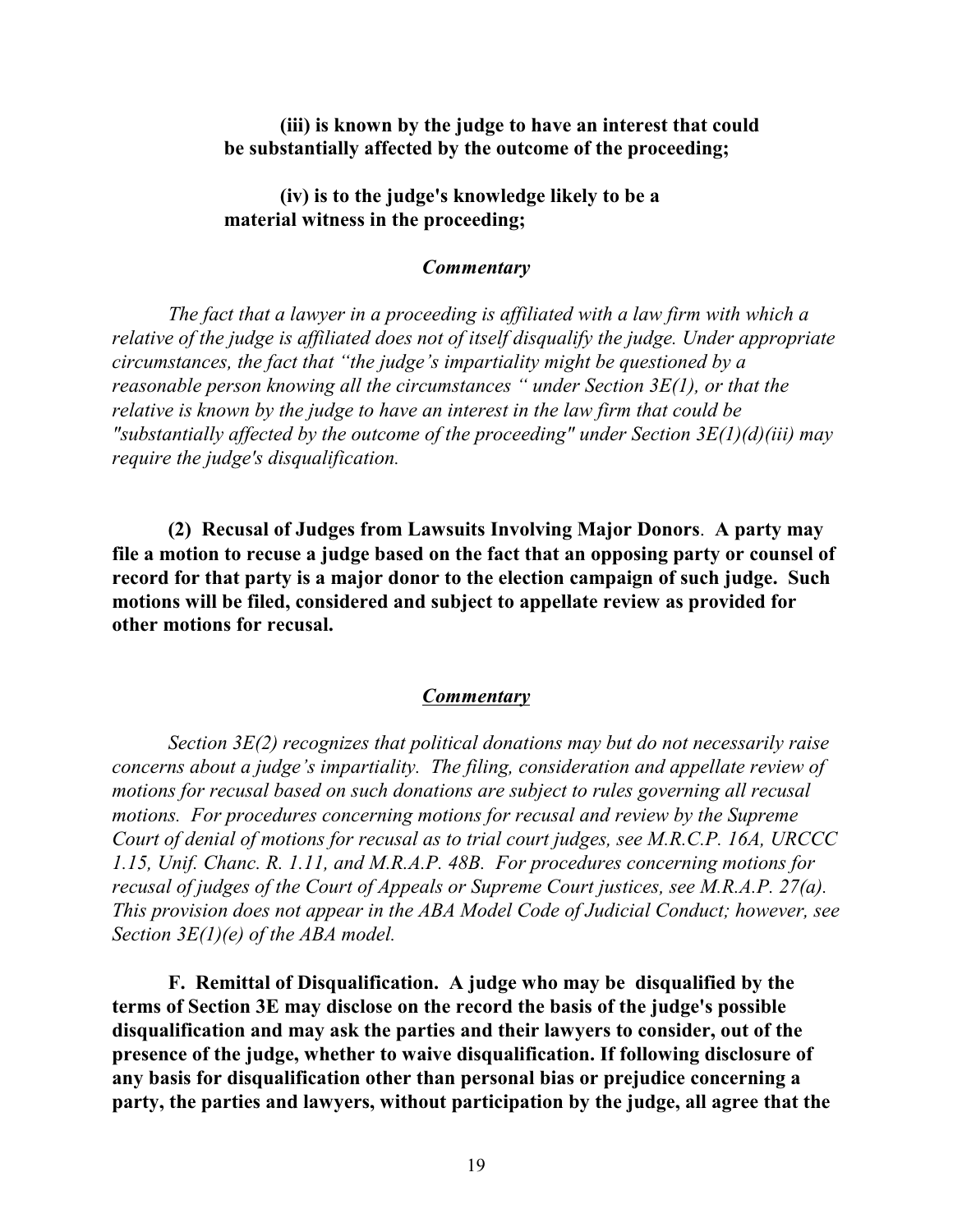**(iii) is known by the judge to have an interest that could be substantially affected by the outcome of the proceeding;**

**(iv) is to the judge's knowledge likely to be a material witness in the proceeding;**

### *Commentary*

*The fact that a lawyer in a proceeding is affiliated with a law firm with which a relative of the judge is affiliated does not of itself disqualify the judge. Under appropriate circumstances, the fact that "the judge's impartiality might be questioned by a reasonable person knowing all the circumstances " under Section 3E(1), or that the relative is known by the judge to have an interest in the law firm that could be "substantially affected by the outcome of the proceeding" under Section 3E(1)(d)(iii) may require the judge's disqualification.*

**(2) Recusal of Judges from Lawsuits Involving Major Donors**. **A party may file a motion to recuse a judge based on the fact that an opposing party or counsel of record for that party is a major donor to the election campaign of such judge. Such motions will be filed, considered and subject to appellate review as provided for other motions for recusal.**

### *Commentary*

*Section 3E(2) recognizes that political donations may but do not necessarily raise concerns about a judge's impartiality. The filing, consideration and appellate review of motions for recusal based on such donations are subject to rules governing all recusal motions. For procedures concerning motions for recusal and review by the Supreme Court of denial of motions for recusal as to trial court judges, see M.R.C.P. 16A, URCCC 1.15, Unif. Chanc. R. 1.11, and M.R.A.P. 48B. For procedures concerning motions for recusal of judges of the Court of Appeals or Supreme Court justices, see M.R.A.P. 27(a). This provision does not appear in the ABA Model Code of Judicial Conduct; however, see Section 3E(1)(e) of the ABA model.*

**F. Remittal of Disqualification. A judge who may be disqualified by the terms of Section 3E may disclose on the record the basis of the judge's possible disqualification and may ask the parties and their lawyers to consider, out of the presence of the judge, whether to waive disqualification. If following disclosure of any basis for disqualification other than personal bias or prejudice concerning a party, the parties and lawyers, without participation by the judge, all agree that the**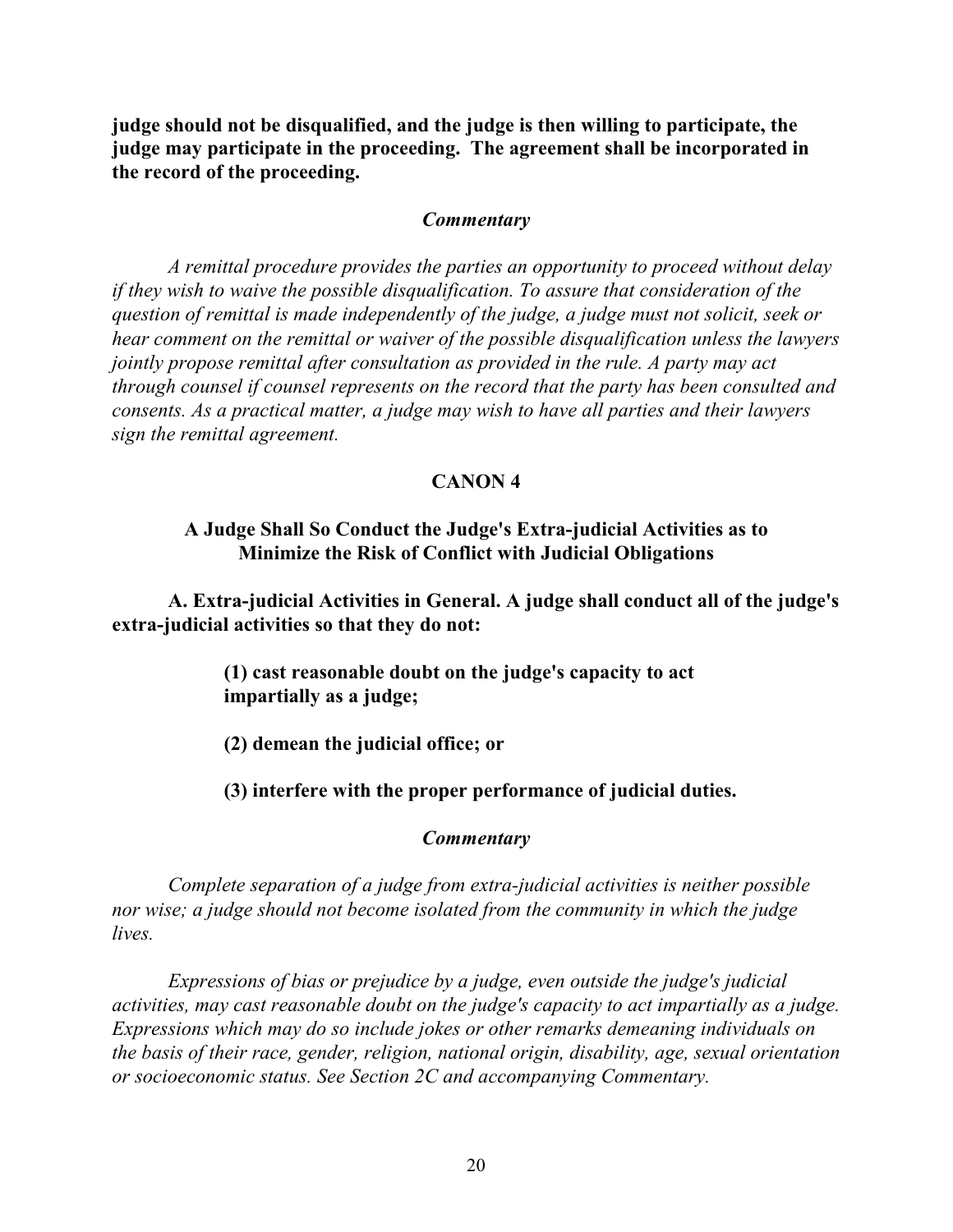**judge should not be disqualified, and the judge is then willing to participate, the judge may participate in the proceeding. The agreement shall be incorporated in the record of the proceeding.**

#### *Commentary*

*A remittal procedure provides the parties an opportunity to proceed without delay if they wish to waive the possible disqualification. To assure that consideration of the question of remittal is made independently of the judge, a judge must not solicit, seek or hear comment on the remittal or waiver of the possible disqualification unless the lawyers jointly propose remittal after consultation as provided in the rule. A party may act through counsel if counsel represents on the record that the party has been consulted and consents. As a practical matter, a judge may wish to have all parties and their lawyers sign the remittal agreement.*

## <span id="page-19-0"></span>**CANON 4**

# **A Judge Shall So Conduct the Judge's Extra-judicial Activities as to Minimize the Risk of Conflict with Judicial Obligations**

**A. Extra-judicial Activities in General. A judge shall conduct all of the judge's extra-judicial activities so that they do not:** 

> **(1) cast reasonable doubt on the judge's capacity to act impartially as a judge;**

**(2) demean the judicial office; or** 

**(3) interfere with the proper performance of judicial duties.**

### *Commentary*

*Complete separation of a judge from extra-judicial activities is neither possible nor wise; a judge should not become isolated from the community in which the judge lives.*

*Expressions of bias or prejudice by a judge, even outside the judge's judicial activities, may cast reasonable doubt on the judge's capacity to act impartially as a judge. Expressions which may do so include jokes or other remarks demeaning individuals on the basis of their race, gender, religion, national origin, disability, age, sexual orientation or socioeconomic status. See Section 2C and accompanying Commentary.*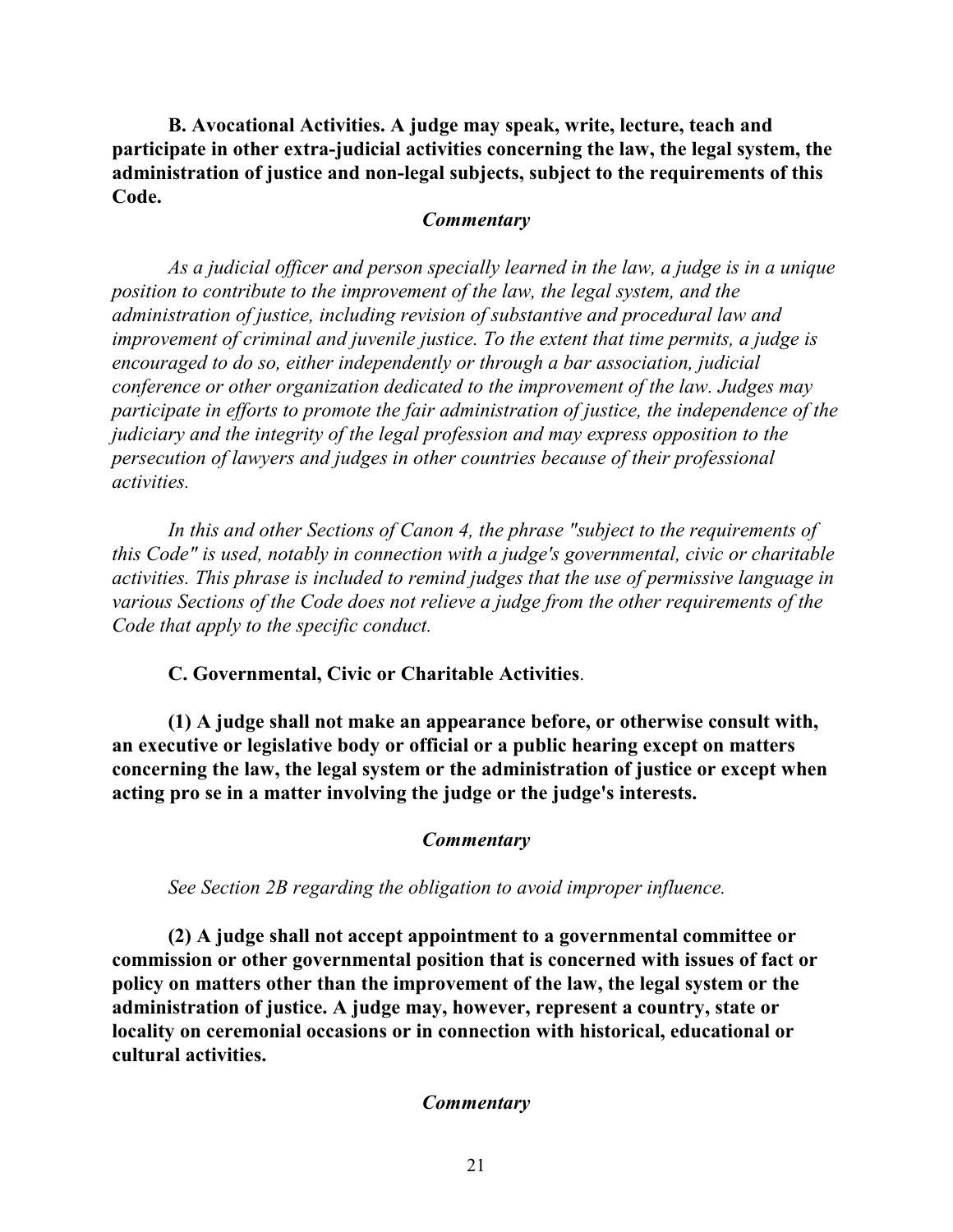**B. Avocational Activities. A judge may speak, write, lecture, teach and participate in other extra-judicial activities concerning the law, the legal system, the administration of justice and non-legal subjects, subject to the requirements of this Code.**

# *Commentary*

*As a judicial officer and person specially learned in the law, a judge is in a unique position to contribute to the improvement of the law, the legal system, and the administration of justice, including revision of substantive and procedural law and improvement of criminal and juvenile justice. To the extent that time permits, a judge is encouraged to do so, either independently or through a bar association, judicial conference or other organization dedicated to the improvement of the law. Judges may participate in efforts to promote the fair administration of justice, the independence of the judiciary and the integrity of the legal profession and may express opposition to the persecution of lawyers and judges in other countries because of their professional activities.*

*In this and other Sections of Canon 4, the phrase "subject to the requirements of this Code" is used, notably in connection with a judge's governmental, civic or charitable activities. This phrase is included to remind judges that the use of permissive language in various Sections of the Code does not relieve a judge from the other requirements of the Code that apply to the specific conduct.*

**C. Governmental, Civic or Charitable Activities**.

**(1) A judge shall not make an appearance before, or otherwise consult with, an executive or legislative body or official or a public hearing except on matters concerning the law, the legal system or the administration of justice or except when acting pro se in a matter involving the judge or the judge's interests.**

# *Commentary*

*See Section 2B regarding the obligation to avoid improper influence.*

**(2) A judge shall not accept appointment to a governmental committee or commission or other governmental position that is concerned with issues of fact or policy on matters other than the improvement of the law, the legal system or the administration of justice. A judge may, however, represent a country, state or locality on ceremonial occasions or in connection with historical, educational or cultural activities.**

# *Commentary*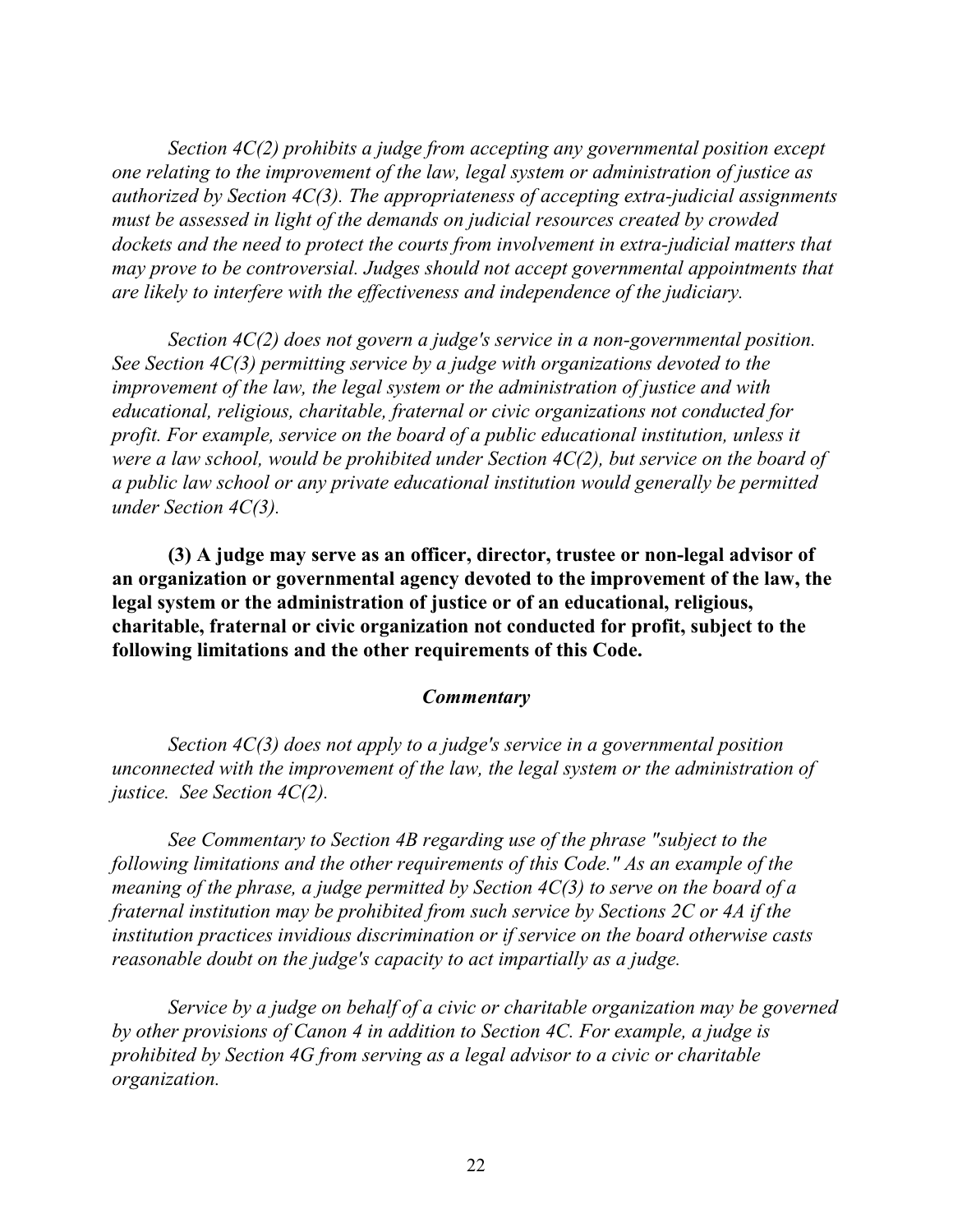*Section 4C(2) prohibits a judge from accepting any governmental position except one relating to the improvement of the law, legal system or administration of justice as authorized by Section 4C(3). The appropriateness of accepting extra-judicial assignments must be assessed in light of the demands on judicial resources created by crowded dockets and the need to protect the courts from involvement in extra-judicial matters that may prove to be controversial. Judges should not accept governmental appointments that are likely to interfere with the effectiveness and independence of the judiciary.* 

*Section 4C(2) does not govern a judge's service in a non-governmental position. See Section 4C(3) permitting service by a judge with organizations devoted to the improvement of the law, the legal system or the administration of justice and with educational, religious, charitable, fraternal or civic organizations not conducted for profit. For example, service on the board of a public educational institution, unless it were a law school, would be prohibited under Section 4C(2), but service on the board of a public law school or any private educational institution would generally be permitted under Section 4C(3).*

**(3) A judge may serve as an officer, director, trustee or non-legal advisor of an organization or governmental agency devoted to the improvement of the law, the legal system or the administration of justice or of an educational, religious, charitable, fraternal or civic organization not conducted for profit, subject to the following limitations and the other requirements of this Code.**

### *Commentary*

*Section 4C(3) does not apply to a judge's service in a governmental position unconnected with the improvement of the law, the legal system or the administration of justice. See Section 4C(2).*

*See Commentary to Section 4B regarding use of the phrase "subject to the following limitations and the other requirements of this Code." As an example of the meaning of the phrase, a judge permitted by Section 4C(3) to serve on the board of a fraternal institution may be prohibited from such service by Sections 2C or 4A if the institution practices invidious discrimination or if service on the board otherwise casts reasonable doubt on the judge's capacity to act impartially as a judge.*

*Service by a judge on behalf of a civic or charitable organization may be governed by other provisions of Canon 4 in addition to Section 4C. For example, a judge is prohibited by Section 4G from serving as a legal advisor to a civic or charitable organization.*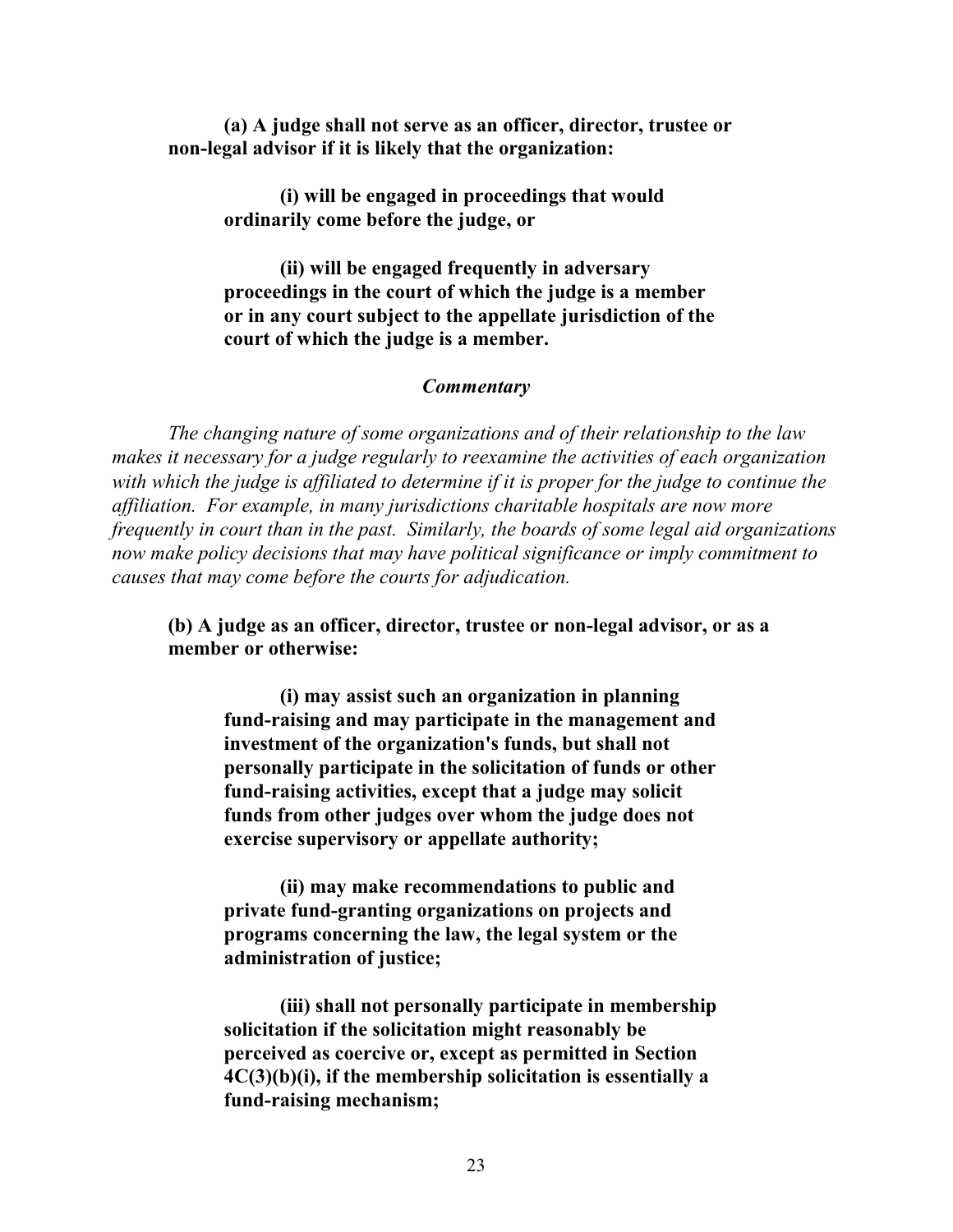**(a) A judge shall not serve as an officer, director, trustee or non-legal advisor if it is likely that the organization:** 

**(i) will be engaged in proceedings that would ordinarily come before the judge, or**

**(ii) will be engaged frequently in adversary proceedings in the court of which the judge is a member or in any court subject to the appellate jurisdiction of the court of which the judge is a member.**

### *Commentary*

*The changing nature of some organizations and of their relationship to the law makes it necessary for a judge regularly to reexamine the activities of each organization with which the judge is affiliated to determine if it is proper for the judge to continue the affiliation. For example, in many jurisdictions charitable hospitals are now more frequently in court than in the past. Similarly, the boards of some legal aid organizations now make policy decisions that may have political significance or imply commitment to causes that may come before the courts for adjudication.*

**(b) A judge as an officer, director, trustee or non-legal advisor, or as a member or otherwise:**

**(i) may assist such an organization in planning fund-raising and may participate in the management and investment of the organization's funds, but shall not personally participate in the solicitation of funds or other fund-raising activities, except that a judge may solicit funds from other judges over whom the judge does not exercise supervisory or appellate authority;**

**(ii) may make recommendations to public and private fund-granting organizations on projects and programs concerning the law, the legal system or the administration of justice;**

**(iii) shall not personally participate in membership solicitation if the solicitation might reasonably be perceived as coercive or, except as permitted in Section 4C(3)(b)(i), if the membership solicitation is essentially a fund-raising mechanism;**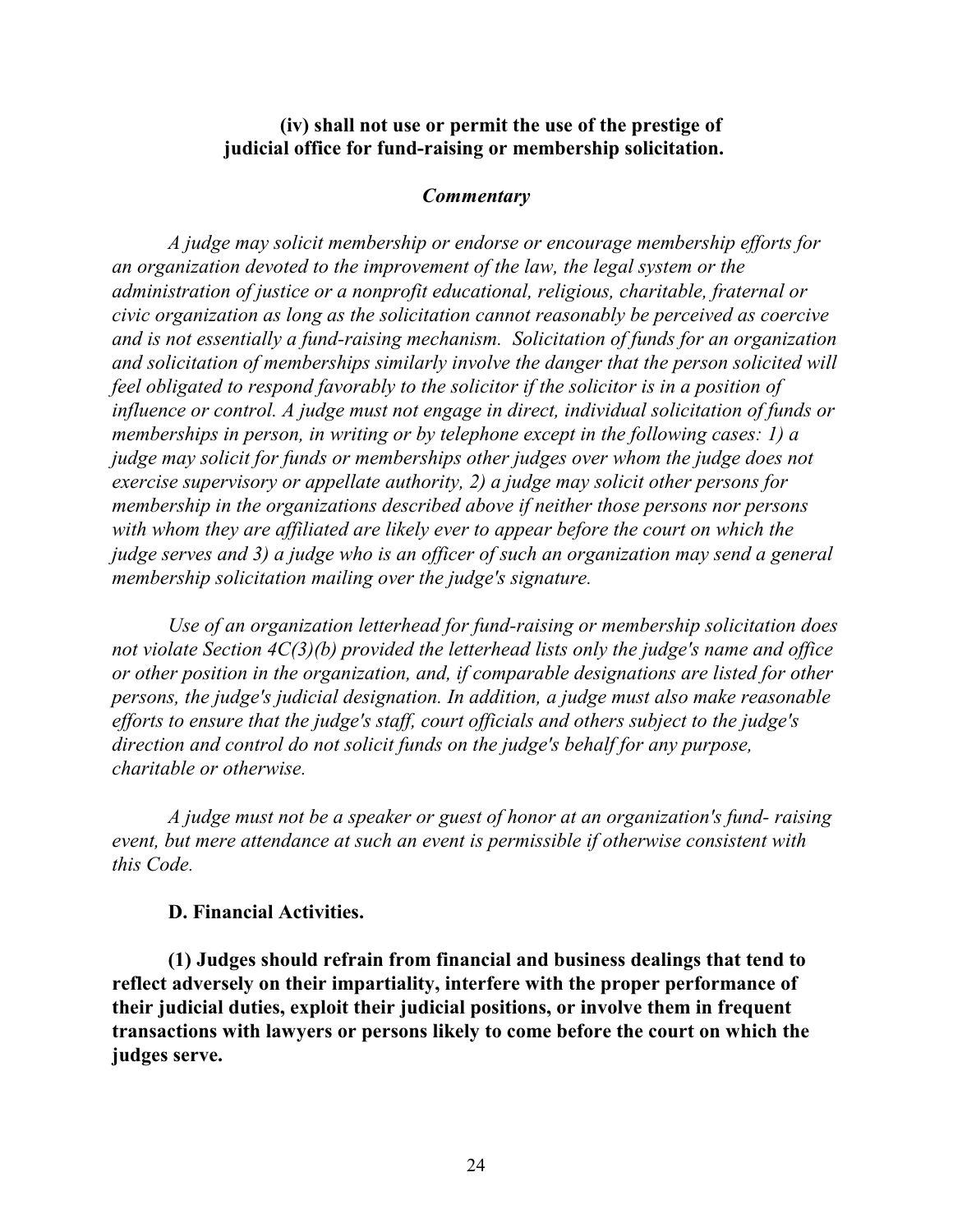# **(iv) shall not use or permit the use of the prestige of judicial office for fund-raising or membership solicitation.**

## *Commentary*

*A judge may solicit membership or endorse or encourage membership efforts for an organization devoted to the improvement of the law, the legal system or the administration of justice or a nonprofit educational, religious, charitable, fraternal or civic organization as long as the solicitation cannot reasonably be perceived as coercive and is not essentially a fund-raising mechanism. Solicitation of funds for an organization and solicitation of memberships similarly involve the danger that the person solicited will feel obligated to respond favorably to the solicitor if the solicitor is in a position of influence or control. A judge must not engage in direct, individual solicitation of funds or memberships in person, in writing or by telephone except in the following cases: 1) a judge may solicit for funds or memberships other judges over whom the judge does not exercise supervisory or appellate authority, 2) a judge may solicit other persons for membership in the organizations described above if neither those persons nor persons with whom they are affiliated are likely ever to appear before the court on which the judge serves and 3) a judge who is an officer of such an organization may send a general membership solicitation mailing over the judge's signature.*

*Use of an organization letterhead for fund-raising or membership solicitation does not violate Section 4C(3)(b) provided the letterhead lists only the judge's name and office or other position in the organization, and, if comparable designations are listed for other persons, the judge's judicial designation. In addition, a judge must also make reasonable efforts to ensure that the judge's staff, court officials and others subject to the judge's direction and control do not solicit funds on the judge's behalf for any purpose, charitable or otherwise.*

*A judge must not be a speaker or guest of honor at an organization's fund- raising event, but mere attendance at such an event is permissible if otherwise consistent with this Code.*

## **D. Financial Activities.**

**(1) Judges should refrain from financial and business dealings that tend to reflect adversely on their impartiality, interfere with the proper performance of their judicial duties, exploit their judicial positions, or involve them in frequent transactions with lawyers or persons likely to come before the court on which the judges serve.**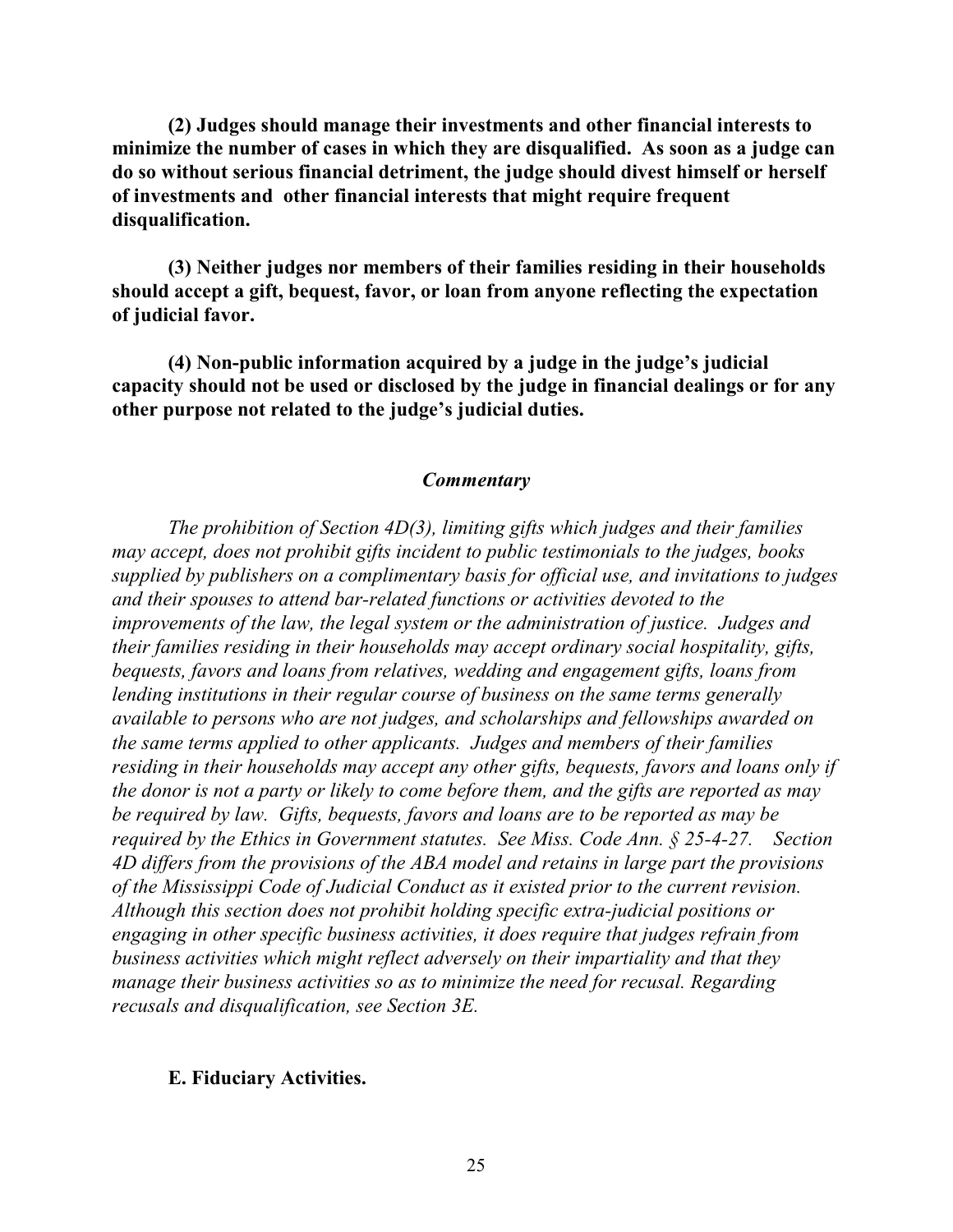**(2) Judges should manage their investments and other financial interests to minimize the number of cases in which they are disqualified. As soon as a judge can do so without serious financial detriment, the judge should divest himself or herself of investments and other financial interests that might require frequent disqualification.**

**(3) Neither judges nor members of their families residing in their households should accept a gift, bequest, favor, or loan from anyone reflecting the expectation of judicial favor.**

**(4) Non-public information acquired by a judge in the judge's judicial capacity should not be used or disclosed by the judge in financial dealings or for any other purpose not related to the judge's judicial duties.**

## *Commentary*

*The prohibition of Section 4D(3), limiting gifts which judges and their families may accept, does not prohibit gifts incident to public testimonials to the judges, books supplied by publishers on a complimentary basis for official use, and invitations to judges and their spouses to attend bar-related functions or activities devoted to the improvements of the law, the legal system or the administration of justice. Judges and their families residing in their households may accept ordinary social hospitality, gifts, bequests, favors and loans from relatives, wedding and engagement gifts, loans from lending institutions in their regular course of business on the same terms generally available to persons who are not judges, and scholarships and fellowships awarded on the same terms applied to other applicants. Judges and members of their families residing in their households may accept any other gifts, bequests, favors and loans only if the donor is not a party or likely to come before them, and the gifts are reported as may be required by law. Gifts, bequests, favors and loans are to be reported as may be required by the Ethics in Government statutes. See Miss. Code Ann. § 25-4-27.**Section 4D differs from the provisions of the ABA model and retains in large part the provisions of the Mississippi Code of Judicial Conduct as it existed prior to the current revision. Although this section does not prohibit holding specific extra-judicial positions or engaging in other specific business activities, it does require that judges refrain from business activities which might reflect adversely on their impartiality and that they manage their business activities so as to minimize the need for recusal. Regarding recusals and disqualification, see Section 3E.*

### **E. Fiduciary Activities.**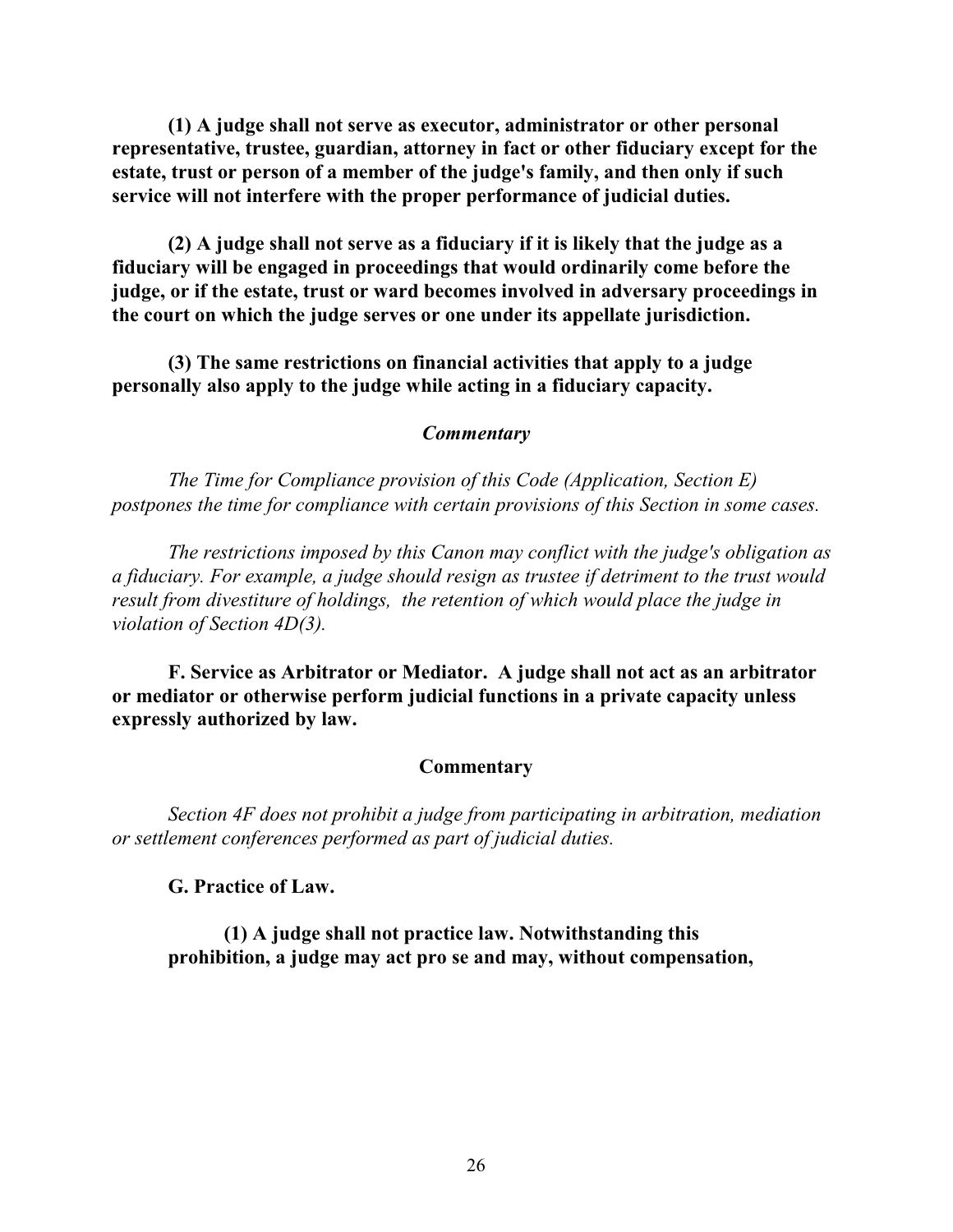**(1) A judge shall not serve as executor, administrator or other personal representative, trustee, guardian, attorney in fact or other fiduciary except for the estate, trust or person of a member of the judge's family, and then only if such service will not interfere with the proper performance of judicial duties.**

**(2) A judge shall not serve as a fiduciary if it is likely that the judge as a fiduciary will be engaged in proceedings that would ordinarily come before the judge, or if the estate, trust or ward becomes involved in adversary proceedings in the court on which the judge serves or one under its appellate jurisdiction.**

**(3) The same restrictions on financial activities that apply to a judge personally also apply to the judge while acting in a fiduciary capacity.**

### *Commentary*

*The Time for Compliance provision of this Code (Application, Section E) postpones the time for compliance with certain provisions of this Section in some cases.*

*The restrictions imposed by this Canon may conflict with the judge's obligation as a fiduciary. For example, a judge should resign as trustee if detriment to the trust would result from divestiture of holdings, the retention of which would place the judge in violation of Section 4D(3).*

**F. Service as Arbitrator or Mediator. A judge shall not act as an arbitrator or mediator or otherwise perform judicial functions in a private capacity unless expressly authorized by law.**

## **Commentary**

*Section 4F does not prohibit a judge from participating in arbitration, mediation or settlement conferences performed as part of judicial duties.*

**G. Practice of Law.** 

**(1) A judge shall not practice law. Notwithstanding this prohibition, a judge may act pro se and may, without compensation,**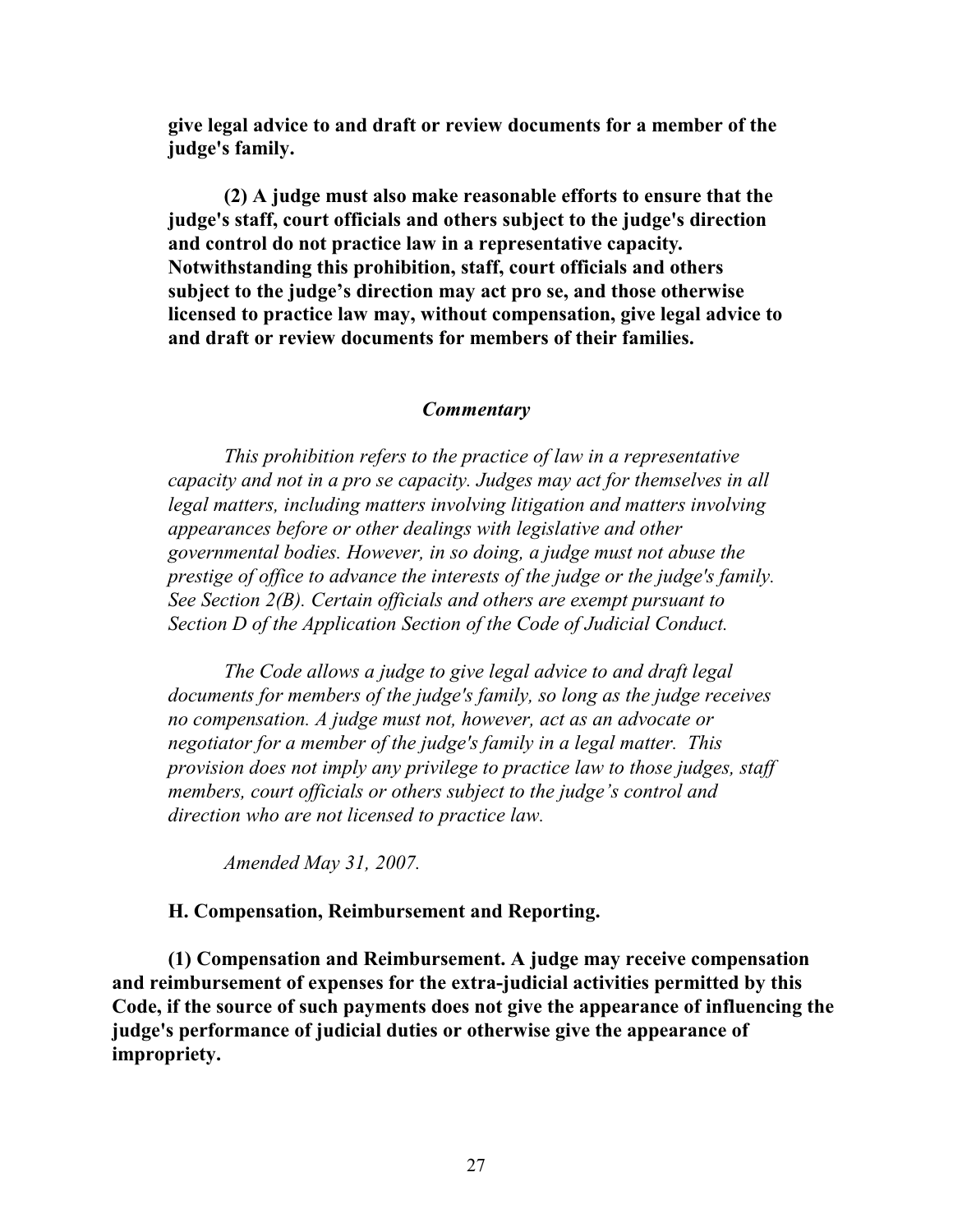**give legal advice to and draft or review documents for a member of the judge's family.** 

**(2) A judge must also make reasonable efforts to ensure that the judge's staff, court officials and others subject to the judge's direction and control do not practice law in a representative capacity***.* **Notwithstanding this prohibition, staff, court officials and others subject to the judge's direction may act pro se, and those otherwise licensed to practice law may, without compensation, give legal advice to and draft or review documents for members of their families.**

#### *Commentary*

*This prohibition refers to the practice of law in a representative capacity and not in a pro se capacity. Judges may act for themselves in all legal matters, including matters involving litigation and matters involving appearances before or other dealings with legislative and other governmental bodies. However, in so doing, a judge must not abuse the prestige of office to advance the interests of the judge or the judge's family. See Section 2(B). Certain officials and others are exempt pursuant to Section D of the Application Section of the Code of Judicial Conduct.* 

*The Code allows a judge to give legal advice to and draft legal documents for members of the judge's family, so long as the judge receives no compensation. A judge must not, however, act as an advocate or negotiator for a member of the judge's family in a legal matter. This provision does not imply any privilege to practice law to those judges, staff members, court officials or others subject to the judge's control and direction who are not licensed to practice law.* 

*Amended May 31, 2007.*

### **H. Compensation, Reimbursement and Reporting.**

**(1) Compensation and Reimbursement. A judge may receive compensation and reimbursement of expenses for the extra-judicial activities permitted by this Code, if the source of such payments does not give the appearance of influencing the judge's performance of judicial duties or otherwise give the appearance of impropriety.**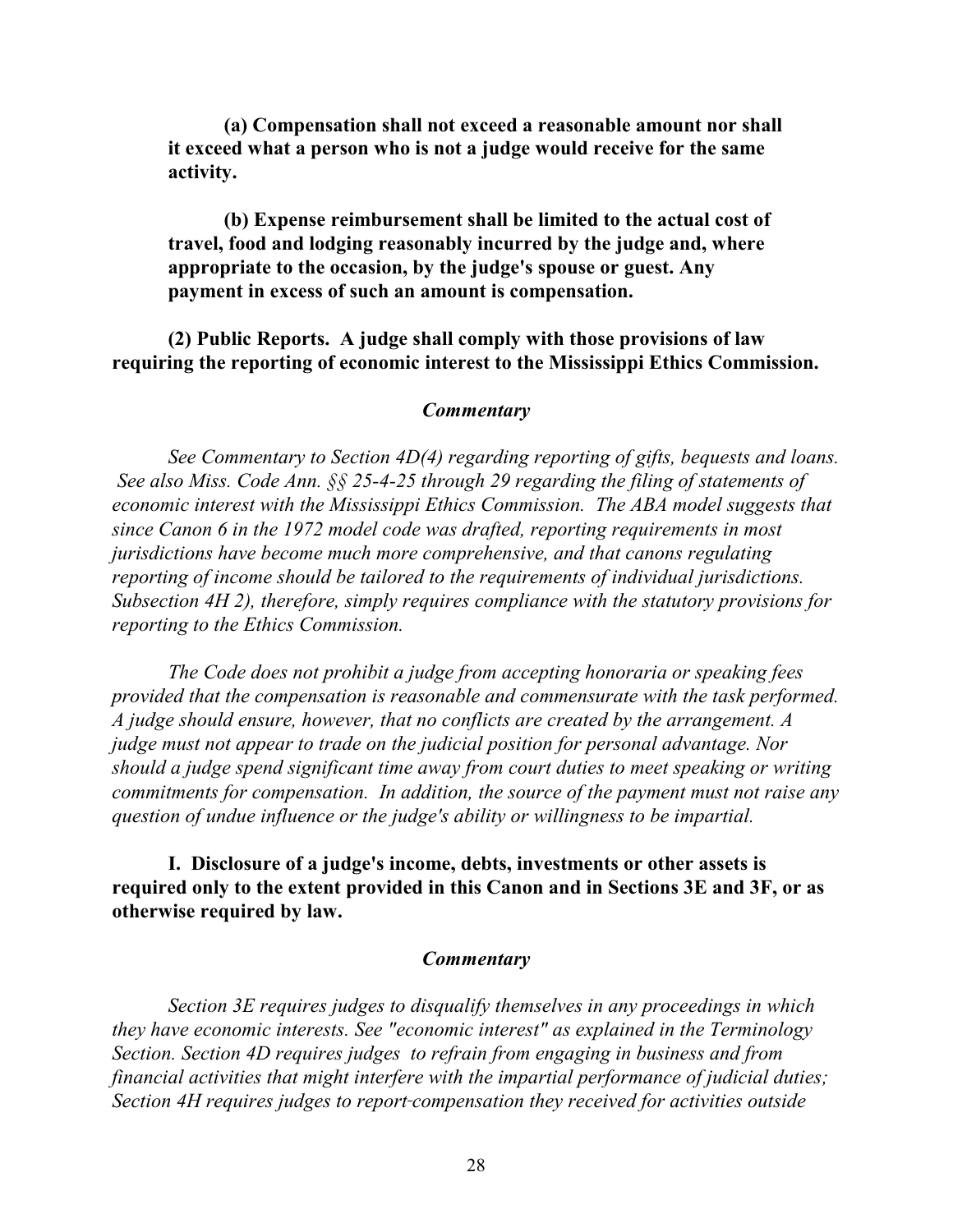**(a) Compensation shall not exceed a reasonable amount nor shall it exceed what a person who is not a judge would receive for the same activity.** 

**(b) Expense reimbursement shall be limited to the actual cost of travel, food and lodging reasonably incurred by the judge and, where appropriate to the occasion, by the judge's spouse or guest. Any payment in excess of such an amount is compensation.**

**(2) Public Reports. A judge shall comply with those provisions of law requiring the reporting of economic interest to the Mississippi Ethics Commission.**

#### *Commentary*

*See Commentary to Section 4D(4) regarding reporting of gifts, bequests and loans. See also Miss. Code Ann. §§ 25-4-25 through 29 regarding the filing of statements of economic interest with the Mississippi Ethics Commission. The ABA model suggests that since Canon 6 in the 1972 model code was drafted, reporting requirements in most jurisdictions have become much more comprehensive, and that canons regulating reporting of income should be tailored to the requirements of individual jurisdictions. Subsection 4H 2), therefore, simply requires compliance with the statutory provisions for reporting to the Ethics Commission.*

*The Code does not prohibit a judge from accepting honoraria or speaking fees provided that the compensation is reasonable and commensurate with the task performed. A judge should ensure, however, that no conflicts are created by the arrangement. A judge must not appear to trade on the judicial position for personal advantage. Nor should a judge spend significant time away from court duties to meet speaking or writing commitments for compensation. In addition, the source of the payment must not raise any question of undue influence or the judge's ability or willingness to be impartial.*

**I. Disclosure of a judge's income, debts, investments or other assets is required only to the extent provided in this Canon and in Sections 3E and 3F, or as otherwise required by law.**

### *Commentary*

*Section 3E requires judges to disqualify themselves in any proceedings in which they have economic interests. See "economic interest" as explained in the Terminology Section. Section 4D requires judges to refrain from engaging in business and from financial activities that might interfere with the impartial performance of judicial duties; Section 4H requires judges to report compensation they received for activities outside*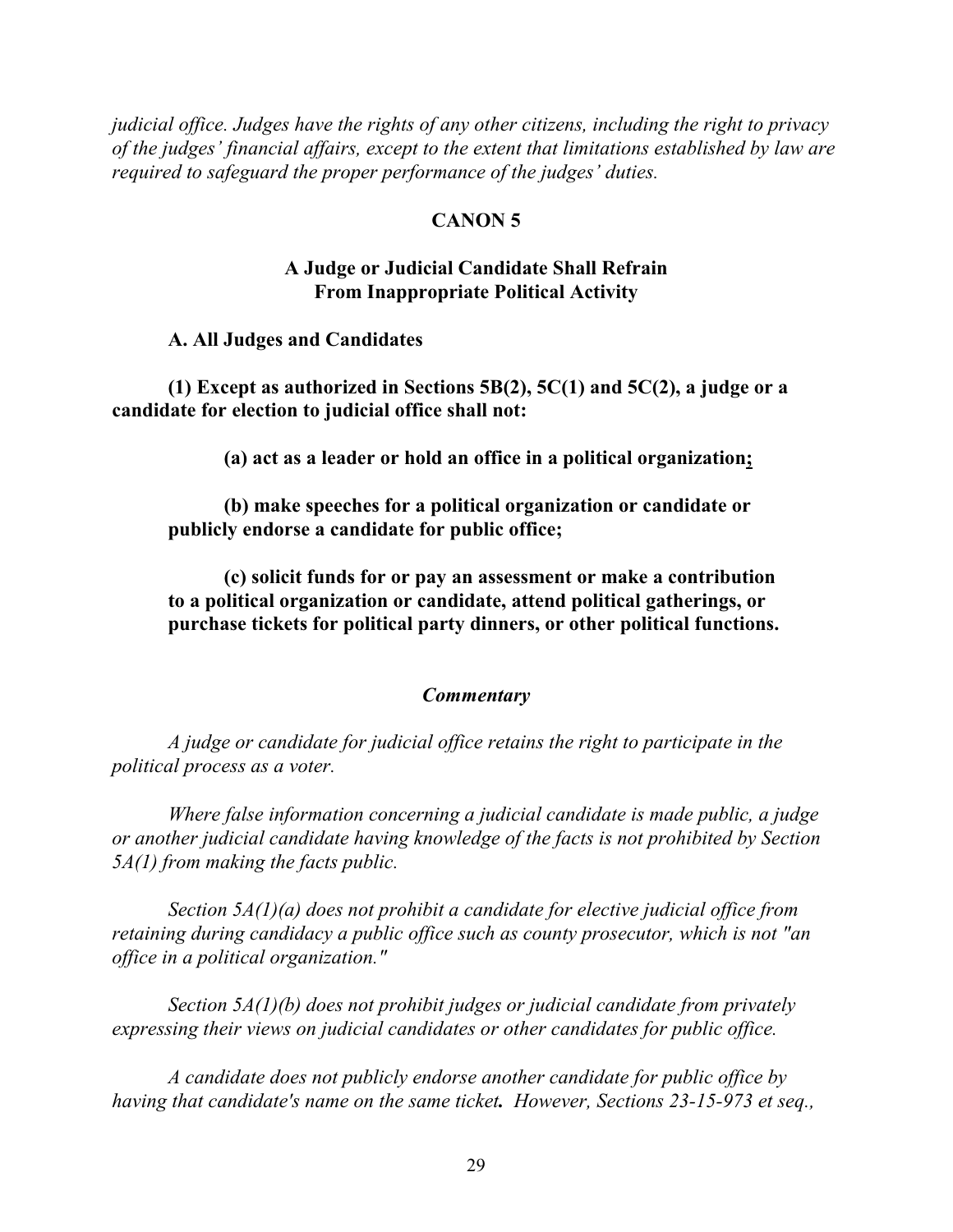*judicial office. Judges have the rights of any other citizens, including the right to privacy of the judges' financial affairs, except to the extent that limitations established by law are required to safeguard the proper performance of the judges' duties.*

## <span id="page-28-0"></span>**CANON 5**

## **A Judge or Judicial Candidate Shall Refrain From Inappropriate Political Activity**

**A. All Judges and Candidates**

**(1) Except as authorized in Sections 5B(2), 5C(1) and 5C(2), a judge or a candidate for election to judicial office shall not:** 

**(a) act as a leader or hold an office in a political organization;**

**(b) make speeches for a political organization or candidate or publicly endorse a candidate for public office;**

**(c) solicit funds for or pay an assessment or make a contribution to a political organization or candidate, attend political gatherings, or purchase tickets for political party dinners, or other political functions.**

#### *Commentary*

*A judge or candidate for judicial office retains the right to participate in the political process as a voter.* 

*Where false information concerning a judicial candidate is made public, a judge or another judicial candidate having knowledge of the facts is not prohibited by Section 5A(1) from making the facts public.* 

*Section 5A(1)(a) does not prohibit a candidate for elective judicial office from retaining during candidacy a public office such as county prosecutor, which is not "an office in a political organization."*

*Section 5A(1)(b) does not prohibit judges or judicial candidate from privately expressing their views on judicial candidates or other candidates for public office.*

*A candidate does not publicly endorse another candidate for public office by having that candidate's name on the same ticket. However, Sections 23-15-973 et seq.,*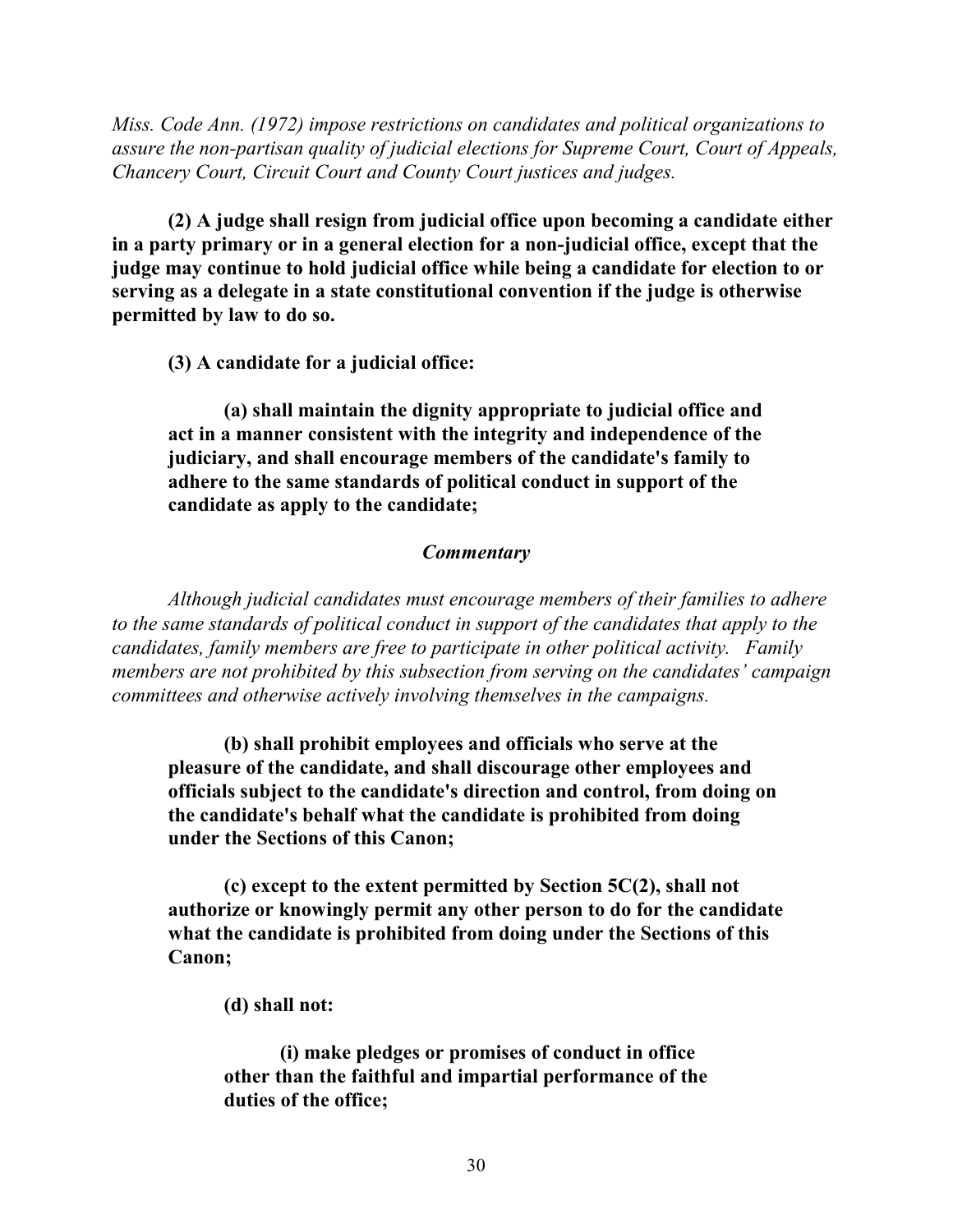*Miss. Code Ann. (1972) impose restrictions on candidates and political organizations to assure the non-partisan quality of judicial elections for Supreme Court, Court of Appeals, Chancery Court, Circuit Court and County Court justices and judges.*

**(2) A judge shall resign from judicial office upon becoming a candidate either in a party primary or in a general election for a non-judicial office, except that the judge may continue to hold judicial office while being a candidate for election to or serving as a delegate in a state constitutional convention if the judge is otherwise permitted by law to do so.**

**(3) A candidate for a judicial office:** 

**(a) shall maintain the dignity appropriate to judicial office and act in a manner consistent with the integrity and independence of the judiciary, and shall encourage members of the candidate's family to adhere to the same standards of political conduct in support of the candidate as apply to the candidate;**

## *Commentary*

*Although judicial candidates must encourage members of their families to adhere to the same standards of political conduct in support of the candidates that apply to the candidates, family members are free to participate in other political activity. Family members are not prohibited by this subsection from serving on the candidates' campaign committees and otherwise actively involving themselves in the campaigns.*

**(b) shall prohibit employees and officials who serve at the pleasure of the candidate, and shall discourage other employees and officials subject to the candidate's direction and control, from doing on the candidate's behalf what the candidate is prohibited from doing under the Sections of this Canon;** 

**(c) except to the extent permitted by Section 5C(2), shall not authorize or knowingly permit any other person to do for the candidate what the candidate is prohibited from doing under the Sections of this Canon;** 

**(d) shall not:** 

**(i) make pledges or promises of conduct in office other than the faithful and impartial performance of the duties of the office;**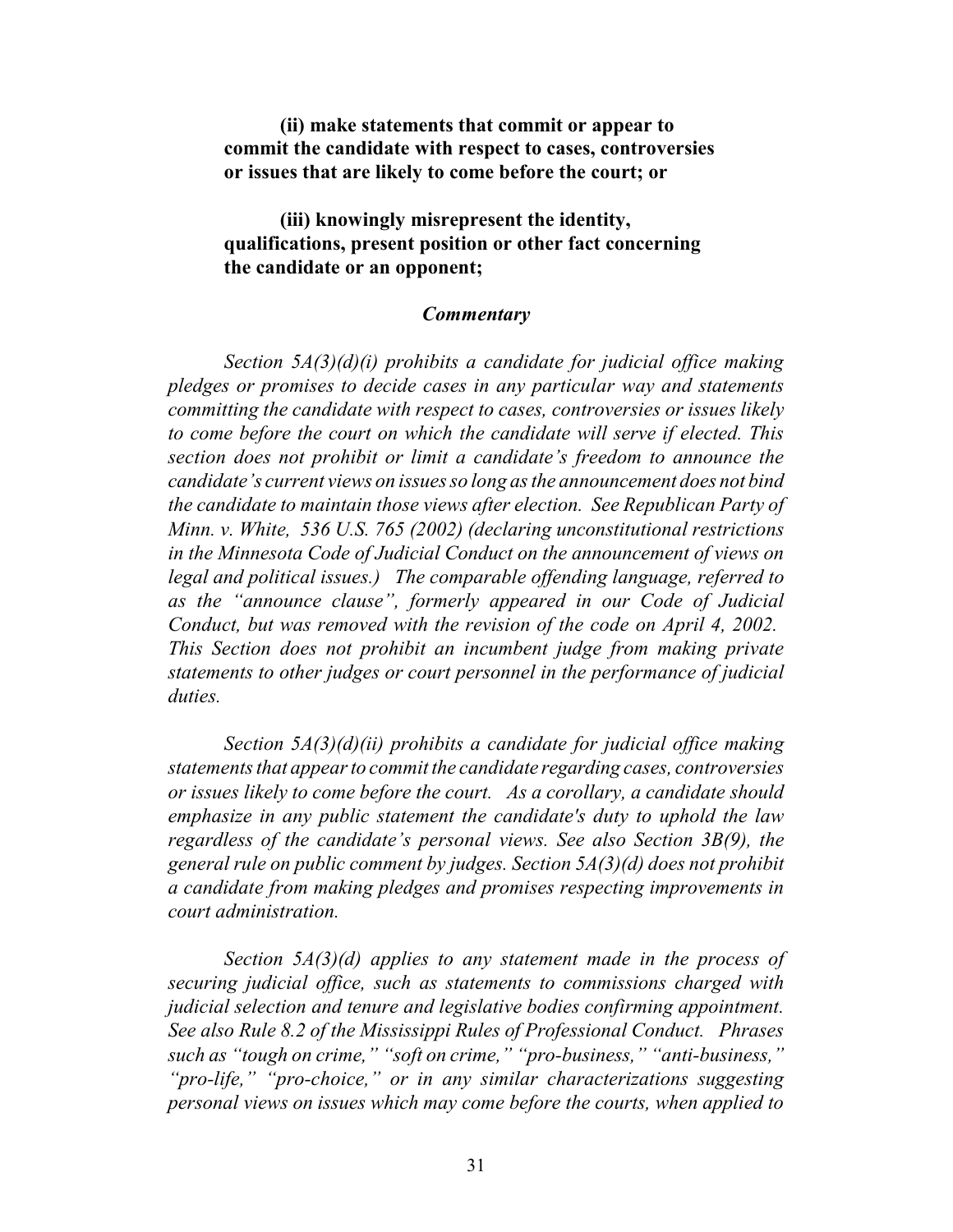**(ii) make statements that commit or appear to commit the candidate with respect to cases, controversies or issues that are likely to come before the court; or** 

# **(iii) knowingly misrepresent the identity, qualifications, present position or other fact concerning the candidate or an opponent;**

#### *Commentary*

*Section 5A(3)(d)(i) prohibits a candidate for judicial office making pledges or promises to decide cases in any particular way and statements committing the candidate with respect to cases, controversies or issues likely to come before the court on which the candidate will serve if elected. This section does not prohibit or limit a candidate's freedom to announce the candidate's current views on issues so long as the announcement does not bind the candidate to maintain those views after election. See Republican Party of Minn. v. White, 536 U.S. 765 (2002) (declaring unconstitutional restrictions in the Minnesota Code of Judicial Conduct on the announcement of views on legal and political issues.) The comparable offending language, referred to as the "announce clause", formerly appeared in our Code of Judicial Conduct, but was removed with the revision of the code on April 4, 2002. This Section does not prohibit an incumbent judge from making private statements to other judges or court personnel in the performance of judicial duties.*

*Section 5A(3)(d)(ii) prohibits a candidate for judicial office making statements that appear to commit the candidate regarding cases, controversies or issues likely to come before the court. As a corollary, a candidate should emphasize in any public statement the candidate's duty to uphold the law regardless of the candidate's personal views. See also Section 3B(9), the general rule on public comment by judges. Section 5A(3)(d) does not prohibit a candidate from making pledges and promises respecting improvements in court administration.* 

*Section 5A(3)(d) applies to any statement made in the process of securing judicial office, such as statements to commissions charged with judicial selection and tenure and legislative bodies confirming appointment. See also Rule 8.2 of the Mississippi Rules of Professional Conduct. Phrases such as "tough on crime," "soft on crime," "pro-business," "anti-business," "pro-life," "pro-choice," or in any similar characterizations suggesting personal views on issues which may come before the courts, when applied to*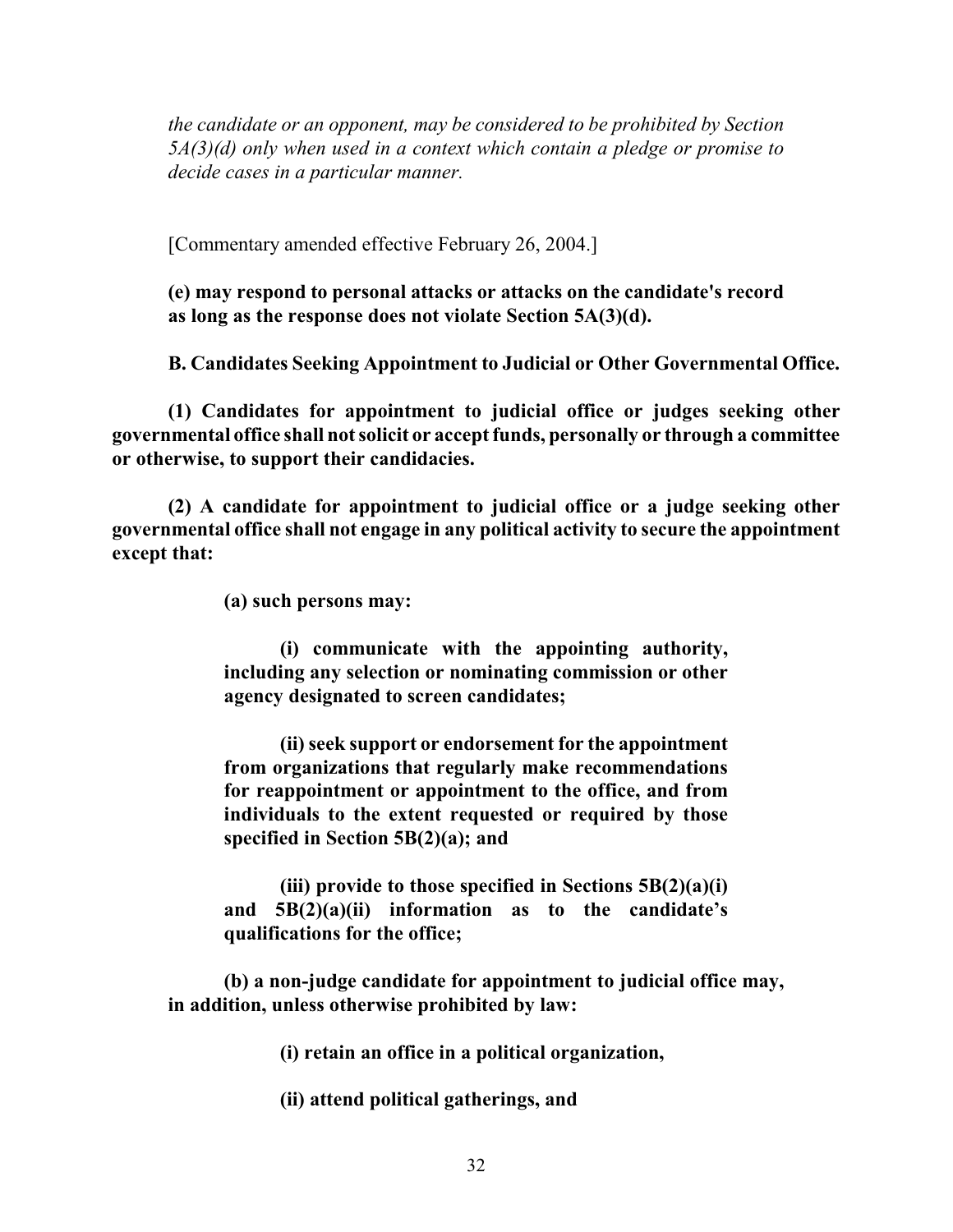*the candidate or an opponent, may be considered to be prohibited by Section 5A(3)(d) only when used in a context which contain a pledge or promise to decide cases in a particular manner.*

[Commentary amended effective February 26, 2004.]

**(e) may respond to personal attacks or attacks on the candidate's record as long as the response does not violate Section 5A(3)(d).**

**B. Candidates Seeking Appointment to Judicial or Other Governmental Office.**

**(1) Candidates for appointment to judicial office or judges seeking other governmental office shall not solicit or accept funds, personally or through a committee or otherwise, to support their candidacies.**

**(2) A candidate for appointment to judicial office or a judge seeking other governmental office shall not engage in any political activity to secure the appointment except that:** 

**(a) such persons may:** 

**(i) communicate with the appointing authority, including any selection or nominating commission or other agency designated to screen candidates;** 

**(ii) seek support or endorsement for the appointment from organizations that regularly make recommendations for reappointment or appointment to the office, and from individuals to the extent requested or required by those specified in Section 5B(2)(a); and** 

**(iii) provide to those specified in Sections 5B(2)(a)(i) and 5B(2)(a)(ii) information as to the candidate's qualifications for the office;**

**(b) a non-judge candidate for appointment to judicial office may, in addition, unless otherwise prohibited by law:** 

**(i) retain an office in a political organization,** 

**(ii) attend political gatherings, and**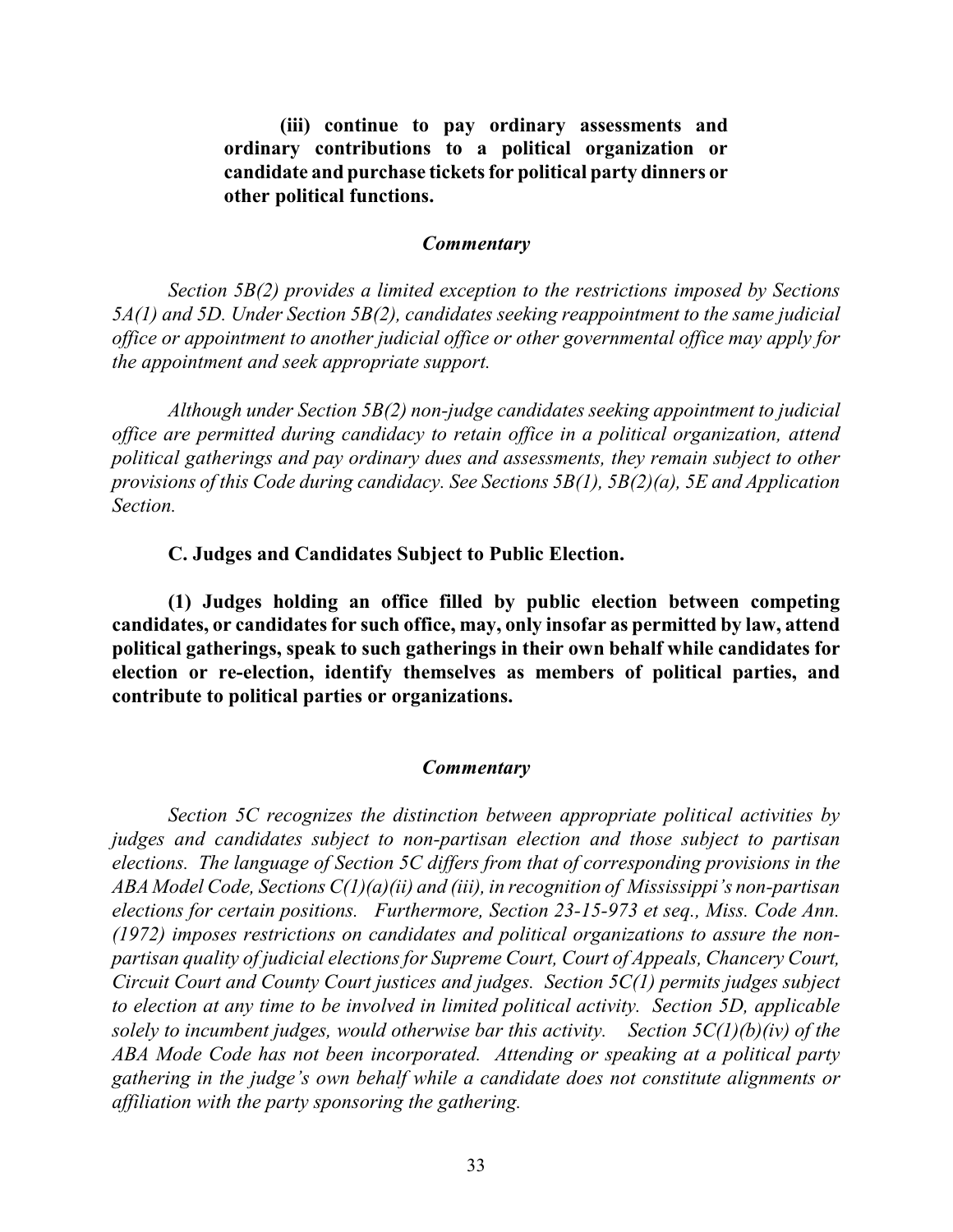**(iii) continue to pay ordinary assessments and ordinary contributions to a political organization or candidate and purchase tickets for political party dinners or other political functions.**

#### *Commentary*

*Section 5B(2) provides a limited exception to the restrictions imposed by Sections 5A(1) and 5D. Under Section 5B(2), candidates seeking reappointment to the same judicial office or appointment to another judicial office or other governmental office may apply for the appointment and seek appropriate support.*

*Although under Section 5B(2) non-judge candidates seeking appointment to judicial office are permitted during candidacy to retain office in a political organization, attend political gatherings and pay ordinary dues and assessments, they remain subject to other provisions of this Code during candidacy. See Sections 5B(1), 5B(2)(a), 5E and Application Section.*

### **C. Judges and Candidates Subject to Public Election.**

**(1) Judges holding an office filled by public election between competing candidates, or candidates for such office, may, only insofar as permitted by law, attend political gatherings, speak to such gatherings in their own behalf while candidates for election or re-election, identify themselves as members of political parties, and contribute to political parties or organizations.**

#### *Commentary*

*Section 5C recognizes the distinction between appropriate political activities by judges and candidates subject to non-partisan election and those subject to partisan elections. The language of Section 5C differs from that of corresponding provisions in the ABA Model Code, Sections C(1)(a)(ii) and (iii), in recognition of Mississippi's non-partisan elections for certain positions. Furthermore, Section 23-15-973 et seq., Miss. Code Ann. (1972) imposes restrictions on candidates and political organizations to assure the nonpartisan quality of judicial elections for Supreme Court, Court of Appeals, Chancery Court, Circuit Court and County Court justices and judges. Section 5C(1) permits judges subject to election at any time to be involved in limited political activity. Section 5D, applicable solely to incumbent judges, would otherwise bar this activity. Section 5C(1)(b)(iv) of the ABA Mode Code has not been incorporated. Attending or speaking at a political party gathering in the judge's own behalf while a candidate does not constitute alignments or affiliation with the party sponsoring the gathering.*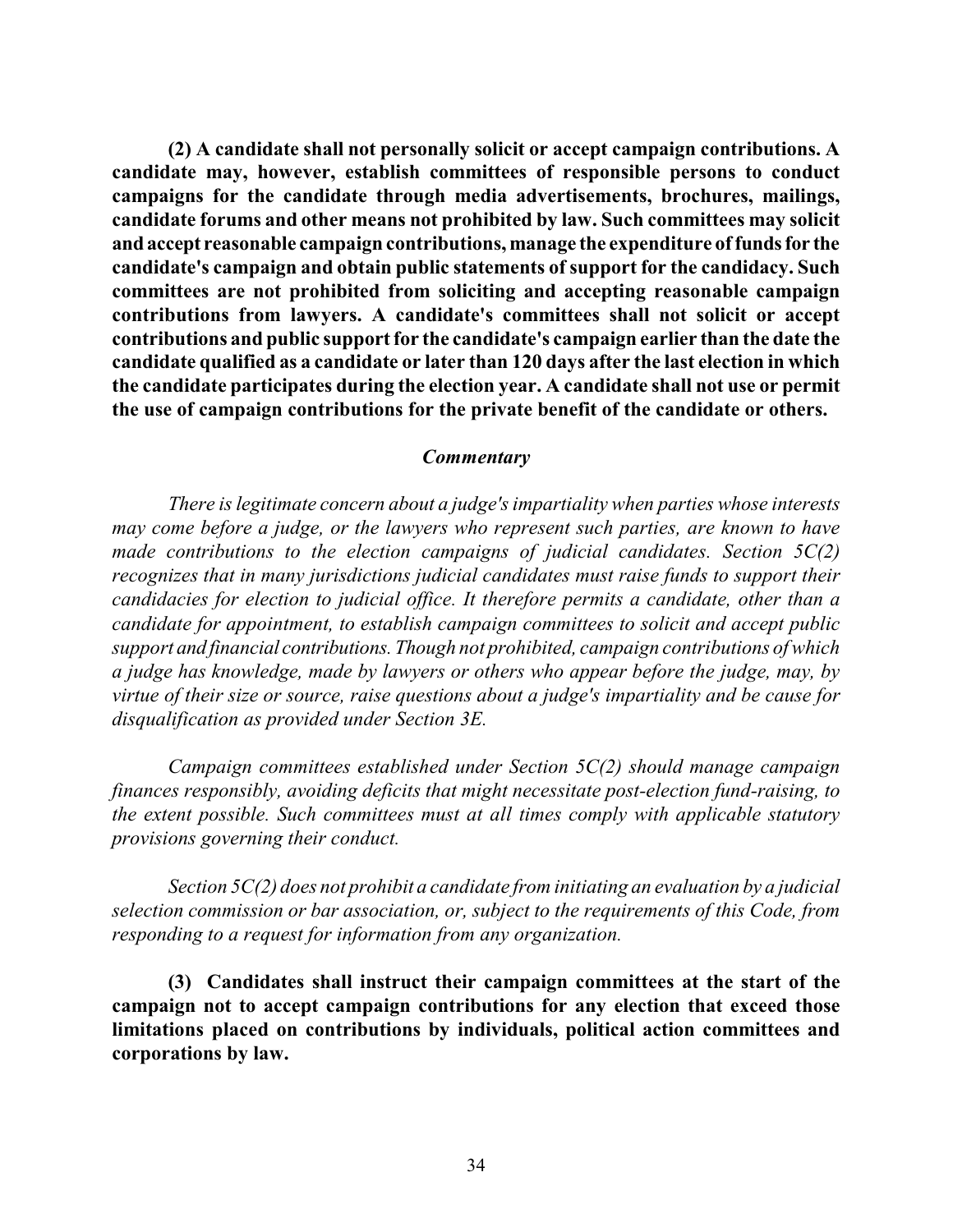**(2) A candidate shall not personally solicit or accept campaign contributions. A candidate may, however, establish committees of responsible persons to conduct campaigns for the candidate through media advertisements, brochures, mailings, candidate forums and other means not prohibited by law. Such committees may solicit andaccept reasonable campaign contributions, manage the expenditure offundsfor the candidate's campaign and obtain public statements of support for the candidacy. Such committees are not prohibited from soliciting and accepting reasonable campaign contributions from lawyers. A candidate's committees shall not solicit or accept contributions and public support for the candidate's campaign earlier than the date the candidate qualified as a candidate or later than 120 days after the last election in which the candidate participates during the election year. A candidate shall not use or permit the use of campaign contributions for the private benefit of the candidate or others.**

## *Commentary*

*There is legitimate concern about a judge's impartiality when parties whose interests may come before a judge, or the lawyers who represent such parties, are known to have made contributions to the election campaigns of judicial candidates. Section 5C(2) recognizes that in many jurisdictions judicial candidates must raise funds to support their candidacies for election to judicial office. It therefore permits a candidate, other than a candidate for appointment, to establish campaign committees to solicit and accept public support and financial contributions.Though not prohibited, campaign contributions of which a judge has knowledge, made by lawyers or others who appear before the judge, may, by virtue of their size or source, raise questions about a judge's impartiality and be cause for disqualification as provided under Section 3E.*

*Campaign committees established under Section 5C(2) should manage campaign finances responsibly, avoiding deficits that might necessitate post-election fund-raising, to the extent possible. Such committees must at all times comply with applicable statutory provisions governing their conduct.*

*Section 5C(2) does not prohibit a candidate from initiating an evaluation by a judicial selection commission or bar association, or, subject to the requirements of this Code, from responding to a request for information from any organization.*

**(3) Candidates shall instruct their campaign committees at the start of the campaign not to accept campaign contributions for any election that exceed those limitations placed on contributions by individuals, political action committees and corporations by law.**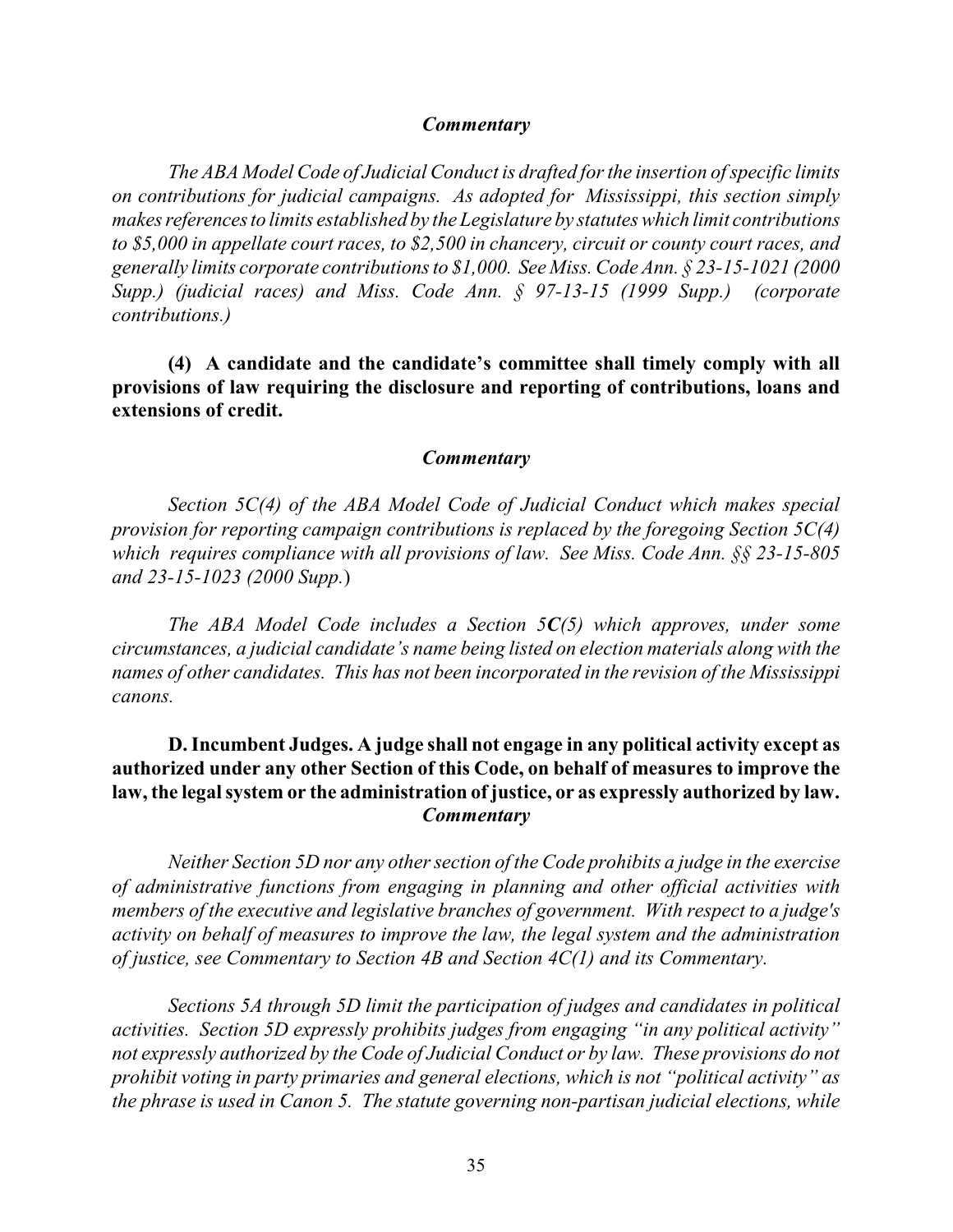### *Commentary*

*The ABA Model Code of Judicial Conduct is drafted for the insertion of specific limits on contributions for judicial campaigns. As adopted for Mississippi, this section simply makes referencesto limits established by the Legislature by statutes which limit contributions to \$5,000 in appellate court races, to \$2,500 in chancery, circuit or county court races, and generally limits corporate contributions to \$1,000. See Miss. Code Ann. § 23-15-1021 (2000 Supp.) (judicial races) and Miss. Code Ann. § 97-13-15 (1999 Supp.) (corporate contributions.)*

**(4) A candidate and the candidate's committee shall timely comply with all provisions of law requiring the disclosure and reporting of contributions, loans and extensions of credit.**

### *Commentary*

*Section 5C(4) of the ABA Model Code of Judicial Conduct which makes special provision for reporting campaign contributions is replaced by the foregoing Section 5C(4) which requires compliance with all provisions of law. See Miss. Code Ann. §§ 23-15-805 and 23-15-1023 (2000 Supp.*)

*The ABA Model Code includes a Section 5C(5) which approves, under some circumstances, a judicial candidate's name being listed on election materials along with the names of other candidates. This has not been incorporated in the revision of the Mississippi canons.*

# **D. Incumbent Judges. A judge shall not engage in any political activity except as authorized under any other Section of this Code, on behalf of measures to improve the law, the legal system or the administration of justice, or as expressly authorized by law.** *Commentary*

*Neither Section 5D nor any other section of the Code prohibits a judge in the exercise of administrative functions from engaging in planning and other official activities with members of the executive and legislative branches of government. With respect to a judge's activity on behalf of measures to improve the law, the legal system and the administration of justice, see Commentary to Section 4B and Section 4C(1) and its Commentary.*

*Sections 5A through 5D limit the participation of judges and candidates in political activities. Section 5D expressly prohibits judges from engaging "in any political activity" not expressly authorized by the Code of Judicial Conduct or by law. These provisions do not prohibit voting in party primaries and general elections, which is not "political activity" as the phrase is used in Canon 5. The statute governing non-partisan judicial elections, while*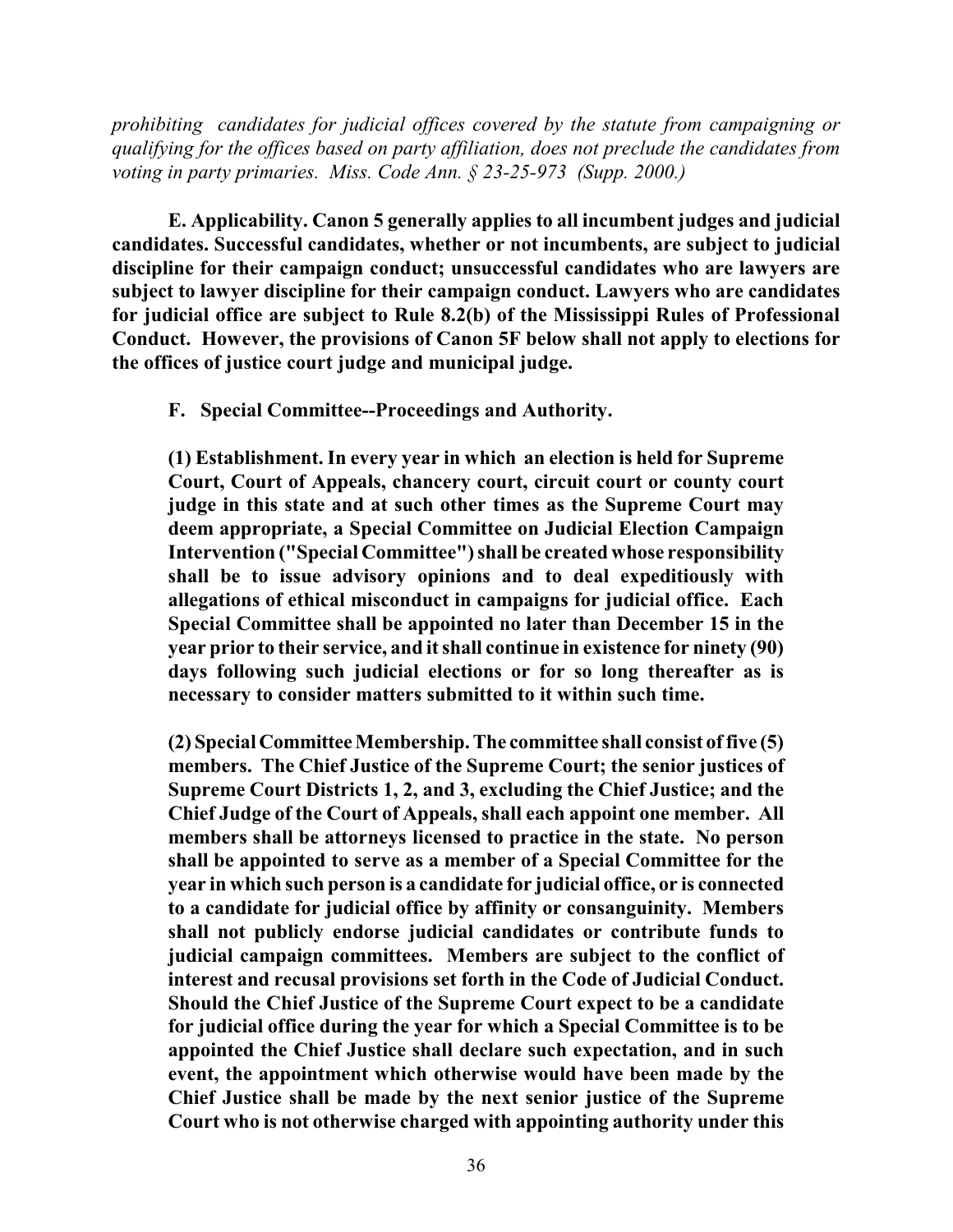*prohibiting candidates for judicial offices covered by the statute from campaigning or qualifying for the offices based on party affiliation, does not preclude the candidates from voting in party primaries. Miss. Code Ann. § 23-25-973 (Supp. 2000.)*

**E. Applicability. Canon 5 generally applies to all incumbent judges and judicial candidates. Successful candidates, whether or not incumbents, are subject to judicial discipline for their campaign conduct; unsuccessful candidates who are lawyers are subject to lawyer discipline for their campaign conduct. Lawyers who are candidates for judicial office are subject to Rule 8.2(b) of the Mississippi Rules of Professional Conduct. However, the provisions of Canon 5F below shall not apply to elections for the offices of justice court judge and municipal judge.**

**F. Special Committee--Proceedings and Authority.** 

**(1) Establishment. In every year in which an election is held for Supreme Court, Court of Appeals, chancery court, circuit court or county court judge in this state and at such other times as the Supreme Court may deem appropriate, a Special Committee on Judicial Election Campaign Intervention ("Special Committee") shall be created whose responsibility shall be to issue advisory opinions and to deal expeditiously with allegations of ethical misconduct in campaigns for judicial office. Each Special Committee shall be appointed no later than December 15 in the year prior to their service, and it shall continue in existence for ninety (90) days following such judicial elections or for so long thereafter as is necessary to consider matters submitted to it within such time.** 

**(2) Special CommitteeMembership. The committee shall consist of five (5) members. The Chief Justice of the Supreme Court; the senior justices of Supreme Court Districts 1, 2, and 3, excluding the Chief Justice; and the Chief Judge of the Court of Appeals, shall each appoint one member. All members shall be attorneys licensed to practice in the state. No person shall be appointed to serve as a member of a Special Committee for the year in which such person is a candidate for judicial office, or is connected to a candidate for judicial office by affinity or consanguinity. Members shall not publicly endorse judicial candidates or contribute funds to judicial campaign committees. Members are subject to the conflict of interest and recusal provisions set forth in the Code of Judicial Conduct. Should the Chief Justice of the Supreme Court expect to be a candidate for judicial office during the year for which a Special Committee is to be appointed the Chief Justice shall declare such expectation, and in such event, the appointment which otherwise would have been made by the Chief Justice shall be made by the next senior justice of the Supreme Court who is not otherwise charged with appointing authority under this**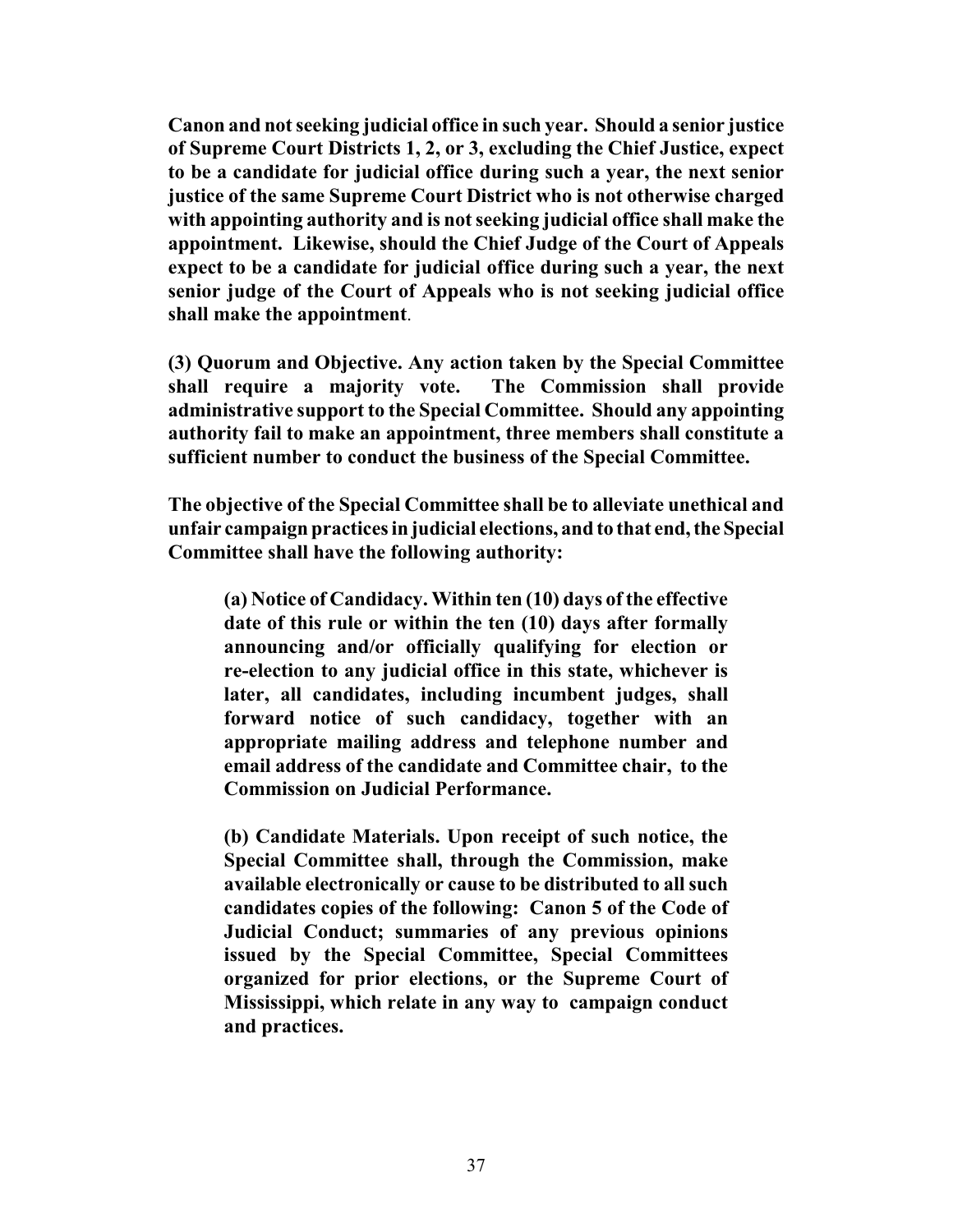**Canon and not seeking judicial office in such year. Should a senior justice of Supreme Court Districts 1, 2, or 3, excluding the Chief Justice, expect to be a candidate for judicial office during such a year, the next senior justice of the same Supreme Court District who is not otherwise charged with appointing authority and is not seeking judicial office shall make the appointment. Likewise, should the Chief Judge of the Court of Appeals expect to be a candidate for judicial office during such a year, the next senior judge of the Court of Appeals who is not seeking judicial office shall make the appointment**.

**(3) Quorum and Objective. Any action taken by the Special Committee shall require a majority vote. The Commission shall provide administrative support to the Special Committee. Should any appointing authority fail to make an appointment, three members shall constitute a sufficient number to conduct the business of the Special Committee.** 

**The objective of the Special Committee shall be to alleviate unethical and unfair campaign practices in judicial elections, and to that end, the Special Committee shall have the following authority:**

**(a) Notice of Candidacy. Within ten (10) days of the effective date of this rule or within the ten (10) days after formally announcing and/or officially qualifying for election or re-election to any judicial office in this state, whichever is later, all candidates, including incumbent judges, shall forward notice of such candidacy, together with an appropriate mailing address and telephone number and email address of the candidate and Committee chair, to the Commission on Judicial Performance.** 

**(b) Candidate Materials. Upon receipt of such notice, the Special Committee shall, through the Commission, make available electronically or cause to be distributed to all such candidates copies of the following: Canon 5 of the Code of Judicial Conduct; summaries of any previous opinions issued by the Special Committee, Special Committees organized for prior elections, or the Supreme Court of Mississippi, which relate in any way to campaign conduct and practices.**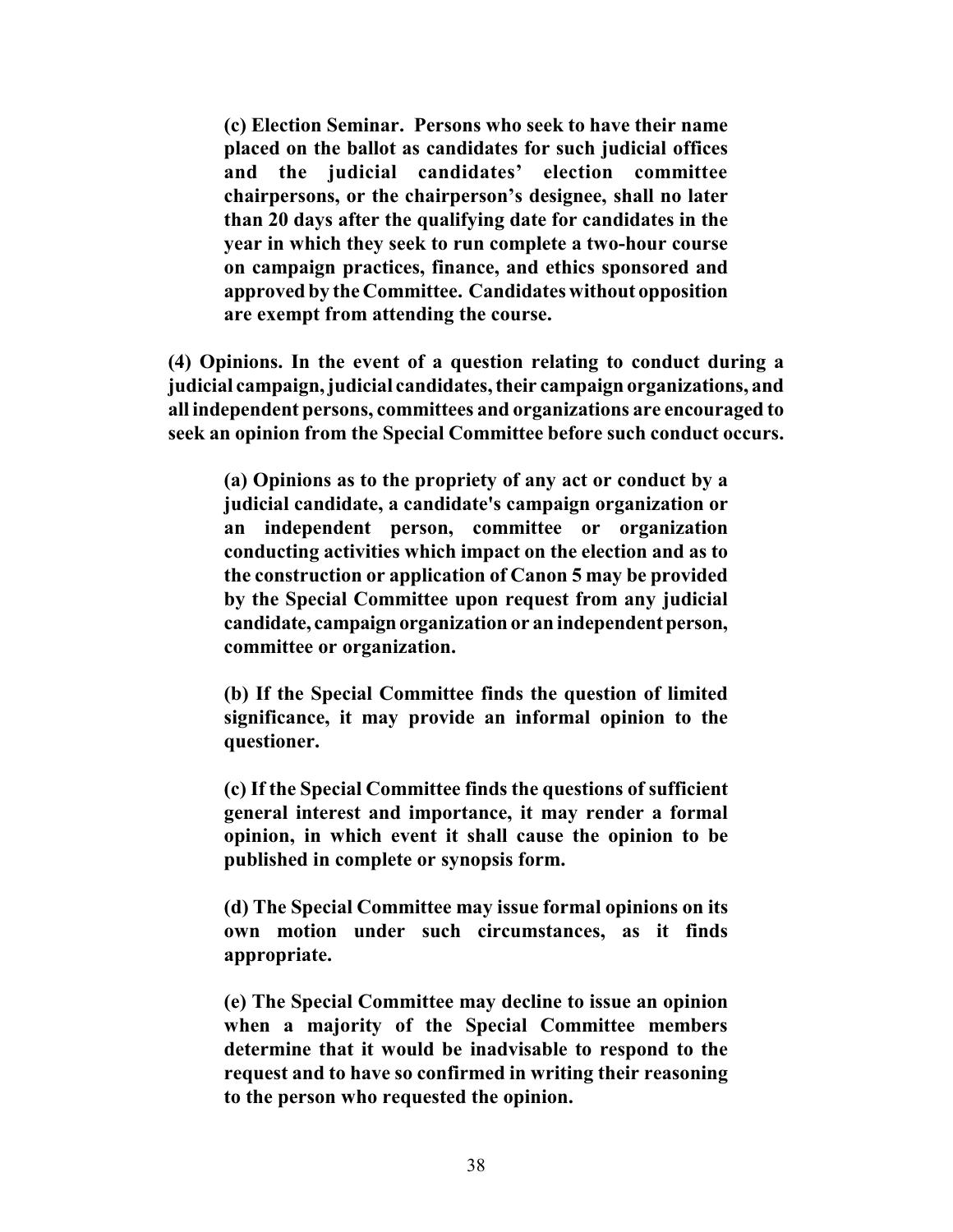**(c) Election Seminar. Persons who seek to have their name placed on the ballot as candidates for such judicial offices and the judicial candidates' election committee chairpersons, or the chairperson's designee, shall no later than 20 days after the qualifying date for candidates in the year in which they seek to run complete a two-hour course on campaign practices, finance, and ethics sponsored and approved by the Committee. Candidates without opposition are exempt from attending the course.** 

**(4) Opinions. In the event of a question relating to conduct during a judicial campaign, judicial candidates, their campaign organizations, and all independent persons, committees and organizations are encouraged to seek an opinion from the Special Committee before such conduct occurs.** 

**(a) Opinions as to the propriety of any act or conduct by a judicial candidate, a candidate's campaign organization or an independent person, committee or organization conducting activities which impact on the election and as to the construction or application of Canon 5 may be provided by the Special Committee upon request from any judicial candidate, campaignorganization or an independent person, committee or organization.** 

**(b) If the Special Committee finds the question of limited significance, it may provide an informal opinion to the questioner.** 

**(c) If the Special Committee finds the questions of sufficient general interest and importance, it may render a formal opinion, in which event it shall cause the opinion to be published in complete or synopsis form.** 

**(d) The Special Committee may issue formal opinions on its own motion under such circumstances, as it finds appropriate.** 

**(e) The Special Committee may decline to issue an opinion when a majority of the Special Committee members determine that it would be inadvisable to respond to the request and to have so confirmed in writing their reasoning to the person who requested the opinion.**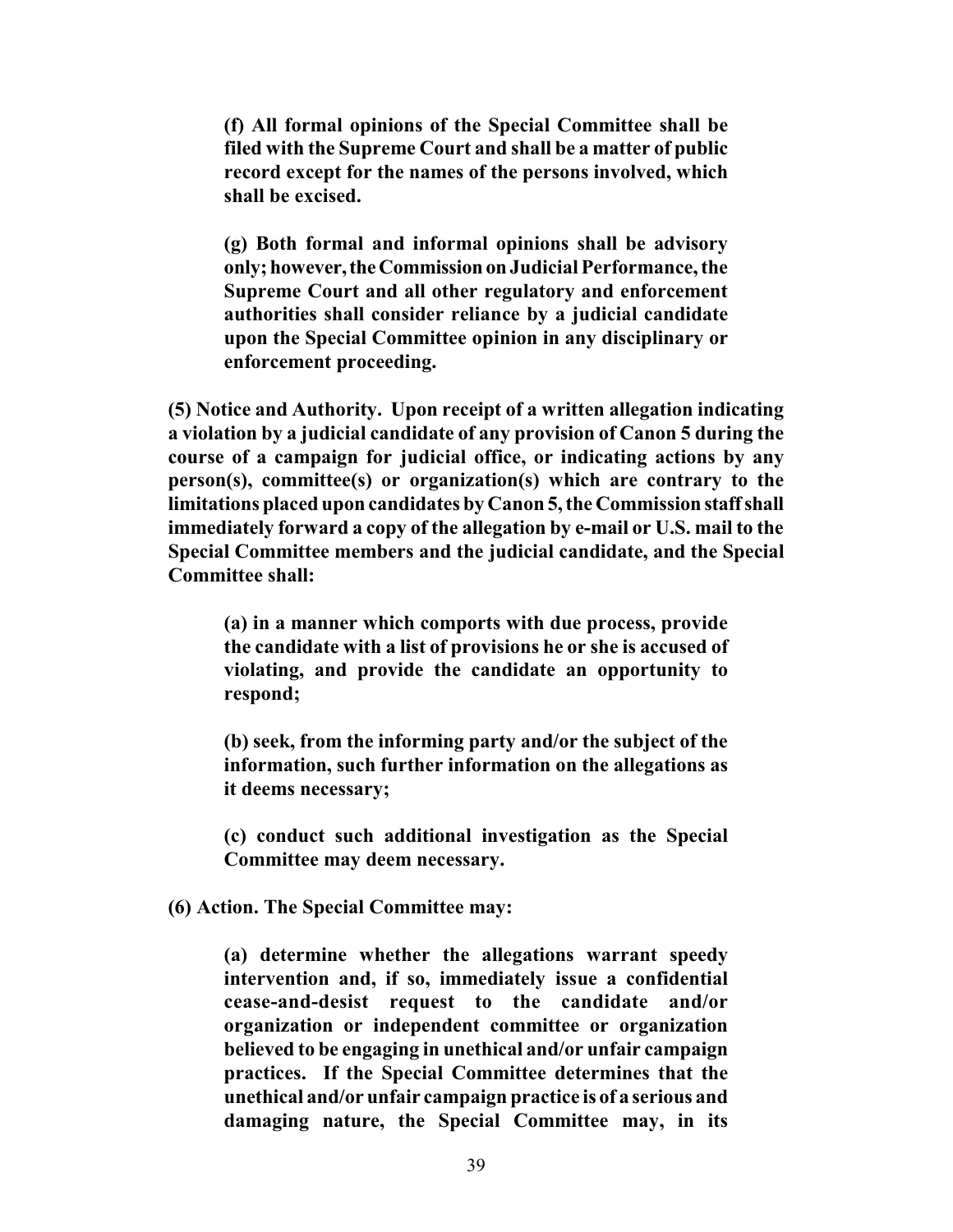**(f) All formal opinions of the Special Committee shall be filed with the Supreme Court and shall be a matter of public record except for the names of the persons involved, which shall be excised.** 

**(g) Both formal and informal opinions shall be advisory only; however,theCommissionon Judicial Performance, the Supreme Court and all other regulatory and enforcement authorities shall consider reliance by a judicial candidate upon the Special Committee opinion in any disciplinary or enforcement proceeding.** 

**(5) Notice and Authority. Upon receipt of a written allegation indicating a violation by a judicial candidate of any provision of Canon 5 during the course of a campaign for judicial office, or indicating actions by any person(s), committee(s) or organization(s) which are contrary to the limitations placed upon candidates by Canon 5, the Commissionstaffshall immediately forward a copy of the allegation by e-mail or U.S. mail to the Special Committee members and the judicial candidate, and the Special Committee shall:** 

**(a) in a manner which comports with due process, provide the candidate with a list of provisions he or she is accused of violating, and provide the candidate an opportunity to respond;**

**(b) seek, from the informing party and/or the subject of the information, such further information on the allegations as it deems necessary;** 

**(c) conduct such additional investigation as the Special Committee may deem necessary.** 

**(6) Action. The Special Committee may:**

**(a) determine whether the allegations warrant speedy intervention and, if so, immediately issue a confidential cease-and-desist request to the candidate and/or organization or independent committee or organization believed to be engaging in unethical and/or unfair campaign practices. If the Special Committee determines that the unethical and/or unfair campaign practice is of a serious and damaging nature, the Special Committee may, in its**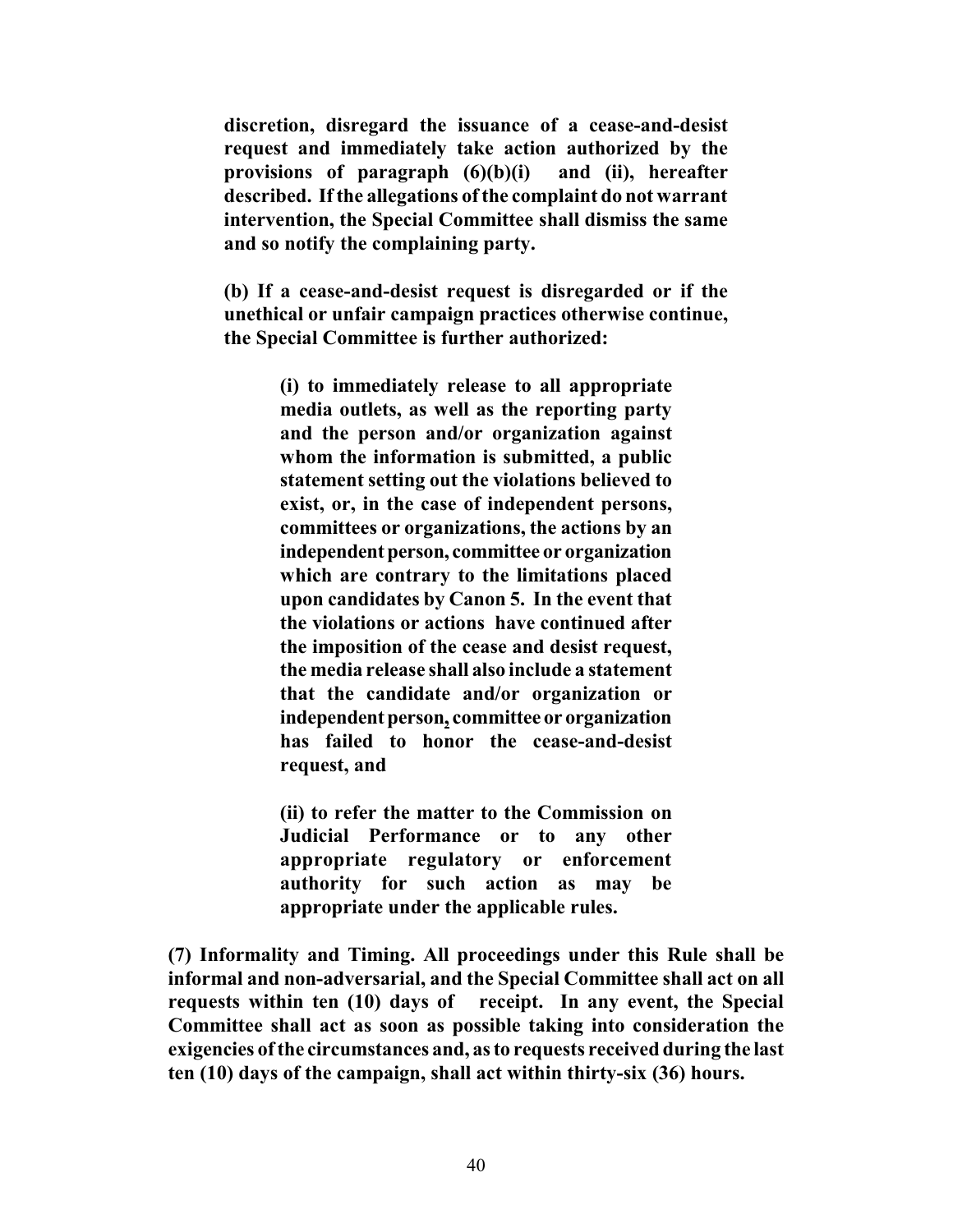**discretion, disregard the issuance of a cease-and-desist request and immediately take action authorized by the provisions of paragraph (6)(b)(i) and (ii), hereafter described. If the allegations of the complaint do not warrant intervention, the Special Committee shall dismiss the same and so notify the complaining party.**

**(b) If a cease-and-desist request is disregarded or if the unethical or unfair campaign practices otherwise continue, the Special Committee is further authorized:** 

> **(i) to immediately release to all appropriate media outlets, as well as the reporting party and the person and/or organization against whom the information is submitted, a public statement setting out the violations believed to exist, or, in the case of independent persons, committees or organizations, the actions by an independent person, committee or organization which are contrary to the limitations placed upon candidates by Canon 5. In the event that the violations or actions have continued after the imposition of the cease and desist request, the media release shall also include a statement that the candidate and/or organization or independent person, committee or organization has failed to honor the cease-and-desist request, and**

> **(ii) to refer the matter to the Commission on Judicial Performance or to any other appropriate regulatory or enforcement authority for such action as may be appropriate under the applicable rules.**

**(7) Informality and Timing. All proceedings under this Rule shall be informal and non-adversarial, and the Special Committee shall act on all requests within ten (10) days of receipt. In any event, the Special Committee shall act as soon as possible taking into consideration the exigencies of the circumstances and, as to requests received during the last ten (10) days of the campaign, shall act within thirty-six (36) hours.**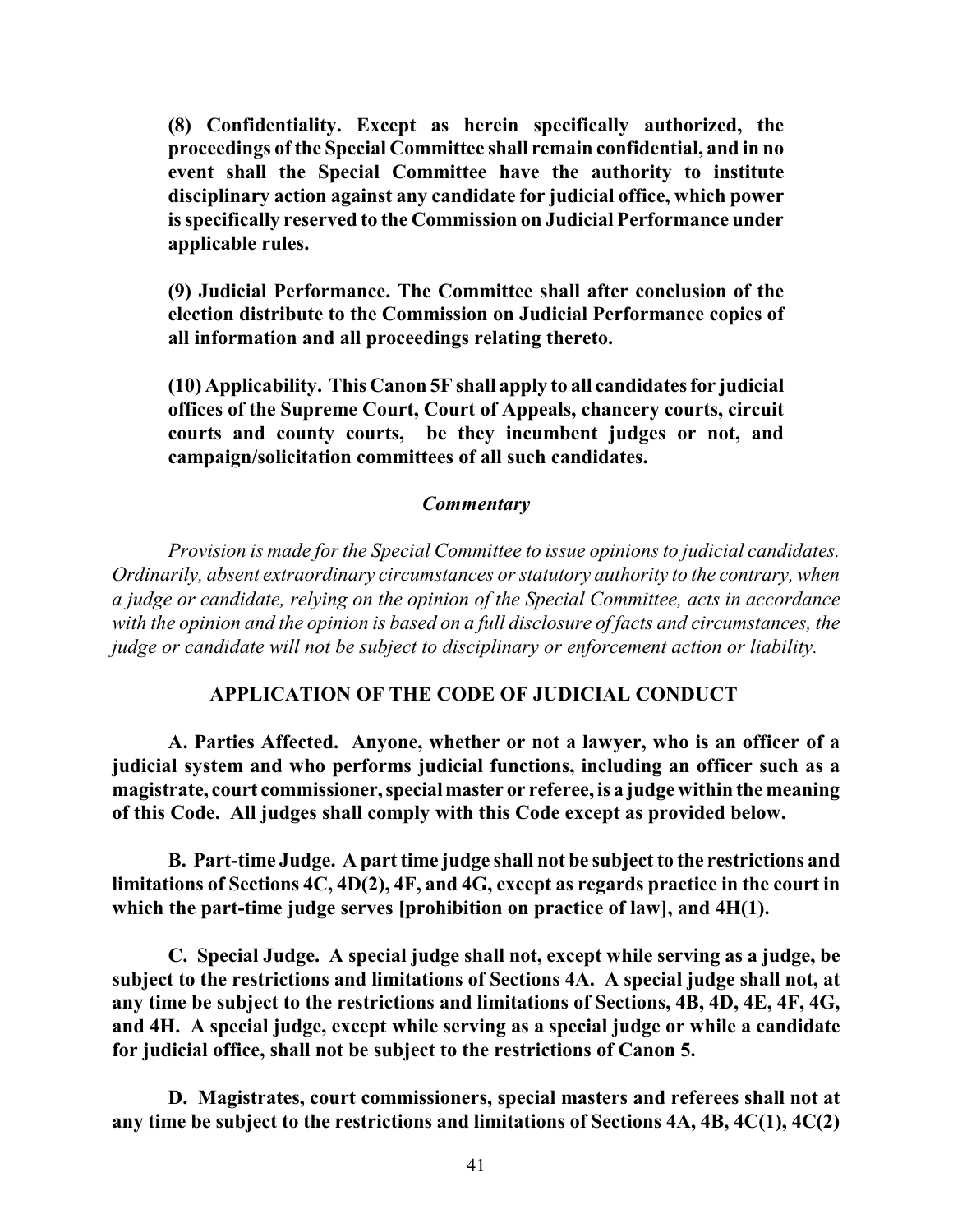**(8) Confidentiality. Except as herein specifically authorized, the proceedings of the Special Committee shall remain confidential, and in no event shall the Special Committee have the authority to institute disciplinary action against any candidate for judicial office, which power is specifically reserved to the Commission on Judicial Performance under applicable rules.**

**(9) Judicial Performance. The Committee shall after conclusion of the election distribute to the Commission on Judicial Performance copies of all information and all proceedings relating thereto.** 

**(10) Applicability. This Canon 5F shall apply to all candidates for judicial offices of the Supreme Court, Court of Appeals, chancery courts, circuit courts and county courts, be they incumbent judges or not, and campaign/solicitation committees of all such candidates.**

## *Commentary*

*Provision is made for the Special Committee to issue opinions to judicial candidates. Ordinarily, absent extraordinary circumstances or statutory authority to the contrary, when a judge or candidate, relying on the opinion of the Special Committee, acts in accordance with the opinion and the opinion is based on a full disclosure of facts and circumstances, the judge or candidate will not be subject to disciplinary or enforcement action or liability.*

## <span id="page-40-0"></span>**APPLICATION OF THE CODE OF JUDICIAL CONDUCT**

**A. Parties Affected. Anyone, whether or not a lawyer, who is an officer of a judicial system and who performs judicial functions, including an officer such as a magistrate, court commissioner,specialmaster or referee, is a judge within the meaning of this Code. All judges shall comply with this Code except as provided below.**

**B. Part-time Judge. A part time judge shall not be subject to the restrictions and limitations of Sections 4C, 4D(2), 4F, and 4G, except as regards practice in the court in which the part-time judge serves [prohibition on practice of law], and 4H(1).**

**C. Special Judge. A special judge shall not, except while serving as a judge, be subject to the restrictions and limitations of Sections 4A. A special judge shall not, at any time be subject to the restrictions and limitations of Sections, 4B, 4D, 4E, 4F, 4G, and 4H. A special judge, except while serving as a special judge or while a candidate for judicial office, shall not be subject to the restrictions of Canon 5.**

**D. Magistrates, court commissioners, special masters and referees shall not at any time be subject to the restrictions and limitations of Sections 4A, 4B, 4C(1), 4C(2)**